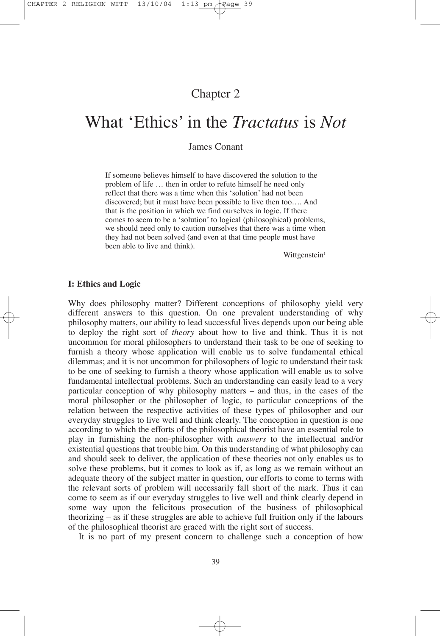## Chapter 2

# What 'Ethics' in the *Tractatus* is *Not*

James Conant

If someone believes himself to have discovered the solution to the problem of life … then in order to refute himself he need only reflect that there was a time when this 'solution' had not been discovered; but it must have been possible to live then too…. And that is the position in which we find ourselves in logic. If there comes to seem to be a 'solution' to logical (philosophical) problems, we should need only to caution ourselves that there was a time when they had not been solved (and even at that time people must have been able to live and think).

Wittgenstein<sup>1</sup>

#### **I: Ethics and Logic**

Why does philosophy matter? Different conceptions of philosophy yield very different answers to this question. On one prevalent understanding of why philosophy matters, our ability to lead successful lives depends upon our being able to deploy the right sort of *theory* about how to live and think. Thus it is not uncommon for moral philosophers to understand their task to be one of seeking to furnish a theory whose application will enable us to solve fundamental ethical dilemmas; and it is not uncommon for philosophers of logic to understand their task to be one of seeking to furnish a theory whose application will enable us to solve fundamental intellectual problems. Such an understanding can easily lead to a very particular conception of why philosophy matters – and thus, in the cases of the moral philosopher or the philosopher of logic, to particular conceptions of the relation between the respective activities of these types of philosopher and our everyday struggles to live well and think clearly. The conception in question is one according to which the efforts of the philosophical theorist have an essential role to play in furnishing the non-philosopher with *answers* to the intellectual and/or existential questions that trouble him. On this understanding of what philosophy can and should seek to deliver, the application of these theories not only enables us to solve these problems, but it comes to look as if, as long as we remain without an adequate theory of the subject matter in question, our efforts to come to terms with the relevant sorts of problem will necessarily fall short of the mark. Thus it can come to seem as if our everyday struggles to live well and think clearly depend in some way upon the felicitous prosecution of the business of philosophical theorizing – as if these struggles are able to achieve full fruition only if the labours of the philosophical theorist are graced with the right sort of success.

It is no part of my present concern to challenge such a conception of how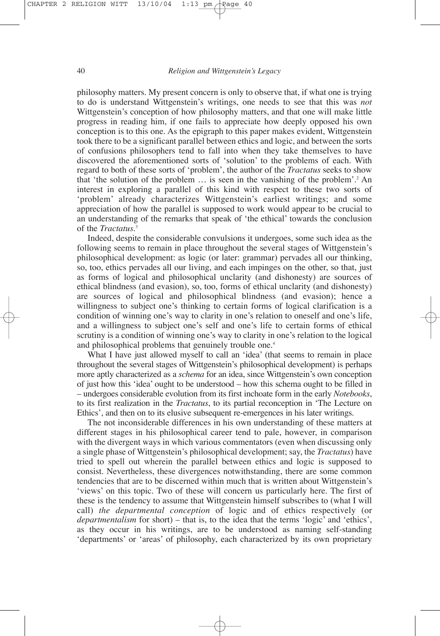philosophy matters. My present concern is only to observe that, if what one is trying to do is understand Wittgenstein's writings, one needs to see that this was *not* Wittgenstein's conception of how philosophy matters, and that one will make little progress in reading him, if one fails to appreciate how deeply opposed his own conception is to this one. As the epigraph to this paper makes evident, Wittgenstein took there to be a significant parallel between ethics and logic, and between the sorts of confusions philosophers tend to fall into when they take themselves to have discovered the aforementioned sorts of 'solution' to the problems of each. With regard to both of these sorts of 'problem', the author of the *Tractatus* seeks to show that 'the solution of the problem  $\ldots$  is seen in the vanishing of the problem'.<sup>2</sup> An interest in exploring a parallel of this kind with respect to these two sorts of 'problem' already characterizes Wittgenstein's earliest writings; and some appreciation of how the parallel is supposed to work would appear to be crucial to an understanding of the remarks that speak of 'the ethical' towards the conclusion of the *Tractatus*. 3

Indeed, despite the considerable convulsions it undergoes, some such idea as the following seems to remain in place throughout the several stages of Wittgenstein's philosophical development: as logic (or later: grammar) pervades all our thinking, so, too, ethics pervades all our living, and each impinges on the other, so that, just as forms of logical and philosophical unclarity (and dishonesty) are sources of ethical blindness (and evasion), so, too, forms of ethical unclarity (and dishonesty) are sources of logical and philosophical blindness (and evasion); hence a willingness to subject one's thinking to certain forms of logical clarification is a condition of winning one's way to clarity in one's relation to oneself and one's life, and a willingness to subject one's self and one's life to certain forms of ethical scrutiny is a condition of winning one's way to clarity in one's relation to the logical and philosophical problems that genuinely trouble one.<sup>4</sup>

What I have just allowed myself to call an 'idea' (that seems to remain in place throughout the several stages of Wittgenstein's philosophical development) is perhaps more aptly characterized as a *schema* for an idea, since Wittgenstein's own conception of just how this 'idea' ought to be understood – how this schema ought to be filled in – undergoes considerable evolution from its first inchoate form in the early *Notebooks*, to its first realization in the *Tractatus*, to its partial reconception in 'The Lecture on Ethics', and then on to its elusive subsequent re-emergences in his later writings.

The not inconsiderable differences in his own understanding of these matters at different stages in his philosophical career tend to pale, however, in comparison with the divergent ways in which various commentators (even when discussing only a single phase of Wittgenstein's philosophical development; say, the *Tractatus*) have tried to spell out wherein the parallel between ethics and logic is supposed to consist. Nevertheless, these divergences notwithstanding, there are some common tendencies that are to be discerned within much that is written about Wittgenstein's 'views' on this topic. Two of these will concern us particularly here. The first of these is the tendency to assume that Wittgenstein himself subscribes to (what I will call) *the departmental conception* of logic and of ethics respectively (or *departmentalism* for short) – that is, to the idea that the terms 'logic' and 'ethics', as they occur in his writings, are to be understood as naming self-standing 'departments' or 'areas' of philosophy, each characterized by its own proprietary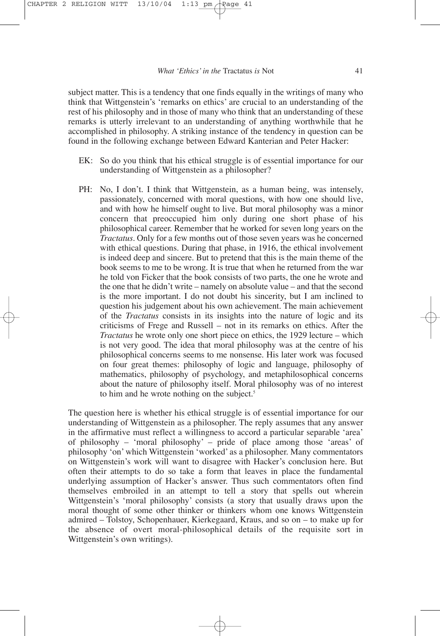subject matter. This is a tendency that one finds equally in the writings of many who think that Wittgenstein's 'remarks on ethics' are crucial to an understanding of the rest of his philosophy and in those of many who think that an understanding of these remarks is utterly irrelevant to an understanding of anything worthwhile that he accomplished in philosophy. A striking instance of the tendency in question can be found in the following exchange between Edward Kanterian and Peter Hacker:

- EK: So do you think that his ethical struggle is of essential importance for our understanding of Wittgenstein as a philosopher?
- PH: No, I don't. I think that Wittgenstein, as a human being, was intensely, passionately, concerned with moral questions, with how one should live, and with how he himself ought to live. But moral philosophy was a minor concern that preoccupied him only during one short phase of his philosophical career. Remember that he worked for seven long years on the *Tractatus*. Only for a few months out of those seven years was he concerned with ethical questions. During that phase, in 1916, the ethical involvement is indeed deep and sincere. But to pretend that this is the main theme of the book seems to me to be wrong. It is true that when he returned from the war he told von Ficker that the book consists of two parts, the one he wrote and the one that he didn't write – namely on absolute value – and that the second is the more important. I do not doubt his sincerity, but I am inclined to question his judgement about his own achievement. The main achievement of the *Tractatus* consists in its insights into the nature of logic and its criticisms of Frege and Russell – not in its remarks on ethics. After the *Tractatus* he wrote only one short piece on ethics, the 1929 lecture – which is not very good. The idea that moral philosophy was at the centre of his philosophical concerns seems to me nonsense. His later work was focused on four great themes: philosophy of logic and language, philosophy of mathematics, philosophy of psychology, and metaphilosophical concerns about the nature of philosophy itself. Moral philosophy was of no interest to him and he wrote nothing on the subject.<sup>5</sup>

The question here is whether his ethical struggle is of essential importance for our understanding of Wittgenstein as a philosopher. The reply assumes that any answer in the affirmative must reflect a willingness to accord a particular separable 'area' of philosophy – 'moral philosophy' – pride of place among those 'areas' of philosophy 'on' which Wittgenstein 'worked' as a philosopher. Many commentators on Wittgenstein's work will want to disagree with Hacker's conclusion here. But often their attempts to do so take a form that leaves in place the fundamental underlying assumption of Hacker's answer. Thus such commentators often find themselves embroiled in an attempt to tell a story that spells out wherein Wittgenstein's 'moral philosophy' consists (a story that usually draws upon the moral thought of some other thinker or thinkers whom one knows Wittgenstein admired – Tolstoy, Schopenhauer, Kierkegaard, Kraus, and so on – to make up for the absence of overt moral-philosophical details of the requisite sort in Wittgenstein's own writings).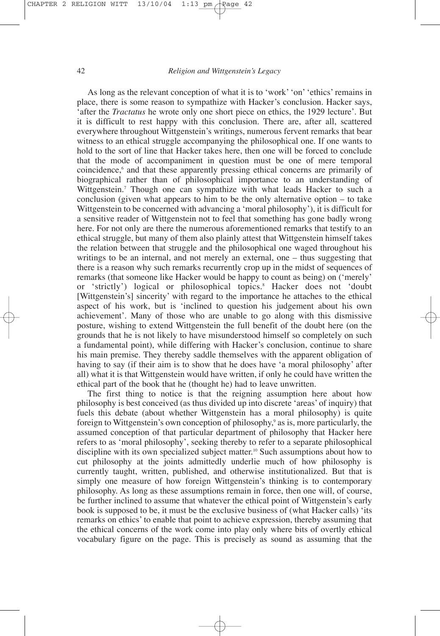As long as the relevant conception of what it is to 'work' 'on' 'ethics' remains in place, there is some reason to sympathize with Hacker's conclusion. Hacker says, 'after the *Tractatus* he wrote only one short piece on ethics, the 1929 lecture'. But it is difficult to rest happy with this conclusion. There are, after all, scattered everywhere throughout Wittgenstein's writings, numerous fervent remarks that bear witness to an ethical struggle accompanying the philosophical one. If one wants to hold to the sort of line that Hacker takes here, then one will be forced to conclude that the mode of accompaniment in question must be one of mere temporal coincidence,6 and that these apparently pressing ethical concerns are primarily of biographical rather than of philosophical importance to an understanding of Wittgenstein.<sup>7</sup> Though one can sympathize with what leads Hacker to such a conclusion (given what appears to him to be the only alternative option – to take Wittgenstein to be concerned with advancing a 'moral philosophy'), it is difficult for a sensitive reader of Wittgenstein not to feel that something has gone badly wrong here. For not only are there the numerous aforementioned remarks that testify to an ethical struggle, but many of them also plainly attest that Wittgenstein himself takes the relation between that struggle and the philosophical one waged throughout his writings to be an internal, and not merely an external, one – thus suggesting that there is a reason why such remarks recurrently crop up in the midst of sequences of remarks (that someone like Hacker would be happy to count as being) on ('merely' or 'strictly') logical or philosophical topics.<sup>8</sup> Hacker does not 'doubt [Wittgenstein's] sincerity' with regard to the importance he attaches to the ethical aspect of his work, but is 'inclined to question his judgement about his own achievement'. Many of those who are unable to go along with this dismissive posture, wishing to extend Wittgenstein the full benefit of the doubt here (on the grounds that he is not likely to have misunderstood himself so completely on such a fundamental point), while differing with Hacker's conclusion, continue to share his main premise. They thereby saddle themselves with the apparent obligation of having to say (if their aim is to show that he does have 'a moral philosophy' after all) what it is that Wittgenstein would have written, if only he could have written the ethical part of the book that he (thought he) had to leave unwritten.

The first thing to notice is that the reigning assumption here about how philosophy is best conceived (as thus divided up into discrete 'areas' of inquiry) that fuels this debate (about whether Wittgenstein has a moral philosophy) is quite foreign to Wittgenstein's own conception of philosophy,<sup>9</sup> as is, more particularly, the assumed conception of that particular department of philosophy that Hacker here refers to as 'moral philosophy', seeking thereby to refer to a separate philosophical discipline with its own specialized subject matter.<sup>10</sup> Such assumptions about how to cut philosophy at the joints admittedly underlie much of how philosophy is currently taught, written, published, and otherwise institutionalized. But that is simply one measure of how foreign Wittgenstein's thinking is to contemporary philosophy. As long as these assumptions remain in force, then one will, of course, be further inclined to assume that whatever the ethical point of Wittgenstein's early book is supposed to be, it must be the exclusive business of (what Hacker calls) 'its remarks on ethics' to enable that point to achieve expression, thereby assuming that the ethical concerns of the work come into play only where bits of overtly ethical vocabulary figure on the page. This is precisely as sound as assuming that the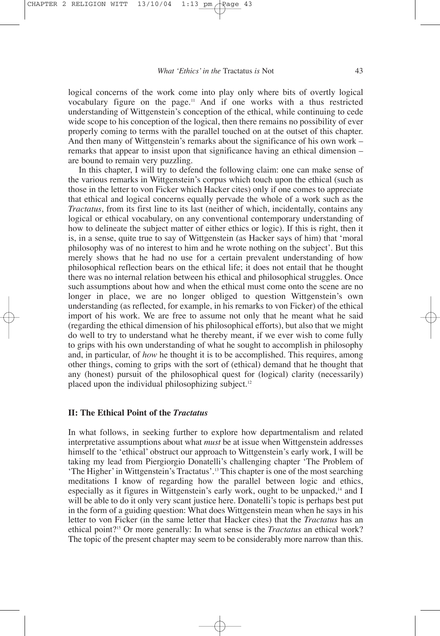logical concerns of the work come into play only where bits of overtly logical vocabulary figure on the page.11 And if one works with a thus restricted understanding of Wittgenstein's conception of the ethical, while continuing to cede wide scope to his conception of the logical, then there remains no possibility of ever properly coming to terms with the parallel touched on at the outset of this chapter. And then many of Wittgenstein's remarks about the significance of his own work – remarks that appear to insist upon that significance having an ethical dimension – are bound to remain very puzzling.

In this chapter, I will try to defend the following claim: one can make sense of the various remarks in Wittgenstein's corpus which touch upon the ethical (such as those in the letter to von Ficker which Hacker cites) only if one comes to appreciate that ethical and logical concerns equally pervade the whole of a work such as the *Tractatus*, from its first line to its last (neither of which, incidentally, contains any logical or ethical vocabulary, on any conventional contemporary understanding of how to delineate the subject matter of either ethics or logic). If this is right, then it is, in a sense, quite true to say of Wittgenstein (as Hacker says of him) that 'moral philosophy was of no interest to him and he wrote nothing on the subject'. But this merely shows that he had no use for a certain prevalent understanding of how philosophical reflection bears on the ethical life; it does not entail that he thought there was no internal relation between his ethical and philosophical struggles. Once such assumptions about how and when the ethical must come onto the scene are no longer in place, we are no longer obliged to question Wittgenstein's own understanding (as reflected, for example, in his remarks to von Ficker) of the ethical import of his work. We are free to assume not only that he meant what he said (regarding the ethical dimension of his philosophical efforts), but also that we might do well to try to understand what he thereby meant, if we ever wish to come fully to grips with his own understanding of what he sought to accomplish in philosophy and, in particular, of *how* he thought it is to be accomplished. This requires, among other things, coming to grips with the sort of (ethical) demand that he thought that any (honest) pursuit of the philosophical quest for (logical) clarity (necessarily) placed upon the individual philosophizing subject.12

#### **II: The Ethical Point of the** *Tractatus*

In what follows, in seeking further to explore how departmentalism and related interpretative assumptions about what *must* be at issue when Wittgenstein addresses himself to the 'ethical' obstruct our approach to Wittgenstein's early work, I will be taking my lead from Piergiorgio Donatelli's challenging chapter 'The Problem of 'The Higher' in Wittgenstein's Tractatus'.13 This chapter is one of the most searching meditations I know of regarding how the parallel between logic and ethics, especially as it figures in Wittgenstein's early work, ought to be unpacked,<sup>14</sup> and I will be able to do it only very scant justice here. Donatelli's topic is perhaps best put in the form of a guiding question: What does Wittgenstein mean when he says in his letter to von Ficker (in the same letter that Hacker cites) that the *Tractatus* has an ethical point?15 Or more generally: In what sense is the *Tractatus* an ethical work? The topic of the present chapter may seem to be considerably more narrow than this.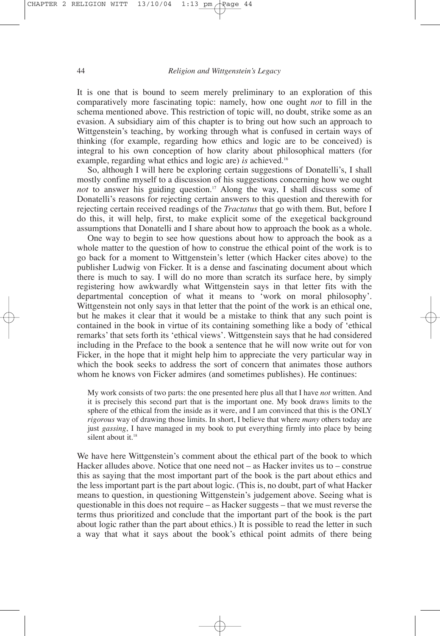It is one that is bound to seem merely preliminary to an exploration of this comparatively more fascinating topic: namely, how one ought *not* to fill in the schema mentioned above. This restriction of topic will, no doubt, strike some as an evasion. A subsidiary aim of this chapter is to bring out how such an approach to Wittgenstein's teaching, by working through what is confused in certain ways of thinking (for example, regarding how ethics and logic are to be conceived) is integral to his own conception of how clarity about philosophical matters (for example, regarding what ethics and logic are) *is* achieved.16

So, although I will here be exploring certain suggestions of Donatelli's, I shall mostly confine myself to a discussion of his suggestions concerning how we ought *not* to answer his guiding question.<sup>17</sup> Along the way, I shall discuss some of Donatelli's reasons for rejecting certain answers to this question and therewith for rejecting certain received readings of the *Tractatus* that go with them. But, before I do this, it will help, first, to make explicit some of the exegetical background assumptions that Donatelli and I share about how to approach the book as a whole.

One way to begin to see how questions about how to approach the book as a whole matter to the question of how to construe the ethical point of the work is to go back for a moment to Wittgenstein's letter (which Hacker cites above) to the publisher Ludwig von Ficker. It is a dense and fascinating document about which there is much to say. I will do no more than scratch its surface here, by simply registering how awkwardly what Wittgenstein says in that letter fits with the departmental conception of what it means to 'work on moral philosophy'. Wittgenstein not only says in that letter that the point of the work is an ethical one, but he makes it clear that it would be a mistake to think that any such point is contained in the book in virtue of its containing something like a body of 'ethical remarks' that sets forth its 'ethical views'. Wittgenstein says that he had considered including in the Preface to the book a sentence that he will now write out for von Ficker, in the hope that it might help him to appreciate the very particular way in which the book seeks to address the sort of concern that animates those authors whom he knows von Ficker admires (and sometimes publishes). He continues:

My work consists of two parts: the one presented here plus all that I have *not* written. And it is precisely this second part that is the important one. My book draws limits to the sphere of the ethical from the inside as it were, and I am convinced that this is the ONLY *rigorous* way of drawing those limits. In short, I believe that where *many* others today are just *gassing*, I have managed in my book to put everything firmly into place by being silent about it.<sup>18</sup>

We have here Wittgenstein's comment about the ethical part of the book to which Hacker alludes above. Notice that one need not  $-$  as Hacker invites us to  $-$  construe this as saying that the most important part of the book is the part about ethics and the less important part is the part about logic. (This is, no doubt, part of what Hacker means to question, in questioning Wittgenstein's judgement above. Seeing what is questionable in this does not require – as Hacker suggests – that we must reverse the terms thus prioritized and conclude that the important part of the book is the part about logic rather than the part about ethics.) It is possible to read the letter in such a way that what it says about the book's ethical point admits of there being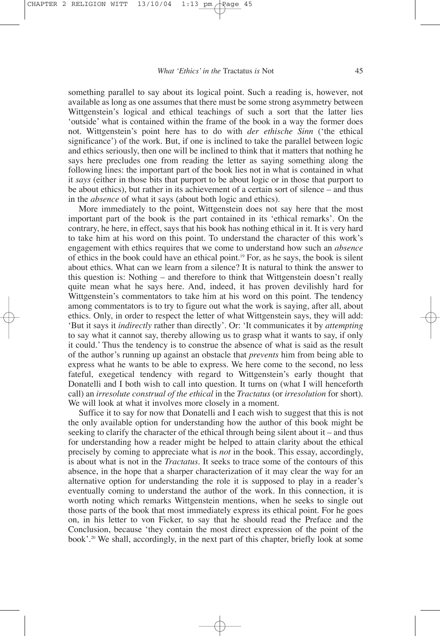something parallel to say about its logical point. Such a reading is, however, not available as long as one assumes that there must be some strong asymmetry between Wittgenstein's logical and ethical teachings of such a sort that the latter lies 'outside' what is contained within the frame of the book in a way the former does not. Wittgenstein's point here has to do with *der ethische Sinn* ('the ethical significance') of the work. But, if one is inclined to take the parallel between logic and ethics seriously, then one will be inclined to think that it matters that nothing he says here precludes one from reading the letter as saying something along the following lines: the important part of the book lies not in what is contained in what it *says* (either in those bits that purport to be about logic or in those that purport to be about ethics), but rather in its achievement of a certain sort of silence – and thus in the *absence* of what it says (about both logic and ethics).

More immediately to the point, Wittgenstein does not say here that the most important part of the book is the part contained in its 'ethical remarks'. On the contrary, he here, in effect, says that his book has nothing ethical in it. It is very hard to take him at his word on this point. To understand the character of this work's engagement with ethics requires that we come to understand how such an *absence* of ethics in the book could have an ethical point.19 For, as he says, the book is silent about ethics. What can we learn from a silence? It is natural to think the answer to this question is: Nothing – and therefore to think that Wittgenstein doesn't really quite mean what he says here. And, indeed, it has proven devilishly hard for Wittgenstein's commentators to take him at his word on this point. The tendency among commentators is to try to figure out what the work is saying, after all, about ethics. Only, in order to respect the letter of what Wittgenstein says, they will add: 'But it says it *indirectly* rather than directly'. Or: 'It communicates it by *attempting* to say what it cannot say, thereby allowing us to grasp what it wants to say, if only it could.' Thus the tendency is to construe the absence of what is said as the result of the author's running up against an obstacle that *prevents* him from being able to express what he wants to be able to express. We here come to the second, no less fateful, exegetical tendency with regard to Wittgenstein's early thought that Donatelli and I both wish to call into question. It turns on (what I will henceforth call) an *irresolute construal of the ethical* in the *Tractatus* (or *irresolution* for short). We will look at what it involves more closely in a moment.

Suffice it to say for now that Donatelli and I each wish to suggest that this is not the only available option for understanding how the author of this book might be seeking to clarify the character of the ethical through being silent about it – and thus for understanding how a reader might be helped to attain clarity about the ethical precisely by coming to appreciate what is *not* in the book. This essay, accordingly, is about what is not in the *Tractatus*. It seeks to trace some of the contours of this absence, in the hope that a sharper characterization of it may clear the way for an alternative option for understanding the role it is supposed to play in a reader's eventually coming to understand the author of the work. In this connection, it is worth noting which remarks Wittgenstein mentions, when he seeks to single out those parts of the book that most immediately express its ethical point. For he goes on, in his letter to von Ficker, to say that he should read the Preface and the Conclusion, because 'they contain the most direct expression of the point of the book'.20 We shall, accordingly, in the next part of this chapter, briefly look at some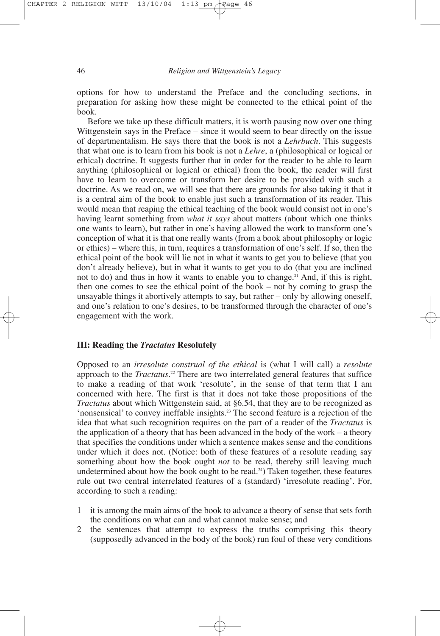options for how to understand the Preface and the concluding sections, in preparation for asking how these might be connected to the ethical point of the book.

Before we take up these difficult matters, it is worth pausing now over one thing Wittgenstein says in the Preface – since it would seem to bear directly on the issue of departmentalism. He says there that the book is not a *Lehrbuch*. This suggests that what one is to learn from his book is not a *Lehre*, a (philosophical or logical or ethical) doctrine. It suggests further that in order for the reader to be able to learn anything (philosophical or logical or ethical) from the book, the reader will first have to learn to overcome or transform her desire to be provided with such a doctrine. As we read on, we will see that there are grounds for also taking it that it is a central aim of the book to enable just such a transformation of its reader. This would mean that reaping the ethical teaching of the book would consist not in one's having learnt something from *what it says* about matters (about which one thinks one wants to learn), but rather in one's having allowed the work to transform one's conception of what it is that one really wants (from a book about philosophy or logic or ethics) – where this, in turn, requires a transformation of one's self. If so, then the ethical point of the book will lie not in what it wants to get you to believe (that you don't already believe), but in what it wants to get you to do (that you are inclined not to do) and thus in how it wants to enable you to change.<sup>21</sup> And, if this is right, then one comes to see the ethical point of the book – not by coming to grasp the unsayable things it abortively attempts to say, but rather – only by allowing oneself, and one's relation to one's desires, to be transformed through the character of one's engagement with the work.

#### **III: Reading the** *Tractatus* **Resolutely**

Opposed to an *irresolute construal of the ethical* is (what I will call) a *resolute* approach to the *Tractatus*. <sup>22</sup> There are two interrelated general features that suffice to make a reading of that work 'resolute', in the sense of that term that I am concerned with here. The first is that it does not take those propositions of the *Tractatus* about which Wittgenstein said, at §6.54, that they are to be recognized as 'nonsensical' to convey ineffable insights.23 The second feature is a rejection of the idea that what such recognition requires on the part of a reader of the *Tractatus* is the application of a theory that has been advanced in the body of the work – a theory that specifies the conditions under which a sentence makes sense and the conditions under which it does not. (Notice: both of these features of a resolute reading say something about how the book ought *not* to be read, thereby still leaving much undetermined about how the book ought to be read. $24$ ) Taken together, these features rule out two central interrelated features of a (standard) 'irresolute reading'. For, according to such a reading:

- 1 it is among the main aims of the book to advance a theory of sense that sets forth the conditions on what can and what cannot make sense; and
- 2 the sentences that attempt to express the truths comprising this theory (supposedly advanced in the body of the book) run foul of these very conditions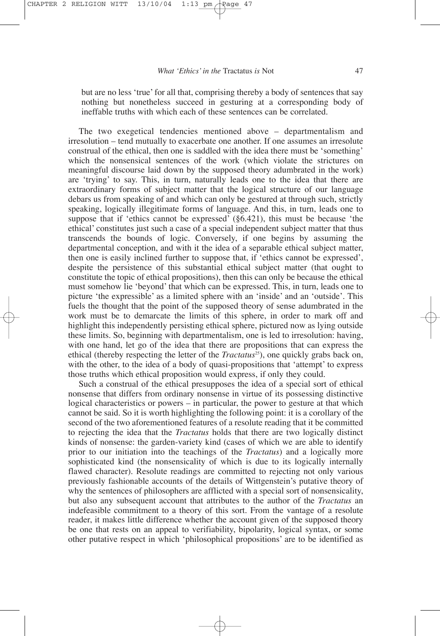but are no less 'true' for all that, comprising thereby a body of sentences that say nothing but nonetheless succeed in gesturing at a corresponding body of ineffable truths with which each of these sentences can be correlated.

The two exegetical tendencies mentioned above – departmentalism and irresolution – tend mutually to exacerbate one another. If one assumes an irresolute construal of the ethical, then one is saddled with the idea there must be 'something' which the nonsensical sentences of the work (which violate the strictures on meaningful discourse laid down by the supposed theory adumbrated in the work) are 'trying' to say. This, in turn, naturally leads one to the idea that there are extraordinary forms of subject matter that the logical structure of our language debars us from speaking of and which can only be gestured at through such, strictly speaking, logically illegitimate forms of language. And this, in turn, leads one to suppose that if 'ethics cannot be expressed' (§6.421), this must be because 'the ethical' constitutes just such a case of a special independent subject matter that thus transcends the bounds of logic. Conversely, if one begins by assuming the departmental conception, and with it the idea of a separable ethical subject matter, then one is easily inclined further to suppose that, if 'ethics cannot be expressed', despite the persistence of this substantial ethical subject matter (that ought to constitute the topic of ethical propositions), then this can only be because the ethical must somehow lie 'beyond' that which can be expressed. This, in turn, leads one to picture 'the expressible' as a limited sphere with an 'inside' and an 'outside'. This fuels the thought that the point of the supposed theory of sense adumbrated in the work must be to demarcate the limits of this sphere, in order to mark off and highlight this independently persisting ethical sphere, pictured now as lying outside these limits. So, beginning with departmentalism, one is led to irresolution: having, with one hand, let go of the idea that there are propositions that can express the ethical (thereby respecting the letter of the *Tractatus*25), one quickly grabs back on, with the other, to the idea of a body of quasi-propositions that 'attempt' to express those truths which ethical proposition would express, if only they could.

Such a construal of the ethical presupposes the idea of a special sort of ethical nonsense that differs from ordinary nonsense in virtue of its possessing distinctive logical characteristics or powers – in particular, the power to gesture at that which cannot be said. So it is worth highlighting the following point: it is a corollary of the second of the two aforementioned features of a resolute reading that it be committed to rejecting the idea that the *Tractatus* holds that there are two logically distinct kinds of nonsense: the garden-variety kind (cases of which we are able to identify prior to our initiation into the teachings of the *Tractatus*) and a logically more sophisticated kind (the nonsensicality of which is due to its logically internally flawed character). Resolute readings are committed to rejecting not only various previously fashionable accounts of the details of Wittgenstein's putative theory of why the sentences of philosophers are afflicted with a special sort of nonsensicality, but also any subsequent account that attributes to the author of the *Tractatus* an indefeasible commitment to a theory of this sort. From the vantage of a resolute reader, it makes little difference whether the account given of the supposed theory be one that rests on an appeal to verifiability, bipolarity, logical syntax, or some other putative respect in which 'philosophical propositions' are to be identified as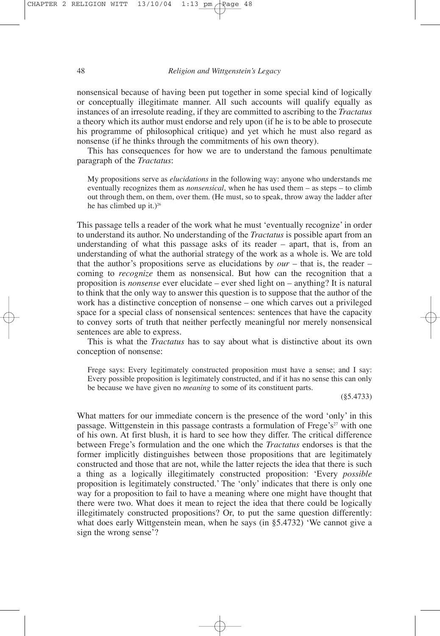nonsensical because of having been put together in some special kind of logically or conceptually illegitimate manner. All such accounts will qualify equally as instances of an irresolute reading, if they are committed to ascribing to the *Tractatus* a theory which its author must endorse and rely upon (if he is to be able to prosecute his programme of philosophical critique) and yet which he must also regard as nonsense (if he thinks through the commitments of his own theory).

This has consequences for how we are to understand the famous penultimate paragraph of the *Tractatus*:

My propositions serve as *elucidations* in the following way: anyone who understands me eventually recognizes them as *nonsensical*, when he has used them – as steps – to climb out through them, on them, over them. (He must, so to speak, throw away the ladder after he has climbed up it.)<sup>26</sup>

This passage tells a reader of the work what he must 'eventually recognize' in order to understand its author. No understanding of the *Tractatus* is possible apart from an understanding of what this passage asks of its reader – apart, that is, from an understanding of what the authorial strategy of the work as a whole is. We are told that the author's propositions serve as elucidations by *our* – that is, the reader – coming to *recognize* them as nonsensical. But how can the recognition that a proposition is *nonsense* ever elucidate – ever shed light on – anything? It is natural to think that the only way to answer this question is to suppose that the author of the work has a distinctive conception of nonsense – one which carves out a privileged space for a special class of nonsensical sentences: sentences that have the capacity to convey sorts of truth that neither perfectly meaningful nor merely nonsensical sentences are able to express.

This is what the *Tractatus* has to say about what is distinctive about its own conception of nonsense:

Frege says: Every legitimately constructed proposition must have a sense; and I say: Every possible proposition is legitimately constructed, and if it has no sense this can only be because we have given no *meaning* to some of its constituent parts.

(§5.4733)

What matters for our immediate concern is the presence of the word 'only' in this passage. Wittgenstein in this passage contrasts a formulation of Frege's<sup>27</sup> with one of his own. At first blush, it is hard to see how they differ. The critical difference between Frege's formulation and the one which the *Tractatus* endorses is that the former implicitly distinguishes between those propositions that are legitimately constructed and those that are not, while the latter rejects the idea that there is such a thing as a logically illegitimately constructed proposition: 'Every *possible* proposition is legitimately constructed.' The 'only' indicates that there is only one way for a proposition to fail to have a meaning where one might have thought that there were two. What does it mean to reject the idea that there could be logically illegitimately constructed propositions? Or, to put the same question differently: what does early Wittgenstein mean, when he says (in §5.4732) 'We cannot give a sign the wrong sense'?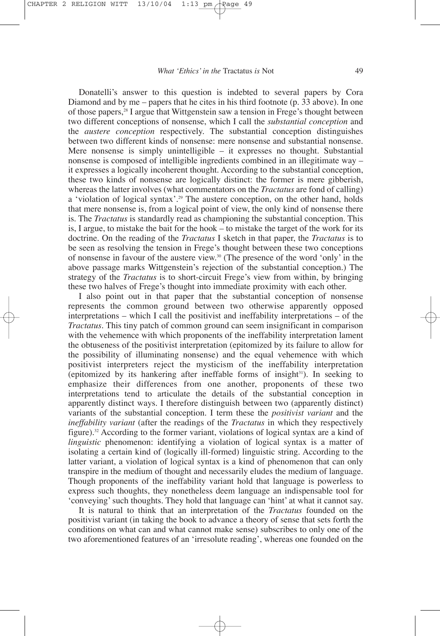Donatelli's answer to this question is indebted to several papers by Cora Diamond and by me – papers that he cites in his third footnote (p. 33 above). In one of those papers,28 I argue that Wittgenstein saw a tension in Frege's thought between two different conceptions of nonsense, which I call the *substantial conception* and the *austere conception* respectively. The substantial conception distinguishes between two different kinds of nonsense: mere nonsense and substantial nonsense. Mere nonsense is simply unintelligible – it expresses no thought. Substantial nonsense is composed of intelligible ingredients combined in an illegitimate way – it expresses a logically incoherent thought. According to the substantial conception, these two kinds of nonsense are logically distinct: the former is mere gibberish, whereas the latter involves (what commentators on the *Tractatus* are fond of calling) a 'violation of logical syntax'.29 The austere conception, on the other hand, holds that mere nonsense is, from a logical point of view, the only kind of nonsense there is. The *Tractatus* is standardly read as championing the substantial conception. This is, I argue, to mistake the bait for the hook – to mistake the target of the work for its doctrine. On the reading of the *Tractatus* I sketch in that paper, the *Tractatus* is to be seen as resolving the tension in Frege's thought between these two conceptions of nonsense in favour of the austere view.30 (The presence of the word 'only' in the above passage marks Wittgenstein's rejection of the substantial conception.) The strategy of the *Tractatus* is to short-circuit Frege's view from within, by bringing these two halves of Frege's thought into immediate proximity with each other.

I also point out in that paper that the substantial conception of nonsense represents the common ground between two otherwise apparently opposed interpretations – which I call the positivist and ineffability interpretations – of the *Tractatus*. This tiny patch of common ground can seem insignificant in comparison with the vehemence with which proponents of the ineffability interpretation lament the obtuseness of the positivist interpretation (epitomized by its failure to allow for the possibility of illuminating nonsense) and the equal vehemence with which positivist interpreters reject the mysticism of the ineffability interpretation (epitomized by its hankering after ineffable forms of insight $31$ ). In seeking to emphasize their differences from one another, proponents of these two interpretations tend to articulate the details of the substantial conception in apparently distinct ways. I therefore distinguish between two (apparently distinct) variants of the substantial conception. I term these the *positivist variant* and the *ineffability variant* (after the readings of the *Tractatus* in which they respectively figure).<sup>32</sup> According to the former variant, violations of logical syntax are a kind of *linguistic* phenomenon: identifying a violation of logical syntax is a matter of isolating a certain kind of (logically ill-formed) linguistic string. According to the latter variant, a violation of logical syntax is a kind of phenomenon that can only transpire in the medium of thought and necessarily eludes the medium of language. Though proponents of the ineffability variant hold that language is powerless to express such thoughts, they nonetheless deem language an indispensable tool for 'conveying' such thoughts. They hold that language can 'hint' at what it cannot say.

It is natural to think that an interpretation of the *Tractatus* founded on the positivist variant (in taking the book to advance a theory of sense that sets forth the conditions on what can and what cannot make sense) subscribes to only one of the two aforementioned features of an 'irresolute reading', whereas one founded on the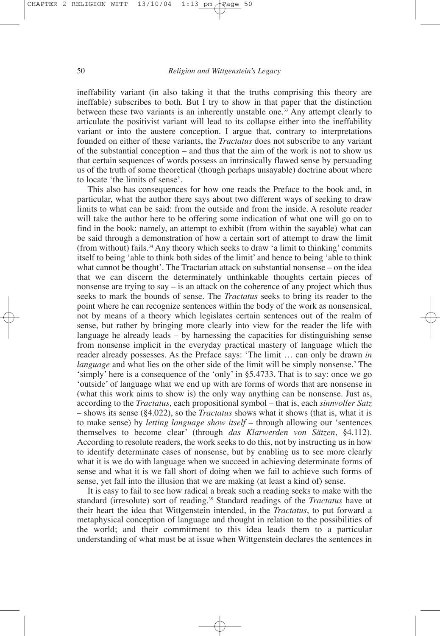ineffability variant (in also taking it that the truths comprising this theory are ineffable) subscribes to both. But I try to show in that paper that the distinction between these two variants is an inherently unstable one.33 Any attempt clearly to articulate the positivist variant will lead to its collapse either into the ineffability variant or into the austere conception. I argue that, contrary to interpretations founded on either of these variants, the *Tractatus* does not subscribe to any variant of the substantial conception – and thus that the aim of the work is not to show us that certain sequences of words possess an intrinsically flawed sense by persuading us of the truth of some theoretical (though perhaps unsayable) doctrine about where to locate 'the limits of sense'.

This also has consequences for how one reads the Preface to the book and, in particular, what the author there says about two different ways of seeking to draw limits to what can be said: from the outside and from the inside. A resolute reader will take the author here to be offering some indication of what one will go on to find in the book: namely, an attempt to exhibit (from within the sayable) what can be said through a demonstration of how a certain sort of attempt to draw the limit (from without) fails.34 Any theory which seeks to draw 'a limit to thinking' commits itself to being 'able to think both sides of the limit' and hence to being 'able to think what cannot be thought'. The Tractarian attack on substantial nonsense – on the idea that we can discern the determinately unthinkable thoughts certain pieces of nonsense are trying to say – is an attack on the coherence of any project which thus seeks to mark the bounds of sense. The *Tractatus* seeks to bring its reader to the point where he can recognize sentences within the body of the work as nonsensical, not by means of a theory which legislates certain sentences out of the realm of sense, but rather by bringing more clearly into view for the reader the life with language he already leads – by harnessing the capacities for distinguishing sense from nonsense implicit in the everyday practical mastery of language which the reader already possesses. As the Preface says: 'The limit … can only be drawn *in language* and what lies on the other side of the limit will be simply nonsense.' The 'simply' here is a consequence of the 'only' in §5.4733. That is to say: once we go 'outside' of language what we end up with are forms of words that are nonsense in (what this work aims to show is) the only way anything can be nonsense. Just as, according to the *Tractatus*, each propositional symbol – that is, each *sinnvoller Satz* – shows its sense (§4.022), so the *Tractatus* shows what it shows (that is, what it is to make sense) by *letting language show itself* – through allowing our 'sentences themselves to become clear' (through *das Klarwerden von Sätzen*, §4.112). According to resolute readers, the work seeks to do this, not by instructing us in how to identify determinate cases of nonsense, but by enabling us to see more clearly what it is we do with language when we succeed in achieving determinate forms of sense and what it is we fall short of doing when we fail to achieve such forms of sense, yet fall into the illusion that we are making (at least a kind of) sense.

It is easy to fail to see how radical a break such a reading seeks to make with the standard (irresolute) sort of reading.35 Standard readings of the *Tractatus* have at their heart the idea that Wittgenstein intended, in the *Tractatus*, to put forward a metaphysical conception of language and thought in relation to the possibilities of the world; and their commitment to this idea leads them to a particular understanding of what must be at issue when Wittgenstein declares the sentences in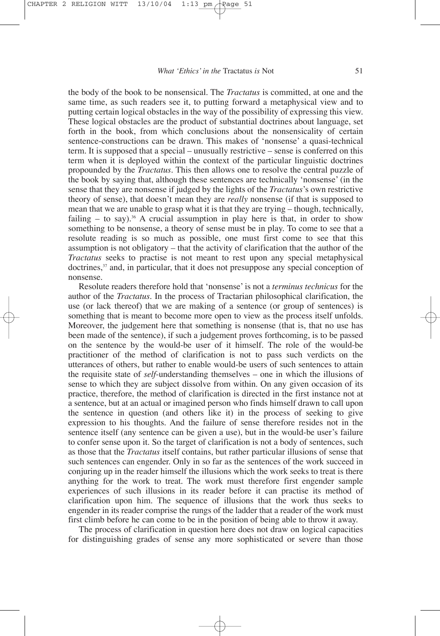the body of the book to be nonsensical. The *Tractatus* is committed, at one and the same time, as such readers see it, to putting forward a metaphysical view and to putting certain logical obstacles in the way of the possibility of expressing this view. These logical obstacles are the product of substantial doctrines about language, set forth in the book, from which conclusions about the nonsensicality of certain sentence-constructions can be drawn. This makes of 'nonsense' a quasi-technical term. It is supposed that a special – unusually restrictive – sense is conferred on this term when it is deployed within the context of the particular linguistic doctrines propounded by the *Tractatus*. This then allows one to resolve the central puzzle of the book by saying that, although these sentences are technically 'nonsense' (in the sense that they are nonsense if judged by the lights of the *Tractatus*'s own restrictive theory of sense), that doesn't mean they are *really* nonsense (if that is supposed to mean that we are unable to grasp what it is that they are trying – though, technically, failing  $-$  to say).<sup>36</sup> A crucial assumption in play here is that, in order to show something to be nonsense, a theory of sense must be in play. To come to see that a resolute reading is so much as possible, one must first come to see that this assumption is not obligatory – that the activity of clarification that the author of the *Tractatus* seeks to practise is not meant to rest upon any special metaphysical doctrines,37 and, in particular, that it does not presuppose any special conception of nonsense.

Resolute readers therefore hold that 'nonsense' is not a *terminus technicus* for the author of the *Tractatus*. In the process of Tractarian philosophical clarification, the use (or lack thereof) that we are making of a sentence (or group of sentences) is something that is meant to become more open to view as the process itself unfolds. Moreover, the judgement here that something is nonsense (that is, that no use has been made of the sentence), if such a judgement proves forthcoming, is to be passed on the sentence by the would-be user of it himself. The role of the would-be practitioner of the method of clarification is not to pass such verdicts on the utterances of others, but rather to enable would-be users of such sentences to attain the requisite state of *self*-understanding themselves – one in which the illusions of sense to which they are subject dissolve from within. On any given occasion of its practice, therefore, the method of clarification is directed in the first instance not at a sentence, but at an actual or imagined person who finds himself drawn to call upon the sentence in question (and others like it) in the process of seeking to give expression to his thoughts. And the failure of sense therefore resides not in the sentence itself (any sentence can be given a use), but in the would-be user's failure to confer sense upon it. So the target of clarification is not a body of sentences, such as those that the *Tractatus* itself contains, but rather particular illusions of sense that such sentences can engender. Only in so far as the sentences of the work succeed in conjuring up in the reader himself the illusions which the work seeks to treat is there anything for the work to treat. The work must therefore first engender sample experiences of such illusions in its reader before it can practise its method of clarification upon him. The sequence of illusions that the work thus seeks to engender in its reader comprise the rungs of the ladder that a reader of the work must first climb before he can come to be in the position of being able to throw it away.

The process of clarification in question here does not draw on logical capacities for distinguishing grades of sense any more sophisticated or severe than those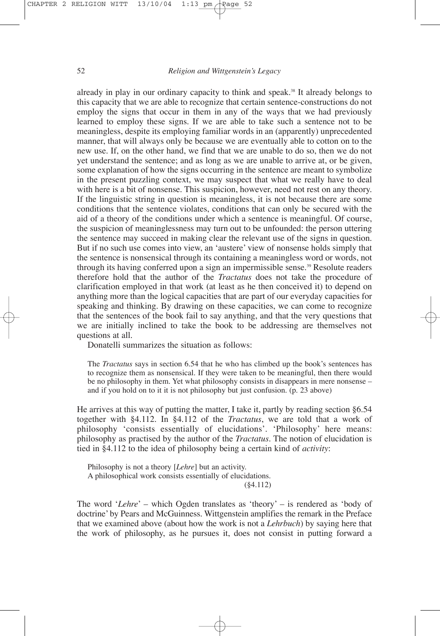already in play in our ordinary capacity to think and speak.38 It already belongs to this capacity that we are able to recognize that certain sentence-constructions do not employ the signs that occur in them in any of the ways that we had previously learned to employ these signs. If we are able to take such a sentence not to be meaningless, despite its employing familiar words in an (apparently) unprecedented manner, that will always only be because we are eventually able to cotton on to the new use. If, on the other hand, we find that we are unable to do so, then we do not yet understand the sentence; and as long as we are unable to arrive at, or be given, some explanation of how the signs occurring in the sentence are meant to symbolize in the present puzzling context, we may suspect that what we really have to deal with here is a bit of nonsense. This suspicion, however, need not rest on any theory. If the linguistic string in question is meaningless, it is not because there are some conditions that the sentence violates, conditions that can only be secured with the aid of a theory of the conditions under which a sentence is meaningful. Of course, the suspicion of meaninglessness may turn out to be unfounded: the person uttering the sentence may succeed in making clear the relevant use of the signs in question. But if no such use comes into view, an 'austere' view of nonsense holds simply that the sentence is nonsensical through its containing a meaningless word or words, not through its having conferred upon a sign an impermissible sense.<sup>39</sup> Resolute readers therefore hold that the author of the *Tractatus* does not take the procedure of clarification employed in that work (at least as he then conceived it) to depend on anything more than the logical capacities that are part of our everyday capacities for speaking and thinking. By drawing on these capacities, we can come to recognize that the sentences of the book fail to say anything, and that the very questions that we are initially inclined to take the book to be addressing are themselves not questions at all.

Donatelli summarizes the situation as follows:

The *Tractatus* says in section 6.54 that he who has climbed up the book's sentences has to recognize them as nonsensical. If they were taken to be meaningful, then there would be no philosophy in them. Yet what philosophy consists in disappears in mere nonsense – and if you hold on to it it is not philosophy but just confusion. (p. 23 above)

He arrives at this way of putting the matter, I take it, partly by reading section §6.54 together with §4.112. In §4.112 of the *Tractatus*, we are told that a work of philosophy 'consists essentially of elucidations'. 'Philosophy' here means: philosophy as practised by the author of the *Tractatus*. The notion of elucidation is tied in §4.112 to the idea of philosophy being a certain kind of *activity*:

Philosophy is not a theory [*Lehre*] but an activity. A philosophical work consists essentially of elucidations. (§4.112)

The word '*Lehre*' – which Ogden translates as 'theory' – is rendered as 'body of doctrine' by Pears and McGuinness. Wittgenstein amplifies the remark in the Preface that we examined above (about how the work is not a *Lehrbuch*) by saying here that the work of philosophy, as he pursues it, does not consist in putting forward a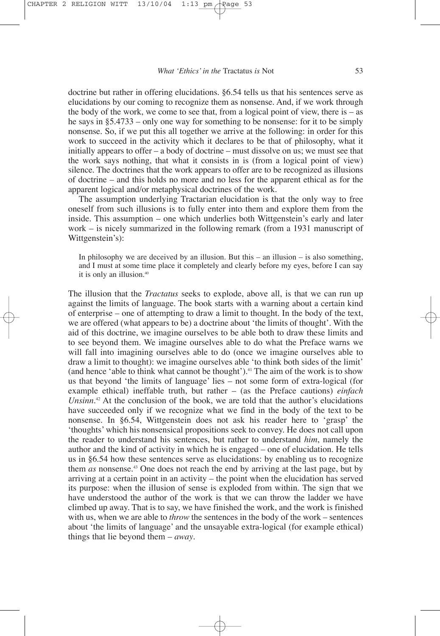CHAPTER 2 RELIGION WITT 13/10/04

doctrine but rather in offering elucidations. §6.54 tells us that his sentences serve as elucidations by our coming to recognize them as nonsense. And, if we work through the body of the work, we come to see that, from a logical point of view, there is  $-$  as he says in §5.4733 – only one way for something to be nonsense: for it to be simply nonsense. So, if we put this all together we arrive at the following: in order for this work to succeed in the activity which it declares to be that of philosophy, what it initially appears to offer – a body of doctrine – must dissolve on us; we must see that the work says nothing, that what it consists in is (from a logical point of view) silence. The doctrines that the work appears to offer are to be recognized as illusions of doctrine – and this holds no more and no less for the apparent ethical as for the apparent logical and/or metaphysical doctrines of the work.

The assumption underlying Tractarian elucidation is that the only way to free oneself from such illusions is to fully enter into them and explore them from the inside. This assumption – one which underlies both Wittgenstein's early and later work – is nicely summarized in the following remark (from a 1931 manuscript of Wittgenstein's):

In philosophy we are deceived by an illusion. But this – an illusion – is also something, and I must at some time place it completely and clearly before my eyes, before I can say it is only an illusion.<sup>40</sup>

The illusion that the *Tractatus* seeks to explode, above all, is that we can run up against the limits of language. The book starts with a warning about a certain kind of enterprise – one of attempting to draw a limit to thought. In the body of the text, we are offered (what appears to be) a doctrine about 'the limits of thought'. With the aid of this doctrine, we imagine ourselves to be able both to draw these limits and to see beyond them. We imagine ourselves able to do what the Preface warns we will fall into imagining ourselves able to do (once we imagine ourselves able to draw a limit to thought): we imagine ourselves able 'to think both sides of the limit' (and hence 'able to think what cannot be thought').41 The aim of the work is to show us that beyond 'the limits of language' lies – not some form of extra-logical (for example ethical) ineffable truth, but rather – (as the Preface cautions) *einfach Unsinn*. <sup>42</sup> At the conclusion of the book, we are told that the author's elucidations have succeeded only if we recognize what we find in the body of the text to be nonsense. In §6.54, Wittgenstein does not ask his reader here to 'grasp' the 'thoughts' which his nonsensical propositions seek to convey. He does not call upon the reader to understand his sentences, but rather to understand *him*, namely the author and the kind of activity in which he is engaged – one of elucidation. He tells us in §6.54 how these sentences serve as elucidations: by enabling us to recognize them *as* nonsense.43 One does not reach the end by arriving at the last page, but by arriving at a certain point in an activity – the point when the elucidation has served its purpose: when the illusion of sense is exploded from within. The sign that we have understood the author of the work is that we can throw the ladder we have climbed up away. That is to say, we have finished the work, and the work is finished with us, when we are able to *throw* the sentences in the body of the work – sentences about 'the limits of language' and the unsayable extra-logical (for example ethical) things that lie beyond them – *away*.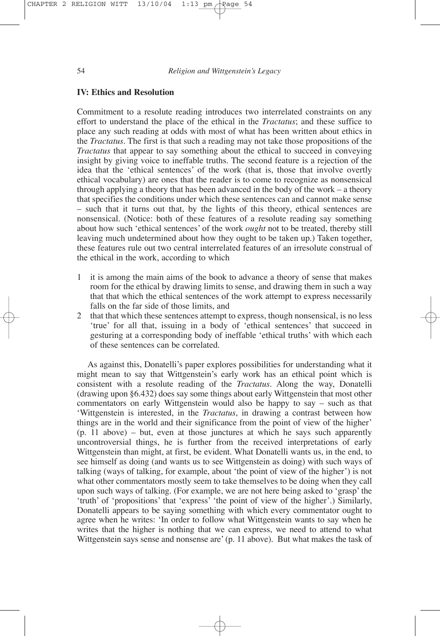#### **IV: Ethics and Resolution**

Commitment to a resolute reading introduces two interrelated constraints on any effort to understand the place of the ethical in the *Tractatus*; and these suffice to place any such reading at odds with most of what has been written about ethics in the *Tractatus*. The first is that such a reading may not take those propositions of the *Tractatus* that appear to say something about the ethical to succeed in conveying insight by giving voice to ineffable truths. The second feature is a rejection of the idea that the 'ethical sentences' of the work (that is, those that involve overtly ethical vocabulary) are ones that the reader is to come to recognize as nonsensical through applying a theory that has been advanced in the body of the work – a theory that specifies the conditions under which these sentences can and cannot make sense – such that it turns out that, by the lights of this theory, ethical sentences are nonsensical. (Notice: both of these features of a resolute reading say something about how such 'ethical sentences' of the work *ought* not to be treated, thereby still leaving much undetermined about how they ought to be taken up.) Taken together, these features rule out two central interrelated features of an irresolute construal of the ethical in the work, according to which

- 1 it is among the main aims of the book to advance a theory of sense that makes room for the ethical by drawing limits to sense, and drawing them in such a way that that which the ethical sentences of the work attempt to express necessarily falls on the far side of those limits, and
- that that which these sentences attempt to express, though nonsensical, is no less 'true' for all that, issuing in a body of 'ethical sentences' that succeed in gesturing at a corresponding body of ineffable 'ethical truths' with which each of these sentences can be correlated.

As against this, Donatelli's paper explores possibilities for understanding what it might mean to say that Wittgenstein's early work has an ethical point which is consistent with a resolute reading of the *Tractatus*. Along the way, Donatelli (drawing upon §6.432) does say some things about early Wittgenstein that most other commentators on early Wittgenstein would also be happy to say – such as that 'Wittgenstein is interested, in the *Tractatus*, in drawing a contrast between how things are in the world and their significance from the point of view of the higher' (p. 11 above) – but, even at those junctures at which he says such apparently uncontroversial things, he is further from the received interpretations of early Wittgenstein than might, at first, be evident. What Donatelli wants us, in the end, to see himself as doing (and wants us to see Wittgenstein as doing) with such ways of talking (ways of talking, for example, about 'the point of view of the higher') is not what other commentators mostly seem to take themselves to be doing when they call upon such ways of talking. (For example, we are not here being asked to 'grasp' the 'truth' of 'propositions' that 'express' 'the point of view of the higher'.) Similarly, Donatelli appears to be saying something with which every commentator ought to agree when he writes: 'In order to follow what Wittgenstein wants to say when he writes that the higher is nothing that we can express, we need to attend to what Wittgenstein says sense and nonsense are' (p. 11 above). But what makes the task of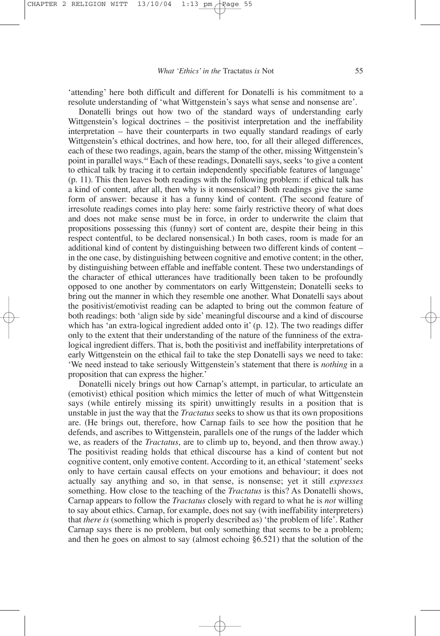'attending' here both difficult and different for Donatelli is his commitment to a resolute understanding of 'what Wittgenstein's says what sense and nonsense are'.

Donatelli brings out how two of the standard ways of understanding early Wittgenstein's logical doctrines – the positivist interpretation and the ineffability interpretation – have their counterparts in two equally standard readings of early Wittgenstein's ethical doctrines, and how here, too, for all their alleged differences, each of these two readings, again, bears the stamp of the other, missing Wittgenstein's point in parallel ways.44 Each of these readings, Donatelli says, seeks 'to give a content to ethical talk by tracing it to certain independently specifiable features of language' (p. 11). This then leaves both readings with the following problem: if ethical talk has a kind of content, after all, then why is it nonsensical? Both readings give the same form of answer: because it has a funny kind of content. (The second feature of irresolute readings comes into play here: some fairly restrictive theory of what does and does not make sense must be in force, in order to underwrite the claim that propositions possessing this (funny) sort of content are, despite their being in this respect contentful, to be declared nonsensical.) In both cases, room is made for an additional kind of content by distinguishing between two different kinds of content – in the one case, by distinguishing between cognitive and emotive content; in the other, by distinguishing between effable and ineffable content. These two understandings of the character of ethical utterances have traditionally been taken to be profoundly opposed to one another by commentators on early Wittgenstein; Donatelli seeks to bring out the manner in which they resemble one another. What Donatelli says about the positivist/emotivist reading can be adapted to bring out the common feature of both readings: both 'align side by side' meaningful discourse and a kind of discourse which has 'an extra-logical ingredient added onto it' (p. 12). The two readings differ only to the extent that their understanding of the nature of the funniness of the extralogical ingredient differs. That is, both the positivist and ineffability interpretations of early Wittgenstein on the ethical fail to take the step Donatelli says we need to take: 'We need instead to take seriously Wittgenstein's statement that there is *nothing* in a proposition that can express the higher.'

Donatelli nicely brings out how Carnap's attempt, in particular, to articulate an (emotivist) ethical position which mimics the letter of much of what Wittgenstein says (while entirely missing its spirit) unwittingly results in a position that is unstable in just the way that the *Tractatus* seeks to show us that its own propositions are. (He brings out, therefore, how Carnap fails to see how the position that he defends, and ascribes to Wittgenstein, parallels one of the rungs of the ladder which we, as readers of the *Tractatus*, are to climb up to, beyond, and then throw away.) The positivist reading holds that ethical discourse has a kind of content but not cognitive content, only emotive content. According to it, an ethical 'statement' seeks only to have certain causal effects on your emotions and behaviour; it does not actually say anything and so, in that sense, is nonsense; yet it still *expresses* something. How close to the teaching of the *Tractatus* is this? As Donatelli shows, Carnap appears to follow the *Tractatus* closely with regard to what he is *not* willing to say about ethics. Carnap, for example, does not say (with ineffability interpreters) that *there is* (something which is properly described as) 'the problem of life'. Rather Carnap says there is no problem, but only something that seems to be a problem; and then he goes on almost to say (almost echoing §6.521) that the solution of the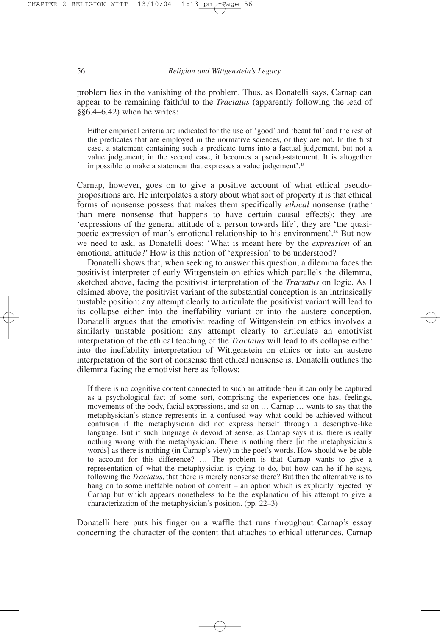problem lies in the vanishing of the problem. Thus, as Donatelli says, Carnap can appear to be remaining faithful to the *Tractatus* (apparently following the lead of §§6.4–6.42) when he writes:

Either empirical criteria are indicated for the use of 'good' and 'beautiful' and the rest of the predicates that are employed in the normative sciences, or they are not. In the first case, a statement containing such a predicate turns into a factual judgement, but not a value judgement; in the second case, it becomes a pseudo-statement. It is altogether impossible to make a statement that expresses a value judgement'.<sup>45</sup>

Carnap, however, goes on to give a positive account of what ethical pseudopropositions are. He interpolates a story about what sort of property it is that ethical forms of nonsense possess that makes them specifically *ethical* nonsense (rather than mere nonsense that happens to have certain causal effects): they are 'expressions of the general attitude of a person towards life', they are 'the quasipoetic expression of man's emotional relationship to his environment'.<sup>46</sup> But now we need to ask, as Donatelli does: 'What is meant here by the *expression* of an emotional attitude?' How is this notion of 'expression' to be understood?

Donatelli shows that, when seeking to answer this question, a dilemma faces the positivist interpreter of early Wittgenstein on ethics which parallels the dilemma, sketched above, facing the positivist interpretation of the *Tractatus* on logic. As I claimed above, the positivist variant of the substantial conception is an intrinsically unstable position: any attempt clearly to articulate the positivist variant will lead to its collapse either into the ineffability variant or into the austere conception. Donatelli argues that the emotivist reading of Wittgenstein on ethics involves a similarly unstable position: any attempt clearly to articulate an emotivist interpretation of the ethical teaching of the *Tractatus* will lead to its collapse either into the ineffability interpretation of Wittgenstein on ethics or into an austere interpretation of the sort of nonsense that ethical nonsense is. Donatelli outlines the dilemma facing the emotivist here as follows:

If there is no cognitive content connected to such an attitude then it can only be captured as a psychological fact of some sort, comprising the experiences one has, feelings, movements of the body, facial expressions, and so on … Carnap … wants to say that the metaphysician's stance represents in a confused way what could be achieved without confusion if the metaphysician did not express herself through a descriptive-like language. But if such language *is* devoid of sense, as Carnap says it is, there is really nothing wrong with the metaphysician. There is nothing there [in the metaphysician's words] as there is nothing (in Carnap's view) in the poet's words. How should we be able to account for this difference? … The problem is that Carnap wants to give a representation of what the metaphysician is trying to do, but how can he if he says, following the *Tractatus*, that there is merely nonsense there? But then the alternative is to hang on to some ineffable notion of content – an option which is explicitly rejected by Carnap but which appears nonetheless to be the explanation of his attempt to give a characterization of the metaphysician's position. (pp. 22–3)

Donatelli here puts his finger on a waffle that runs throughout Carnap's essay concerning the character of the content that attaches to ethical utterances. Carnap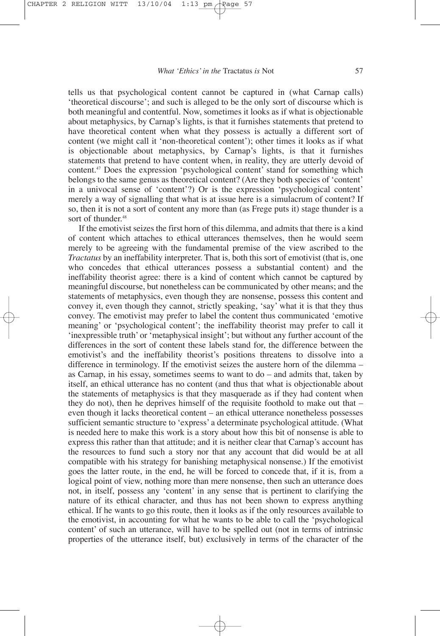tells us that psychological content cannot be captured in (what Carnap calls) 'theoretical discourse'; and such is alleged to be the only sort of discourse which is both meaningful and contentful. Now, sometimes it looks as if what is objectionable about metaphysics, by Carnap's lights, is that it furnishes statements that pretend to have theoretical content when what they possess is actually a different sort of content (we might call it 'non-theoretical content'); other times it looks as if what is objectionable about metaphysics, by Carnap's lights, is that it furnishes statements that pretend to have content when, in reality, they are utterly devoid of content.47 Does the expression 'psychological content' stand for something which belongs to the same genus as theoretical content? (Are they both species of 'content' in a univocal sense of 'content'?) Or is the expression 'psychological content' merely a way of signalling that what is at issue here is a simulacrum of content? If so, then it is not a sort of content any more than (as Frege puts it) stage thunder is a sort of thunder.<sup>48</sup>

If the emotivist seizes the first horn of this dilemma, and admits that there is a kind of content which attaches to ethical utterances themselves, then he would seem merely to be agreeing with the fundamental premise of the view ascribed to the *Tractatus* by an ineffability interpreter. That is, both this sort of emotivist (that is, one who concedes that ethical utterances possess a substantial content) and the ineffability theorist agree: there is a kind of content which cannot be captured by meaningful discourse, but nonetheless can be communicated by other means; and the statements of metaphysics, even though they are nonsense, possess this content and convey it, even though they cannot, strictly speaking, 'say' what it is that they thus convey. The emotivist may prefer to label the content thus communicated 'emotive meaning' or 'psychological content'; the ineffability theorist may prefer to call it 'inexpressible truth' or 'metaphysical insight'; but without any further account of the differences in the sort of content these labels stand for, the difference between the emotivist's and the ineffability theorist's positions threatens to dissolve into a difference in terminology. If the emotivist seizes the austere horn of the dilemma – as Carnap, in his essay, sometimes seems to want to do – and admits that, taken by itself, an ethical utterance has no content (and thus that what is objectionable about the statements of metaphysics is that they masquerade as if they had content when they do not), then he deprives himself of the requisite foothold to make out that – even though it lacks theoretical content – an ethical utterance nonetheless possesses sufficient semantic structure to 'express' a determinate psychological attitude. (What is needed here to make this work is a story about how this bit of nonsense is able to express this rather than that attitude; and it is neither clear that Carnap's account has the resources to fund such a story nor that any account that did would be at all compatible with his strategy for banishing metaphysical nonsense.) If the emotivist goes the latter route, in the end, he will be forced to concede that, if it is, from a logical point of view, nothing more than mere nonsense, then such an utterance does not, in itself, possess any 'content' in any sense that is pertinent to clarifying the nature of its ethical character, and thus has not been shown to express anything ethical. If he wants to go this route, then it looks as if the only resources available to the emotivist, in accounting for what he wants to be able to call the 'psychological content' of such an utterance, will have to be spelled out (not in terms of intrinsic properties of the utterance itself, but) exclusively in terms of the character of the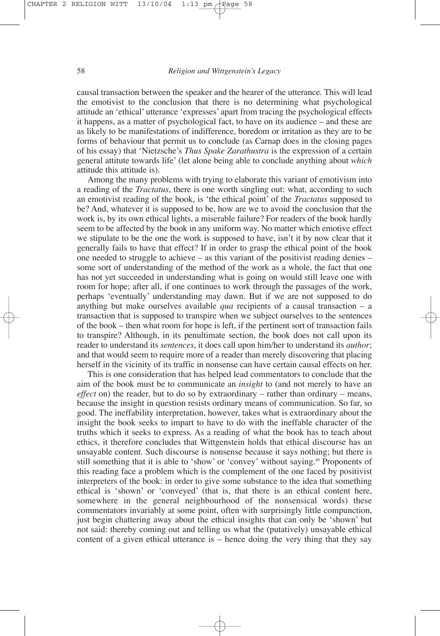causal transaction between the speaker and the hearer of the utterance. This will lead the emotivist to the conclusion that there is no determining what psychological attitude an 'ethical' utterance 'expresses' apart from tracing the psychological effects it happens, as a matter of psychological fact, to have on its audience – and these are as likely to be manifestations of indifference, boredom or irritation as they are to be forms of behaviour that permit us to conclude (as Carnap does in the closing pages of his essay) that 'Nietzsche's *Thus Spake Zarathustra* is the expression of a certain general attitute towards life' (let alone being able to conclude anything about *which* attitude this attitude is).

Among the many problems with trying to elaborate this variant of emotivism into a reading of the *Tractatus*, there is one worth singling out: what, according to such an emotivist reading of the book, is 'the ethical point' of the *Tractatus* supposed to be? And, whatever it is supposed to be, how are we to avoid the conclusion that the work is, by its own ethical lights, a miserable failure? For readers of the book hardly seem to be affected by the book in any uniform way. No matter which emotive effect we stipulate to be the one the work is supposed to have, isn't it by now clear that it generally fails to have that effect? If in order to grasp the ethical point of the book one needed to struggle to achieve – as this variant of the positivist reading denies – some sort of understanding of the method of the work as a whole, the fact that one has not yet succeeded in understanding what is going on would still leave one with room for hope; after all, if one continues to work through the passages of the work, perhaps 'eventually' understanding may dawn. But if we are not supposed to do anything but make ourselves available *qua* recipients of a causal transaction – a transaction that is supposed to transpire when we subject ourselves to the sentences of the book – then what room for hope is left, if the pertinent sort of transaction fails to transpire? Although, in its penultimate section, the book does not call upon its reader to understand its *sentences*, it does call upon him/her to understand its *author*; and that would seem to require more of a reader than merely discovering that placing herself in the vicinity of its traffic in nonsense can have certain causal effects on her.

This is one consideration that has helped lead commentators to conclude that the aim of the book must be to communicate an *insight* to (and not merely to have an *effect* on) the reader, but to do so by extraordinary – rather than ordinary – means, because the insight in question resists ordinary means of communication. So far, so good. The ineffability interpretation, however, takes what is extraordinary about the insight the book seeks to impart to have to do with the ineffable character of the truths which it seeks to express. As a reading of what the book has to teach about ethics, it therefore concludes that Wittgenstein holds that ethical discourse has an unsayable content. Such discourse is nonsense because it says nothing; but there is still something that it is able to 'show' or 'convey' without saying.49 Proponents of this reading face a problem which is the complement of the one faced by positivist interpreters of the book: in order to give some substance to the idea that something ethical is 'shown' or 'conveyed' (that is, that there is an ethical content here, somewhere in the general neighbourhood of the nonsensical words) these commentators invariably at some point, often with surprisingly little compunction, just begin chattering away about the ethical insights that can only be 'shown' but not said: thereby coming out and telling us what the (putatively) unsayable ethical content of a given ethical utterance is – hence doing the very thing that they say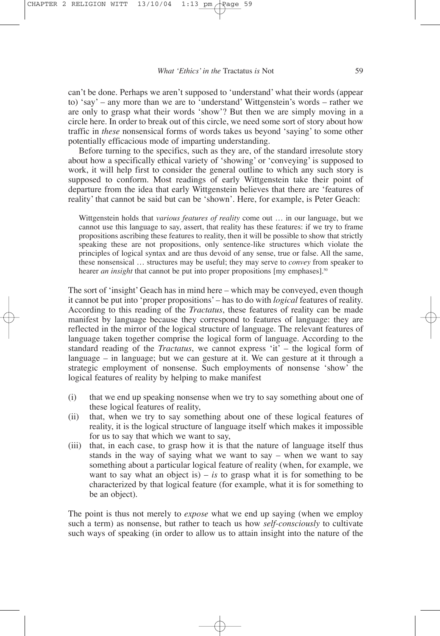can't be done. Perhaps we aren't supposed to 'understand' what their words (appear to) 'say' – any more than we are to 'understand' Wittgenstein's words – rather we are only to grasp what their words 'show'? But then we are simply moving in a circle here. In order to break out of this circle, we need some sort of story about how traffic in *these* nonsensical forms of words takes us beyond 'saying' to some other potentially efficacious mode of imparting understanding.

Before turning to the specifics, such as they are, of the standard irresolute story about how a specifically ethical variety of 'showing' or 'conveying' is supposed to work, it will help first to consider the general outline to which any such story is supposed to conform. Most readings of early Wittgenstein take their point of departure from the idea that early Wittgenstein believes that there are 'features of reality' that cannot be said but can be 'shown'. Here, for example, is Peter Geach:

Wittgenstein holds that *various features of reality* come out … in our language, but we cannot use this language to say, assert, that reality has these features: if we try to frame propositions ascribing these features to reality, then it will be possible to show that strictly speaking these are not propositions, only sentence-like structures which violate the principles of logical syntax and are thus devoid of any sense, true or false. All the same, these nonsensical … structures may be useful; they may serve to *convey* from speaker to hearer *an insight* that cannot be put into proper propositions [my emphases].<sup>50</sup>

The sort of 'insight' Geach has in mind here – which may be conveyed, even though it cannot be put into 'proper propositions' – has to do with *logical* features of reality. According to this reading of the *Tractatus*, these features of reality can be made manifest by language because they correspond to features of language: they are reflected in the mirror of the logical structure of language. The relevant features of language taken together comprise the logical form of language. According to the standard reading of the *Tractatus*, we cannot express 'it' – the logical form of language – in language; but we can gesture at it. We can gesture at it through a strategic employment of nonsense. Such employments of nonsense 'show' the logical features of reality by helping to make manifest

- (i) that we end up speaking nonsense when we try to say something about one of these logical features of reality,
- (ii) that, when we try to say something about one of these logical features of reality, it is the logical structure of language itself which makes it impossible for us to say that which we want to say,
- (iii) that, in each case, to grasp how it is that the nature of language itself thus stands in the way of saying what we want to say – when we want to say something about a particular logical feature of reality (when, for example, we want to say what an object is) – *is* to grasp what it is for something to be characterized by that logical feature (for example, what it is for something to be an object).

The point is thus not merely to *expose* what we end up saying (when we employ such a term) as nonsense, but rather to teach us how *self-consciously* to cultivate such ways of speaking (in order to allow us to attain insight into the nature of the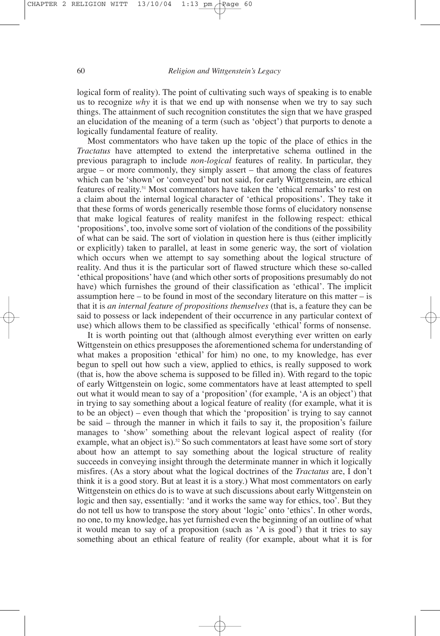logical form of reality). The point of cultivating such ways of speaking is to enable us to recognize *why* it is that we end up with nonsense when we try to say such things. The attainment of such recognition constitutes the sign that we have grasped an elucidation of the meaning of a term (such as 'object') that purports to denote a logically fundamental feature of reality.

Most commentators who have taken up the topic of the place of ethics in the *Tractatus* have attempted to extend the interpretative schema outlined in the previous paragraph to include *non-logical* features of reality. In particular, they argue – or more commonly, they simply assert – that among the class of features which can be 'shown' or 'conveyed' but not said, for early Wittgenstein, are ethical features of reality.51 Most commentators have taken the 'ethical remarks' to rest on a claim about the internal logical character of 'ethical propositions'. They take it that these forms of words generically resemble those forms of elucidatory nonsense that make logical features of reality manifest in the following respect: ethical 'propositions', too, involve some sort of violation of the conditions of the possibility of what can be said. The sort of violation in question here is thus (either implicitly or explicitly) taken to parallel, at least in some generic way, the sort of violation which occurs when we attempt to say something about the logical structure of reality. And thus it is the particular sort of flawed structure which these so-called 'ethical propositions' have (and which other sorts of propositions presumably do not have) which furnishes the ground of their classification as 'ethical'. The implicit assumption here – to be found in most of the secondary literature on this matter – is that it is *an internal feature of propositions themselves* (that is, a feature they can be said to possess or lack independent of their occurrence in any particular context of use) which allows them to be classified as specifically 'ethical' forms of nonsense.

It is worth pointing out that (although almost everything ever written on early Wittgenstein on ethics presupposes the aforementioned schema for understanding of what makes a proposition 'ethical' for him) no one, to my knowledge, has ever begun to spell out how such a view, applied to ethics, is really supposed to work (that is, how the above schema is supposed to be filled in). With regard to the topic of early Wittgenstein on logic, some commentators have at least attempted to spell out what it would mean to say of a 'proposition' (for example, 'A is an object') that in trying to say something about a logical feature of reality (for example, what it is to be an object) – even though that which the 'proposition' is trying to say cannot be said – through the manner in which it fails to say it, the proposition's failure manages to 'show' something about the relevant logical aspect of reality (for example, what an object is).<sup>52</sup> So such commentators at least have some sort of story about how an attempt to say something about the logical structure of reality succeeds in conveying insight through the determinate manner in which it logically misfires. (As a story about what the logical doctrines of the *Tractatus* are, I don't think it is a good story. But at least it is a story.) What most commentators on early Wittgenstein on ethics do is to wave at such discussions about early Wittgenstein on logic and then say, essentially: 'and it works the same way for ethics, too'. But they do not tell us how to transpose the story about 'logic' onto 'ethics'. In other words, no one, to my knowledge, has yet furnished even the beginning of an outline of what it would mean to say of a proposition (such as 'A is good') that it tries to say something about an ethical feature of reality (for example, about what it is for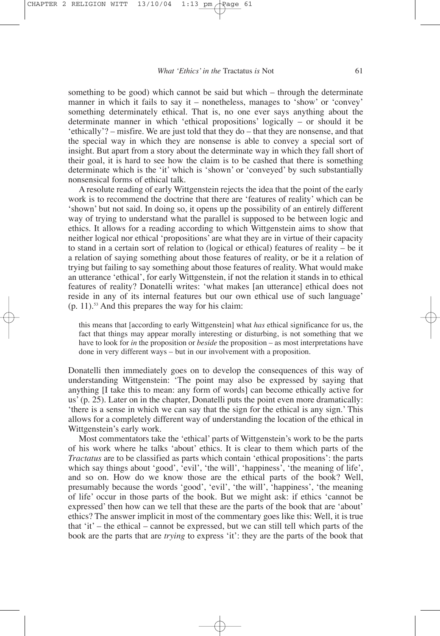something to be good) which cannot be said but which – through the determinate manner in which it fails to say it – nonetheless, manages to 'show' or 'convey' something determinately ethical. That is, no one ever says anything about the determinate manner in which 'ethical propositions' logically – or should it be 'ethically'? – misfire. We are just told that they do – that they are nonsense, and that the special way in which they are nonsense is able to convey a special sort of insight. But apart from a story about the determinate way in which they fall short of their goal, it is hard to see how the claim is to be cashed that there is something determinate which is the 'it' which is 'shown' or 'conveyed' by such substantially nonsensical forms of ethical talk.

A resolute reading of early Wittgenstein rejects the idea that the point of the early work is to recommend the doctrine that there are 'features of reality' which can be 'shown' but not said. In doing so, it opens up the possibility of an entirely different way of trying to understand what the parallel is supposed to be between logic and ethics. It allows for a reading according to which Wittgenstein aims to show that neither logical nor ethical 'propositions' are what they are in virtue of their capacity to stand in a certain sort of relation to (logical or ethical) features of reality – be it a relation of saying something about those features of reality, or be it a relation of trying but failing to say something about those features of reality. What would make an utterance 'ethical', for early Wittgenstein, if not the relation it stands in to ethical features of reality? Donatelli writes: 'what makes [an utterance] ethical does not reside in any of its internal features but our own ethical use of such language'  $(p. 11).<sup>53</sup>$  And this prepares the way for his claim:

this means that [according to early Wittgenstein] what *has* ethical significance for us, the fact that things may appear morally interesting or disturbing, is not something that we have to look for *in* the proposition or *beside* the proposition – as most interpretations have done in very different ways – but in our involvement with a proposition.

Donatelli then immediately goes on to develop the consequences of this way of understanding Wittgenstein: 'The point may also be expressed by saying that anything [I take this to mean: any form of words] can become ethically active for us' (p. 25). Later on in the chapter, Donatelli puts the point even more dramatically: 'there is a sense in which we can say that the sign for the ethical is any sign.' This allows for a completely different way of understanding the location of the ethical in Wittgenstein's early work.

Most commentators take the 'ethical' parts of Wittgenstein's work to be the parts of his work where he talks 'about' ethics. It is clear to them which parts of the *Tractatus* are to be classified as parts which contain 'ethical propositions': the parts which say things about 'good', 'evil', 'the will', 'happiness', 'the meaning of life', and so on. How do we know those are the ethical parts of the book? Well, presumably because the words 'good', 'evil', 'the will', 'happiness', 'the meaning of life' occur in those parts of the book. But we might ask: if ethics 'cannot be expressed' then how can we tell that these are the parts of the book that are 'about' ethics? The answer implicit in most of the commentary goes like this: Well, it is true that 'it' – the ethical – cannot be expressed, but we can still tell which parts of the book are the parts that are *trying* to express 'it': they are the parts of the book that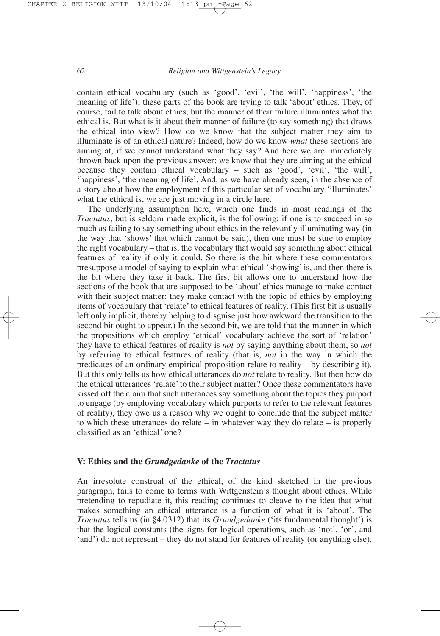contain ethical vocabulary (such as 'good', 'evil', 'the will', 'happiness', 'the meaning of life'); these parts of the book are trying to talk 'about' ethics. They, of course, fail to talk about ethics, but the manner of their failure illuminates what the ethical is. But what is it about their manner of failure (to say something) that draws the ethical into view? How do we know that the subject matter they aim to illuminate is of an ethical nature? Indeed, how do we know *what* these sections are aiming at, if we cannot understand what they say? And here we are immediately thrown back upon the previous answer: we know that they are aiming at the ethical because they contain ethical vocabulary – such as 'good', 'evil', 'the will', 'happiness', 'the meaning of life'. And, as we have already seen, in the absence of a story about how the employment of this particular set of vocabulary 'illuminates' what the ethical is, we are just moving in a circle here.

The underlying assumption here, which one finds in most readings of the *Tractatus*, but is seldom made explicit, is the following: if one is to succeed in so much as failing to say something about ethics in the relevantly illuminating way (in the way that 'shows' that which cannot be said), then one must be sure to employ the right vocabulary – that is, the vocabulary that would say something about ethical features of reality if only it could. So there is the bit where these commentators presuppose a model of saying to explain what ethical 'showing' is, and then there is the bit where they take it back. The first bit allows one to understand how the sections of the book that are supposed to be 'about' ethics manage to make contact with their subject matter: they make contact with the topic of ethics by employing items of vocabulary that 'relate' to ethical features of reality. (This first bit is usually left only implicit, thereby helping to disguise just how awkward the transition to the second bit ought to appear.) In the second bit, we are told that the manner in which the propositions which employ 'ethical' vocabulary achieve the sort of 'relation' they have to ethical features of reality is *not* by saying anything about them, so *not* by referring to ethical features of reality (that is, *not* in the way in which the predicates of an ordinary empirical proposition relate to reality – by describing it). But this only tells us how ethical utterances do *not* relate to reality. But then how do the ethical utterances 'relate' to their subject matter? Once these commentators have kissed off the claim that such utterances say something about the topics they purport to engage (by employing vocabulary which purports to refer to the relevant features of reality), they owe us a reason why we ought to conclude that the subject matter to which these utterances do relate – in whatever way they do relate – is properly classified as an 'ethical' one?

#### **V: Ethics and the** *Grundgedanke* **of the** *Tractatus*

An irresolute construal of the ethical, of the kind sketched in the previous paragraph, fails to come to terms with Wittgenstein's thought about ethics. While pretending to repudiate it, this reading continues to cleave to the idea that what makes something an ethical utterance is a function of what it is 'about'. The *Tractatus* tells us (in §4.0312) that its *Grundgedanke* ('its fundamental thought') is that the logical constants (the signs for logical operations, such as 'not', 'or', and 'and') do not represent – they do not stand for features of reality (or anything else).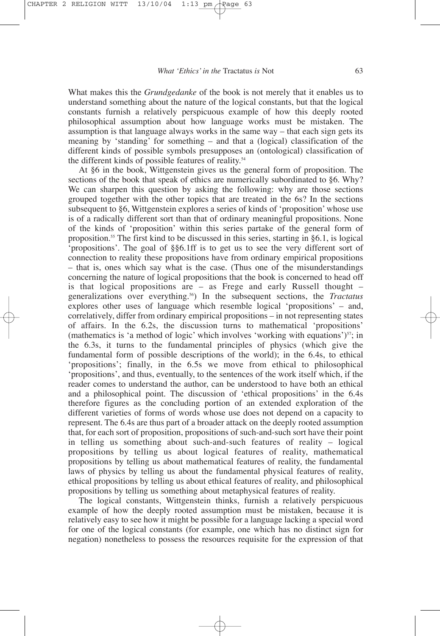What makes this the *Grundgedanke* of the book is not merely that it enables us to understand something about the nature of the logical constants, but that the logical constants furnish a relatively perspicuous example of how this deeply rooted philosophical assumption about how language works must be mistaken. The assumption is that language always works in the same way – that each sign gets its meaning by 'standing' for something – and that a (logical) classification of the different kinds of possible symbols presupposes an (ontological) classification of the different kinds of possible features of reality.<sup>54</sup>

At §6 in the book, Wittgenstein gives us the general form of proposition. The sections of the book that speak of ethics are numerically subordinated to §6. Why? We can sharpen this question by asking the following: why are those sections grouped together with the other topics that are treated in the 6s? In the sections subsequent to §6, Wittgenstein explores a series of kinds of 'proposition' whose use is of a radically different sort than that of ordinary meaningful propositions. None of the kinds of 'proposition' within this series partake of the general form of proposition.<sup>55</sup> The first kind to be discussed in this series, starting in  $\S6.1$ , is logical 'propositions'. The goal of §§6.1ff is to get us to see the very different sort of connection to reality these propositions have from ordinary empirical propositions – that is, ones which say what is the case. (Thus one of the misunderstandings concerning the nature of logical propositions that the book is concerned to head off is that logical propositions are – as Frege and early Russell thought – generalizations over everything.56) In the subsequent sections, the *Tractatus* explores other uses of language which resemble logical 'propositions' – and, correlatively, differ from ordinary empirical propositions – in not representing states of affairs. In the 6.2s, the discussion turns to mathematical 'propositions' (mathematics is 'a method of logic' which involves 'working with equations') $57$ ; in the 6.3s, it turns to the fundamental principles of physics (which give the fundamental form of possible descriptions of the world); in the 6.4s, to ethical 'propositions'; finally, in the 6.5s we move from ethical to philosophical 'propositions', and thus, eventually, to the sentences of the work itself which, if the reader comes to understand the author, can be understood to have both an ethical and a philosophical point. The discussion of 'ethical propositions' in the 6.4s therefore figures as the concluding portion of an extended exploration of the different varieties of forms of words whose use does not depend on a capacity to represent. The 6.4s are thus part of a broader attack on the deeply rooted assumption that, for each sort of proposition, propositions of such-and-such sort have their point in telling us something about such-and-such features of reality – logical propositions by telling us about logical features of reality, mathematical propositions by telling us about mathematical features of reality, the fundamental laws of physics by telling us about the fundamental physical features of reality, ethical propositions by telling us about ethical features of reality, and philosophical propositions by telling us something about metaphysical features of reality.

The logical constants, Wittgenstein thinks, furnish a relatively perspicuous example of how the deeply rooted assumption must be mistaken, because it is relatively easy to see how it might be possible for a language lacking a special word for one of the logical constants (for example, one which has no distinct sign for negation) nonetheless to possess the resources requisite for the expression of that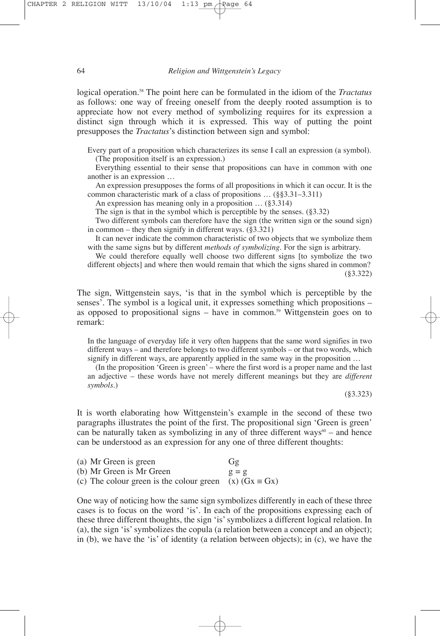logical operation.58 The point here can be formulated in the idiom of the *Tractatus* as follows: one way of freeing oneself from the deeply rooted assumption is to appreciate how not every method of symbolizing requires for its expression a distinct sign through which it is expressed. This way of putting the point presupposes the *Tractatus*'s distinction between sign and symbol:

Every part of a proposition which characterizes its sense I call an expression (a symbol). (The proposition itself is an expression.)

Everything essential to their sense that propositions can have in common with one another is an expression …

An expression presupposes the forms of all propositions in which it can occur. It is the common characteristic mark of a class of propositions … (§§3.31–3.311)

An expression has meaning only in a proposition … (§3.314)

The sign is that in the symbol which is perceptible by the senses.  $(\S 3.32)$ 

Two different symbols can therefore have the sign (the written sign or the sound sign) in common – they then signify in different ways.  $(\S 3.321)$ 

It can never indicate the common characteristic of two objects that we symbolize them with the same signs but by different *methods of symbolizing*. For the sign is arbitrary.

We could therefore equally well choose two different signs [to symbolize the two different objects] and where then would remain that which the signs shared in common? (§3.322)

The sign, Wittgenstein says, 'is that in the symbol which is perceptible by the senses'. The symbol is a logical unit, it expresses something which propositions – as opposed to propositional signs  $-$  have in common.<sup>59</sup> Wittgenstein goes on to remark:

In the language of everyday life it very often happens that the same word signifies in two different ways – and therefore belongs to two different symbols – or that two words, which signify in different ways, are apparently applied in the same way in the proposition …

(In the proposition 'Green is green' – where the first word is a proper name and the last an adjective – these words have not merely different meanings but they are *different symbols*.)

(§3.323)

It is worth elaborating how Wittgenstein's example in the second of these two paragraphs illustrates the point of the first. The propositional sign 'Green is green' can be naturally taken as symbolizing in any of three different ways<sup>60</sup> – and hence can be understood as an expression for any one of three different thoughts:

| (a) Mr Green is green                                         | Gg      |
|---------------------------------------------------------------|---------|
| (b) Mr Green is Mr Green                                      | $g = g$ |
| (c) The colour green is the colour green (x) $(Gx \equiv Gx)$ |         |

One way of noticing how the same sign symbolizes differently in each of these three cases is to focus on the word 'is'. In each of the propositions expressing each of these three different thoughts, the sign 'is' symbolizes a different logical relation. In (a), the sign 'is' symbolizes the copula (a relation between a concept and an object); in (b), we have the 'is' of identity (a relation between objects); in (c), we have the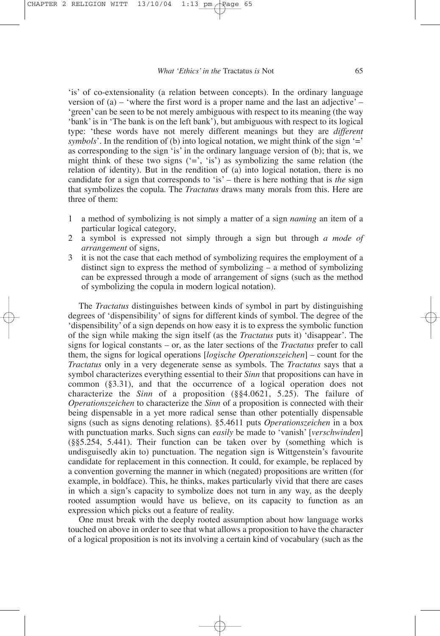'is' of co-extensionality (a relation between concepts). In the ordinary language version of (a) – 'where the first word is a proper name and the last an adjective' – 'green' can be seen to be not merely ambiguous with respect to its meaning (the way 'bank' is in 'The bank is on the left bank'), but ambiguous with respect to its logical type: 'these words have not merely different meanings but they are *different symbols*'. In the rendition of (b) into logical notation, we might think of the sign  $\dot{=}$ ' as corresponding to the sign 'is' in the ordinary language version of (b); that is, we might think of these two signs  $(† = ', 'is')$  as symbolizing the same relation (the relation of identity). But in the rendition of (a) into logical notation, there is no candidate for a sign that corresponds to 'is' – there is here nothing that is *the* sign that symbolizes the copula. The *Tractatus* draws many morals from this. Here are three of them:

- 1 a method of symbolizing is not simply a matter of a sign *naming* an item of a particular logical category,
- 2 a symbol is expressed not simply through a sign but through *a mode of arrangement* of signs,
- 3 it is not the case that each method of symbolizing requires the employment of a distinct sign to express the method of symbolizing – a method of symbolizing can be expressed through a mode of arrangement of signs (such as the method of symbolizing the copula in modern logical notation).

The *Tractatus* distinguishes between kinds of symbol in part by distinguishing degrees of 'dispensibility' of signs for different kinds of symbol. The degree of the 'dispensibility' of a sign depends on how easy it is to express the symbolic function of the sign while making the sign itself (as the *Tractatus* puts it) 'disappear'. The signs for logical constants – or, as the later sections of the *Tractatus* prefer to call them, the signs for logical operations [*logische Operationszeichen*] – count for the *Tractatus* only in a very degenerate sense as symbols. The *Tractatus* says that a symbol characterizes everything essential to their *Sinn* that propositions can have in common (§3.31), and that the occurrence of a logical operation does not characterize the *Sinn* of a proposition (§§4.0621, 5.25). The failure of *Operationszeichen* to characterize the *Sinn* of a proposition is connected with their being dispensable in a yet more radical sense than other potentially dispensable signs (such as signs denoting relations). §5.4611 puts *Operationszeichen* in a box with punctuation marks. Such signs can *easily* be made to 'vanish' [*verschwinden*] (§§5.254, 5.441). Their function can be taken over by (something which is undisguisedly akin to) punctuation. The negation sign is Wittgenstein's favourite candidate for replacement in this connection. It could, for example, be replaced by a convention governing the manner in which (negated) propositions are written (for example, in boldface). This, he thinks, makes particularly vivid that there are cases in which a sign's capacity to symbolize does not turn in any way, as the deeply rooted assumption would have us believe, on its capacity to function as an expression which picks out a feature of reality.

One must break with the deeply rooted assumption about how language works touched on above in order to see that what allows a proposition to have the character of a logical proposition is not its involving a certain kind of vocabulary (such as the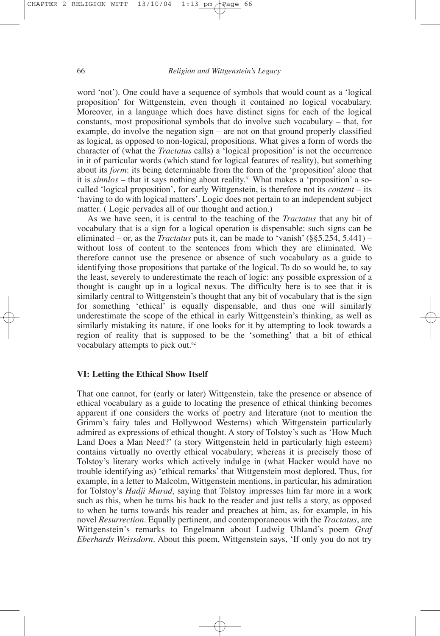word 'not'). One could have a sequence of symbols that would count as a 'logical proposition' for Wittgenstein, even though it contained no logical vocabulary. Moreover, in a language which does have distinct signs for each of the logical constants, most propositional symbols that do involve such vocabulary – that, for example, do involve the negation sign – are not on that ground properly classified as logical, as opposed to non-logical, propositions. What gives a form of words the character of (what the *Tractatus* calls) a 'logical proposition' is not the occurrence in it of particular words (which stand for logical features of reality), but something about its *form*: its being determinable from the form of the 'proposition' alone that it is  $sinnlos$  – that it says nothing about reality.<sup>61</sup> What makes a 'proposition' a socalled 'logical proposition', for early Wittgenstein, is therefore not its *content* – its 'having to do with logical matters'. Logic does not pertain to an independent subject matter. ( Logic pervades all of our thought and action.)

As we have seen, it is central to the teaching of the *Tractatus* that any bit of vocabulary that is a sign for a logical operation is dispensable: such signs can be eliminated – or, as the *Tractatus* puts it, can be made to 'vanish' ( $\S$ §5.254, 5.441) – without loss of content to the sentences from which they are eliminated. We therefore cannot use the presence or absence of such vocabulary as a guide to identifying those propositions that partake of the logical. To do so would be, to say the least, severely to underestimate the reach of logic: any possible expression of a thought is caught up in a logical nexus. The difficulty here is to see that it is similarly central to Wittgenstein's thought that any bit of vocabulary that is the sign for something 'ethical' is equally dispensable, and thus one will similarly underestimate the scope of the ethical in early Wittgenstein's thinking, as well as similarly mistaking its nature, if one looks for it by attempting to look towards a region of reality that is supposed to be the 'something' that a bit of ethical vocabulary attempts to pick out.<sup>62</sup>

### **VI: Letting the Ethical Show Itself**

That one cannot, for (early or later) Wittgenstein, take the presence or absence of ethical vocabulary as a guide to locating the presence of ethical thinking becomes apparent if one considers the works of poetry and literature (not to mention the Grimm's fairy tales and Hollywood Westerns) which Wittgenstein particularly admired as expressions of ethical thought. A story of Tolstoy's such as 'How Much Land Does a Man Need?' (a story Wittgenstein held in particularly high esteem) contains virtually no overtly ethical vocabulary; whereas it is precisely those of Tolstoy's literary works which actively indulge in (what Hacker would have no trouble identifying as) 'ethical remarks' that Wittgenstein most deplored. Thus, for example, in a letter to Malcolm, Wittgenstein mentions, in particular, his admiration for Tolstoy's *Hadji Murad*, saying that Tolstoy impresses him far more in a work such as this, when he turns his back to the reader and just tells a story, as opposed to when he turns towards his reader and preaches at him, as, for example, in his novel *Resurrection*. Equally pertinent, and contemporaneous with the *Tractatus*, are Wittgenstein's remarks to Engelmann about Ludwig Uhland's poem *Graf Eberhards Weissdorn*. About this poem, Wittgenstein says, 'If only you do not try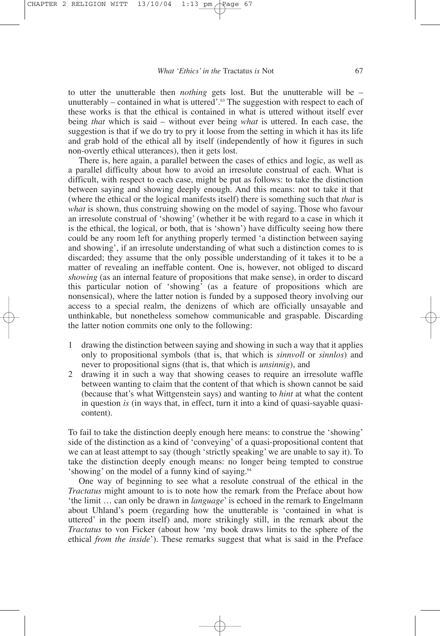to utter the unutterable then *nothing* gets lost. But the unutterable will be – unutterably – contained in what is uttered'.<sup>63</sup> The suggestion with respect to each of these works is that the ethical is contained in what is uttered without itself ever being *that* which is said – without ever being *what* is uttered. In each case, the suggestion is that if we do try to pry it loose from the setting in which it has its life and grab hold of the ethical all by itself (independently of how it figures in such non-overtly ethical utterances), then it gets lost.

There is, here again, a parallel between the cases of ethics and logic, as well as a parallel difficulty about how to avoid an irresolute construal of each. What is difficult, with respect to each case, might be put as follows: to take the distinction between saying and showing deeply enough. And this means: not to take it that (where the ethical or the logical manifests itself) there is something such that *that* is *what* is shown, thus construing showing on the model of saying. Those who favour an irresolute construal of 'showing' (whether it be with regard to a case in which it is the ethical, the logical, or both, that is 'shown') have difficulty seeing how there could be any room left for anything properly termed 'a distinction between saying and showing', if an irresolute understanding of what such a distinction comes to is discarded; they assume that the only possible understanding of it takes it to be a matter of revealing an ineffable content. One is, however, not obliged to discard *showing* (as an internal feature of propositions that make sense), in order to discard this particular notion of 'showing' (as a feature of propositions which are nonsensical), where the latter notion is funded by a supposed theory involving our access to a special realm, the denizens of which are officially unsayable and unthinkable, but nonetheless somehow communicable and graspable. Discarding the latter notion commits one only to the following:

- 1 drawing the distinction between saying and showing in such a way that it applies only to propositional symbols (that is, that which is *sinnvoll* or *sinnlos*) and never to propositional signs (that is, that which is *unsinnig*), and
- 2 drawing it in such a way that showing ceases to require an irresolute waffle between wanting to claim that the content of that which is shown cannot be said (because that's what Wittgenstein says) and wanting to *hint* at what the content in question *is* (in ways that, in effect, turn it into a kind of quasi-sayable quasicontent).

To fail to take the distinction deeply enough here means: to construe the 'showing' side of the distinction as a kind of 'conveying' of a quasi-propositional content that we can at least attempt to say (though 'strictly speaking' we are unable to say it). To take the distinction deeply enough means: no longer being tempted to construe 'showing' on the model of a funny kind of saying.64

One way of beginning to see what a resolute construal of the ethical in the *Tractatus* might amount to is to note how the remark from the Preface about how 'the limit … can only be drawn in *language*' is echoed in the remark to Engelmann about Uhland's poem (regarding how the unutterable is 'contained in what is uttered' in the poem itself) and, more strikingly still, in the remark about the *Tractatus* to von Ficker (about how 'my book draws limits to the sphere of the ethical *from the inside*'). These remarks suggest that what is said in the Preface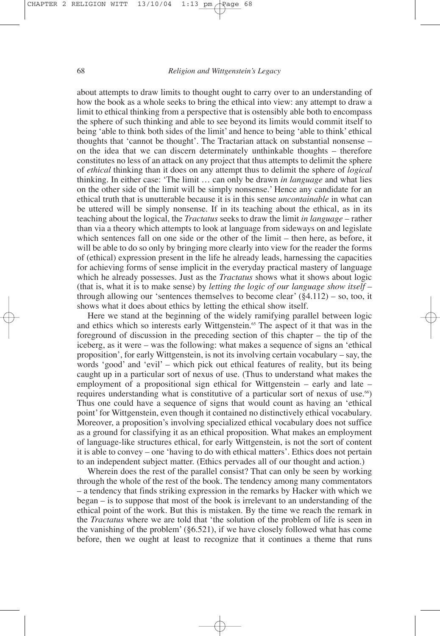about attempts to draw limits to thought ought to carry over to an understanding of how the book as a whole seeks to bring the ethical into view: any attempt to draw a limit to ethical thinking from a perspective that is ostensibly able both to encompass the sphere of such thinking and able to see beyond its limits would commit itself to being 'able to think both sides of the limit' and hence to being 'able to think' ethical thoughts that 'cannot be thought'. The Tractarian attack on substantial nonsense – on the idea that we can discern determinately unthinkable thoughts – therefore constitutes no less of an attack on any project that thus attempts to delimit the sphere of *ethical* thinking than it does on any attempt thus to delimit the sphere of *logical* thinking. In either case: 'The limit … can only be drawn *in language* and what lies on the other side of the limit will be simply nonsense.' Hence any candidate for an ethical truth that is unutterable because it is in this sense *uncontainable* in what can be uttered will be simply nonsense. If in its teaching about the ethical, as in its teaching about the logical, the *Tractatus* seeks to draw the limit *in language* – rather than via a theory which attempts to look at language from sideways on and legislate which sentences fall on one side or the other of the limit – then here, as before, it will be able to do so only by bringing more clearly into view for the reader the forms of (ethical) expression present in the life he already leads, harnessing the capacities for achieving forms of sense implicit in the everyday practical mastery of language which he already possesses. Just as the *Tractatus* shows what it shows about logic (that is, what it is to make sense) by *letting the logic of our language show itself* – through allowing our 'sentences themselves to become clear'  $(\frac{6}{4.112})$  – so, too, it shows what it does about ethics by letting the ethical show itself.

Here we stand at the beginning of the widely ramifying parallel between logic and ethics which so interests early Wittgenstein.<sup>65</sup> The aspect of it that was in the foreground of discussion in the preceding section of this chapter – the tip of the iceberg, as it were – was the following: what makes a sequence of signs an 'ethical proposition', for early Wittgenstein, is not its involving certain vocabulary – say, the words 'good' and 'evil' – which pick out ethical features of reality, but its being caught up in a particular sort of nexus of use. (Thus to understand what makes the employment of a propositional sign ethical for Wittgenstein – early and late – requires understanding what is constitutive of a particular sort of nexus of use.<sup>66</sup>) Thus one could have a sequence of signs that would count as having an 'ethical point' for Wittgenstein, even though it contained no distinctively ethical vocabulary. Moreover, a proposition's involving specialized ethical vocabulary does not suffice as a ground for classifying it as an ethical proposition. What makes an employment of language-like structures ethical, for early Wittgenstein, is not the sort of content it is able to convey – one 'having to do with ethical matters'. Ethics does not pertain to an independent subject matter. (Ethics pervades all of our thought and action.)

Wherein does the rest of the parallel consist? That can only be seen by working through the whole of the rest of the book. The tendency among many commentators – a tendency that finds striking expression in the remarks by Hacker with which we began – is to suppose that most of the book is irrelevant to an understanding of the ethical point of the work. But this is mistaken. By the time we reach the remark in the *Tractatus* where we are told that 'the solution of the problem of life is seen in the vanishing of the problem' (§6.521), if we have closely followed what has come before, then we ought at least to recognize that it continues a theme that runs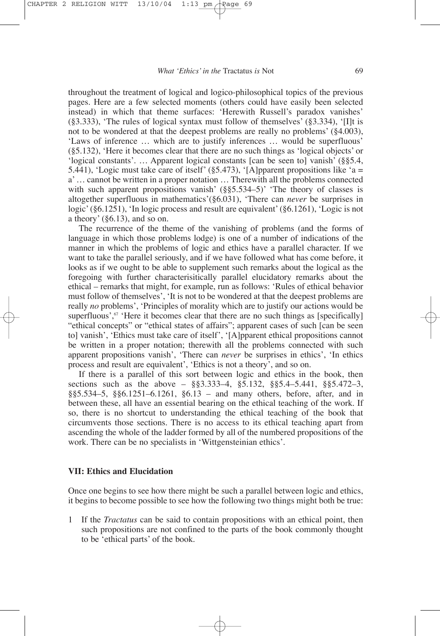throughout the treatment of logical and logico-philosophical topics of the previous pages. Here are a few selected moments (others could have easily been selected instead) in which that theme surfaces: 'Herewith Russell's paradox vanishes'  $(\S3.333)$ , 'The rules of logical syntax must follow of themselves'  $(\S3.334)$ , '[I]t is not to be wondered at that the deepest problems are really no problems' (§4.003), 'Laws of inference … which are to justify inferences … would be superfluous' (§5.132), 'Here it becomes clear that there are no such things as 'logical objects' or 'logical constants'. … Apparent logical constants [can be seen to] vanish' (§§5.4, 5.441), 'Logic must take care of itself'  $(\S 5.473)$ , '[A]pparent propositions like 'a = a' … cannot be written in a proper notation … Therewith all the problems connected with such apparent propositions vanish' (§§5.534–5)' 'The theory of classes is altogether superfluous in mathematics'(§6.031), 'There can *never* be surprises in logic' (§6.1251), 'In logic process and result are equivalent' (§6.1261), 'Logic is not a theory' (§6.13), and so on.

The recurrence of the theme of the vanishing of problems (and the forms of language in which those problems lodge) is one of a number of indications of the manner in which the problems of logic and ethics have a parallel character. If we want to take the parallel seriously, and if we have followed what has come before, it looks as if we ought to be able to supplement such remarks about the logical as the foregoing with further characterisitically parallel elucidatory remarks about the ethical – remarks that might, for example, run as follows: 'Rules of ethical behavior must follow of themselves', 'It is not to be wondered at that the deepest problems are really *no* problems', 'Principles of morality which are to justify our actions would be superfluous', $67$  'Here it becomes clear that there are no such things as [specifically] "ethical concepts" or "ethical states of affairs"; apparent cases of such [can be seen to] vanish', 'Ethics must take care of itself', '[A]pparent ethical propositions cannot be written in a proper notation; therewith all the problems connected with such apparent propositions vanish', 'There can *never* be surprises in ethics', 'In ethics process and result are equivalent', 'Ethics is not a theory', and so on.

If there is a parallel of this sort between logic and ethics in the book, then sections such as the above – §§3.333–4, §5.132, §§5.4–5.441, §§5.472–3, §§5.534–5, §§6.1251–6.1261, §6.13 – and many others, before, after, and in between these, all have an essential bearing on the ethical teaching of the work. If so, there is no shortcut to understanding the ethical teaching of the book that circumvents those sections. There is no access to its ethical teaching apart from ascending the whole of the ladder formed by all of the numbered propositions of the work. There can be no specialists in 'Wittgensteinian ethics'.

## **VII: Ethics and Elucidation**

Once one begins to see how there might be such a parallel between logic and ethics, it begins to become possible to see how the following two things might both be true:

1 If the *Tractatus* can be said to contain propositions with an ethical point, then such propositions are not confined to the parts of the book commonly thought to be 'ethical parts' of the book.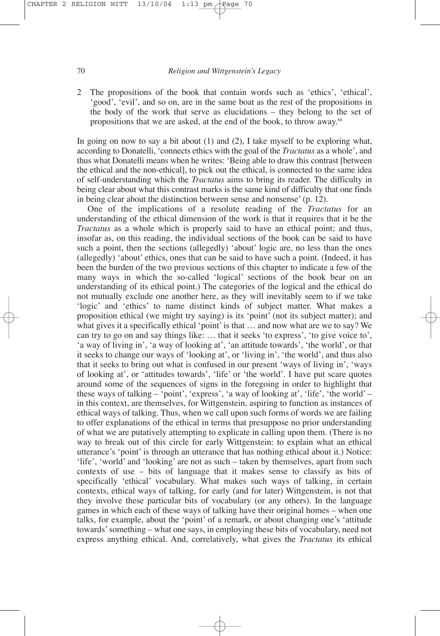2 The propositions of the book that contain words such as 'ethics', 'ethical', 'good', 'evil', and so on, are in the same boat as the rest of the propositions in the body of the work that serve as elucidations – they belong to the set of propositions that we are asked, at the end of the book, to throw away.<sup>68</sup>

In going on now to say a bit about (1) and (2), I take myself to be exploring what, according to Donatelli, 'connects ethics with the goal of the *Tractatus* as a whole', and thus what Donatelli means when he writes: 'Being able to draw this contrast [between the ethical and the non-ethical], to pick out the ethical, is connected to the same idea of self-understanding which the *Tractatus* aims to bring its reader. The difficulty in being clear about what this contrast marks is the same kind of difficulty that one finds in being clear about the distinction between sense and nonsense' (p. 12).

One of the implications of a resolute reading of the *Tractatus* for an understanding of the ethical dimension of the work is that it requires that it be the *Tractatus* as a whole which is properly said to have an ethical point; and thus, insofar as, on this reading, the individual sections of the book can be said to have such a point, then the sections (allegedly) 'about' logic are, no less than the ones (allegedly) 'about' ethics, ones that can be said to have such a point. (Indeed, it has been the burden of the two previous sections of this chapter to indicate a few of the many ways in which the so-called 'logical' sections of the book bear on an understanding of its ethical point.) The categories of the logical and the ethical do not mutually exclude one another here, as they will inevitably seem to if we take 'logic' and 'ethics' to name distinct kinds of subject matter. What makes a proposition ethical (we might try saying) is its 'point' (not its subject matter); and what gives it a specifically ethical 'point' is that … and now what are we to say? We can try to go on and say things like: … that it seeks 'to express', 'to give voice to', 'a way of living in', 'a way of looking at', 'an attitude towards', 'the world', or that it seeks to change our ways of 'looking at', or 'living in', 'the world', and thus also that it seeks to bring out what is confused in our present 'ways of living in', 'ways of looking at', or 'attitudes towards', 'life' or 'the world'. I have put scare quotes around some of the sequences of signs in the foregoing in order to highlight that these ways of talking – 'point', 'express', 'a way of looking at', 'life', 'the world' – in this context, are themselves, for Wittgenstein, aspiring to function as instances of ethical ways of talking. Thus, when we call upon such forms of words we are failing to offer explanations of the ethical in terms that presuppose no prior understanding of what we are putatively attempting to explicate in calling upon them. (There is no way to break out of this circle for early Wittgenstein: to explain what an ethical utterance's 'point' is through an utterance that has nothing ethical about it.) Notice: 'life', 'world' and 'looking' are not as such – taken by themselves, apart from such contexts of use – bits of language that it makes sense to classify as bits of specifically 'ethical' vocabulary. What makes such ways of talking, in certain contexts, ethical ways of talking, for early (and for later) Wittgenstein, is not that they involve these particular bits of vocabulary (or any others). In the language games in which each of these ways of talking have their original homes – when one talks, for example, about the 'point' of a remark, or about changing one's 'attitude towards' something – what one says, in employing these bits of vocabulary, need not express anything ethical. And, correlatively, what gives the *Tractatus* its ethical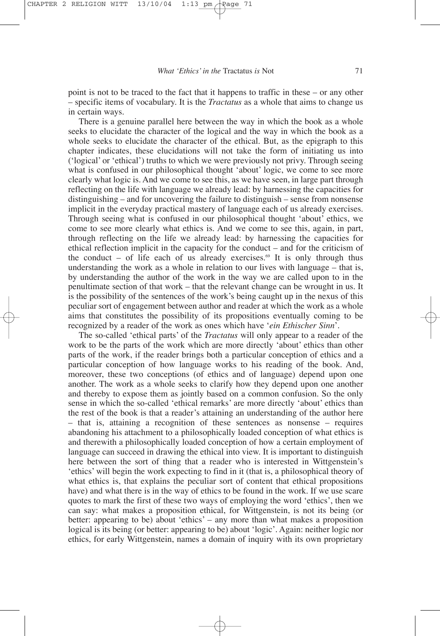point is not to be traced to the fact that it happens to traffic in these – or any other – specific items of vocabulary. It is the *Tractatus* as a whole that aims to change us in certain ways.

There is a genuine parallel here between the way in which the book as a whole seeks to elucidate the character of the logical and the way in which the book as a whole seeks to elucidate the character of the ethical. But, as the epigraph to this chapter indicates, these elucidations will not take the form of initiating us into ('logical' or 'ethical') truths to which we were previously not privy. Through seeing what is confused in our philosophical thought 'about' logic, we come to see more clearly what logic is. And we come to see this, as we have seen, in large part through reflecting on the life with language we already lead: by harnessing the capacities for distinguishing – and for uncovering the failure to distinguish – sense from nonsense implicit in the everyday practical mastery of language each of us already exercises. Through seeing what is confused in our philosophical thought 'about' ethics, we come to see more clearly what ethics is. And we come to see this, again, in part, through reflecting on the life we already lead: by harnessing the capacities for ethical reflection implicit in the capacity for the conduct – and for the criticism of the conduct – of life each of us already exercises.<sup>69</sup> It is only through thus understanding the work as a whole in relation to our lives with language – that is, by understanding the author of the work in the way we are called upon to in the penultimate section of that work – that the relevant change can be wrought in us. It is the possibility of the sentences of the work's being caught up in the nexus of this peculiar sort of engagement between author and reader at which the work as a whole aims that constitutes the possibility of its propositions eventually coming to be recognized by a reader of the work as ones which have '*ein Ethischer Sinn*'.

The so-called 'ethical parts' of the *Tractatus* will only appear to a reader of the work to be the parts of the work which are more directly 'about' ethics than other parts of the work, if the reader brings both a particular conception of ethics and a particular conception of how language works to his reading of the book. And, moreover, these two conceptions (of ethics and of language) depend upon one another. The work as a whole seeks to clarify how they depend upon one another and thereby to expose them as jointly based on a common confusion. So the only sense in which the so-called 'ethical remarks' are more directly 'about' ethics than the rest of the book is that a reader's attaining an understanding of the author here – that is, attaining a recognition of these sentences as nonsense – requires abandoning his attachment to a philosophically loaded conception of what ethics is and therewith a philosophically loaded conception of how a certain employment of language can succeed in drawing the ethical into view. It is important to distinguish here between the sort of thing that a reader who is interested in Wittgenstein's 'ethics' will begin the work expecting to find in it (that is, a philosophical theory of what ethics is, that explains the peculiar sort of content that ethical propositions have) and what there is in the way of ethics to be found in the work. If we use scare quotes to mark the first of these two ways of employing the word 'ethics', then we can say: what makes a proposition ethical, for Wittgenstein, is not its being (or better: appearing to be) about 'ethics' – any more than what makes a proposition logical is its being (or better: appearing to be) about 'logic'. Again: neither logic nor ethics, for early Wittgenstein, names a domain of inquiry with its own proprietary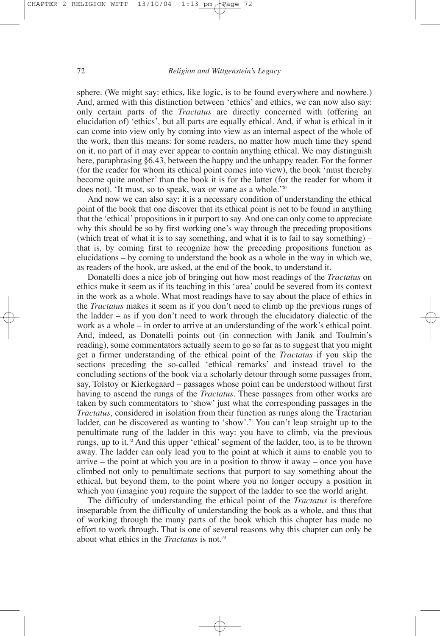sphere. (We might say: ethics, like logic, is to be found everywhere and nowhere.) And, armed with this distinction between 'ethics' and ethics, we can now also say: only certain parts of the *Tractatus* are directly concerned with (offering an elucidation of) 'ethics', but all parts are equally ethical. And, if what is ethical in it can come into view only by coming into view as an internal aspect of the whole of the work, then this means: for some readers, no matter how much time they spend on it, no part of it may ever appear to contain anything ethical. We may distinguish here, paraphrasing §6.43, between the happy and the unhappy reader. For the former (for the reader for whom its ethical point comes into view), the book 'must thereby become quite another' than the book it is for the latter (for the reader for whom it does not). 'It must, so to speak, wax or wane as a whole.'70

And now we can also say: it is a necessary condition of understanding the ethical point of the book that one discover that its ethical point is not to be found in anything that the 'ethical' propositions in it purport to say. And one can only come to appreciate why this should be so by first working one's way through the preceding propositions (which treat of what it is to say something, and what it is to fail to say something)  $$ that is, by coming first to recognize how the preceding propositions function as elucidations – by coming to understand the book as a whole in the way in which we, as readers of the book, are asked, at the end of the book, to understand it.

Donatelli does a nice job of bringing out how most readings of the *Tractatus* on ethics make it seem as if its teaching in this 'area' could be severed from its context in the work as a whole. What most readings have to say about the place of ethics in the *Tractatus* makes it seem as if you don't need to climb up the previous rungs of the ladder – as if you don't need to work through the elucidatory dialectic of the work as a whole – in order to arrive at an understanding of the work's ethical point. And, indeed, as Donatelli points out (in connection with Janik and Toulmin's reading), some commentators actually seem to go so far as to suggest that you might get a firmer understanding of the ethical point of the *Tractatus* if you skip the sections preceding the so-called 'ethical remarks' and instead travel to the concluding sections of the book via a scholarly detour through some passages from, say, Tolstoy or Kierkegaard – passages whose point can be understood without first having to ascend the rungs of the *Tractatus*. These passages from other works are taken by such commentators to 'show' just what the corresponding passages in the *Tractatus*, considered in isolation from their function as rungs along the Tractarian ladder, can be discovered as wanting to 'show'.<sup>71</sup> You can't leap straight up to the penultimate rung of the ladder in this way: you have to climb, via the previous rungs, up to it.<sup>72</sup> And this upper 'ethical' segment of the ladder, too, is to be thrown away. The ladder can only lead you to the point at which it aims to enable you to arrive – the point at which you are in a position to throw it away – once you have climbed not only to penultimate sections that purport to say something about the ethical, but beyond them, to the point where you no longer occupy a position in which you (imagine you) require the support of the ladder to see the world aright.

The difficulty of understanding the ethical point of the *Tractatus* is therefore inseparable from the difficulty of understanding the book as a whole, and thus that of working through the many parts of the book which this chapter has made no effort to work through. That is one of several reasons why this chapter can only be about what ethics in the *Tractatus* is not.73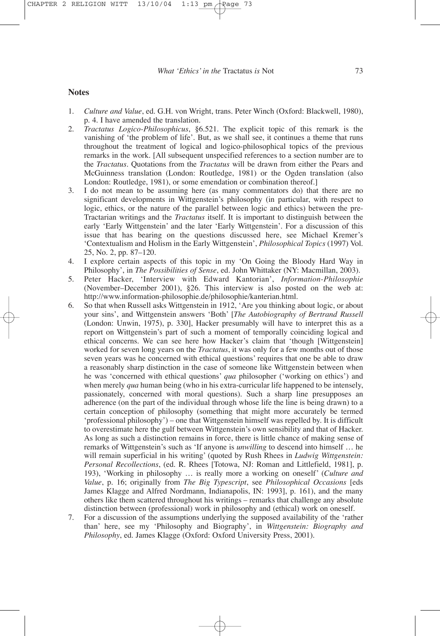**Notes**

- 1. *Culture and Value*, ed. G.H. von Wright, trans. Peter Winch (Oxford: Blackwell, 1980), p. 4. I have amended the translation.
- 2. *Tractatus Logico-Philosophicus*, §6.521. The explicit topic of this remark is the vanishing of 'the problem of life'. But, as we shall see, it continues a theme that runs throughout the treatment of logical and logico-philosophical topics of the previous remarks in the work. [All subsequent unspecified references to a section number are to the *Tractatus*. Quotations from the *Tractatus* will be drawn from either the Pears and McGuinness translation (London: Routledge, 1981) or the Ogden translation (also London: Routledge, 1981), or some emendation or combination thereof.]
- 3. I do not mean to be assuming here (as many commentators do) that there are no significant developments in Wittgenstein's philosophy (in particular, with respect to logic, ethics, or the nature of the parallel between logic and ethics) between the pre-Tractarian writings and the *Tractatus* itself. It is important to distinguish between the early 'Early Wittgenstein' and the later 'Early Wittgenstein'. For a discussion of this issue that has bearing on the questions discussed here, see Michael Kremer's 'Contextualism and Holism in the Early Wittgenstein', *Philosophical Topics* (1997) Vol. 25, No. 2, pp. 87–120.
- 4. I explore certain aspects of this topic in my 'On Going the Bloody Hard Way in Philosophy', in *The Possibilities of Sense*, ed. John Whittaker (NY: Macmillan, 2003).
- 5. Peter Hacker, 'Interview with Edward Kantorian', *Information-Philosophie* (November–December 2001), §26. This interview is also posted on the web at: http://www.information-philosophie.de/philosophie/kanterian.html.
- 6. So that when Russell asks Wittgenstein in 1912, 'Are you thinking about logic, or about your sins', and Wittgenstein answers 'Both' [*The Autobiography of Bertrand Russell* (London: Unwin, 1975), p. 330], Hacker presumably will have to interpret this as a report on Wittgenstein's part of such a moment of temporally coinciding logical and ethical concerns. We can see here how Hacker's claim that 'though [Wittgenstein] worked for seven long years on the *Tractatus*, it was only for a few months out of those seven years was he concerned with ethical questions' requires that one be able to draw a reasonably sharp distinction in the case of someone like Wittgenstein between when he was 'concerned with ethical questions' *qua* philosopher ('working on ethics') and when merely *qua* human being (who in his extra-curricular life happened to be intensely, passionately, concerned with moral questions). Such a sharp line presupposes an adherence (on the part of the individual through whose life the line is being drawn) to a certain conception of philosophy (something that might more accurately be termed 'professional philosophy') – one that Wittgenstein himself was repelled by. It is difficult to overestimate here the gulf between Wittgenstein's own sensibility and that of Hacker. As long as such a distinction remains in force, there is little chance of making sense of remarks of Wittgenstein's such as 'If anyone is *unwilling* to descend into himself … he will remain superficial in his writing' (quoted by Rush Rhees in *Ludwig Wittgenstein: Personal Recollections*, (ed. R. Rhees [Totowa, NJ: Roman and Littlefield, 1981], p. 193), 'Working in philosophy … is really more a working on oneself' (*Culture and Value*, p. 16; originally from *The Big Typescript*, see *Philosophical Occasions* [eds James Klagge and Alfred Nordmann, Indianapolis, IN: 1993], p. 161), and the many others like them scattered throughout his writings – remarks that challenge any absolute distinction between (professional) work in philosophy and (ethical) work on oneself.
- 7. For a discussion of the assumptions underlying the supposed availability of the 'rather than' here, see my 'Philosophy and Biography', in *Wittgenstein: Biography and Philosophy*, ed. James Klagge (Oxford: Oxford University Press, 2001).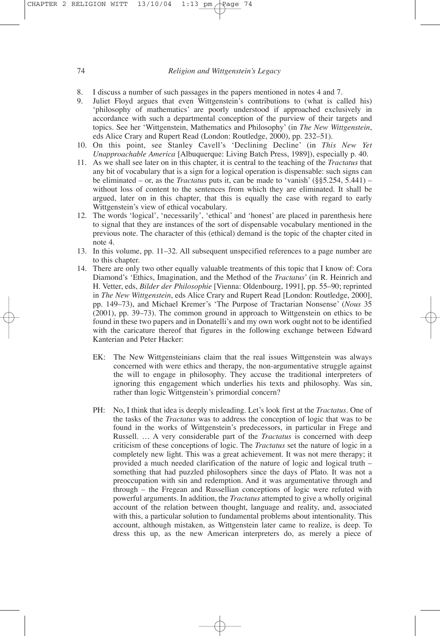- 8. I discuss a number of such passages in the papers mentioned in notes 4 and 7.
- 9. Juliet Floyd argues that even Wittgenstein's contributions to (what is called his) 'philosophy of mathematics' are poorly understood if approached exclusively in accordance with such a departmental conception of the purview of their targets and topics. See her 'Wittgenstein, Mathematics and Philosophy' (in *The New Wittgenstein*, eds Alice Crary and Rupert Read (London: Routledge, 2000), pp. 232–51).
- 10. On this point, see Stanley Cavell's 'Declining Decline' (in *This New Yet Unapproachable America* [Albuquerque: Living Batch Press, 1989]), especially p. 40.
- 11. As we shall see later on in this chapter, it is central to the teaching of the *Tractatus* that any bit of vocabulary that is a sign for a logical operation is dispensable: such signs can be eliminated – or, as the *Tractatus* puts it, can be made to 'vanish' (§§5.254, 5.441) – without loss of content to the sentences from which they are eliminated. It shall be argued, later on in this chapter, that this is equally the case with regard to early Wittgenstein's view of ethical vocabulary.
- 12. The words 'logical', 'necessarily', 'ethical' and 'honest' are placed in parenthesis here to signal that they are instances of the sort of dispensable vocabulary mentioned in the previous note. The character of this (ethical) demand is the topic of the chapter cited in note 4.
- 13. In this volume, pp. 11–32. All subsequent unspecified references to a page number are to this chapter.
- 14. There are only two other equally valuable treatments of this topic that I know of: Cora Diamond's 'Ethics, Imagination, and the Method of the *Tractatus*' (in R. Heinrich and H. Vetter, eds, *Bilder der Philosophie* [Vienna: Oldenbourg, 1991], pp. 55–90; reprinted in *The New Wittgenstein*, eds Alice Crary and Rupert Read [London: Routledge, 2000], pp. 149–73), and Michael Kremer's 'The Purpose of Tractarian Nonsense' (*Nous* 35 (2001), pp. 39–73). The common ground in approach to Wittgenstein on ethics to be found in these two papers and in Donatelli's and my own work ought not to be identified with the caricature thereof that figures in the following exchange between Edward Kanterian and Peter Hacker:
	- EK: The New Wittgensteinians claim that the real issues Wittgenstein was always concerned with were ethics and therapy, the non-argumentative struggle against the will to engage in philosophy. They accuse the traditional interpreters of ignoring this engagement which underlies his texts and philosophy. Was sin, rather than logic Wittgenstein's primordial concern?
	- PH: No, I think that idea is deeply misleading. Let's look first at the *Tractatus*. One of the tasks of the *Tractatus* was to address the conception of logic that was to be found in the works of Wittgenstein's predecessors, in particular in Frege and Russell. … A very considerable part of the *Tractatus* is concerned with deep criticism of these conceptions of logic. The *Tractatus* set the nature of logic in a completely new light. This was a great achievement. It was not mere therapy; it provided a much needed clarification of the nature of logic and logical truth – something that had puzzled philosophers since the days of Plato. It was not a preoccupation with sin and redemption. And it was argumentative through and through – the Fregean and Russellian conceptions of logic were refuted with powerful arguments. In addition, the *Tractatus* attempted to give a wholly original account of the relation between thought, language and reality, and, associated with this, a particular solution to fundamental problems about intentionality. This account, although mistaken, as Wittgenstein later came to realize, is deep. To dress this up, as the new American interpreters do, as merely a piece of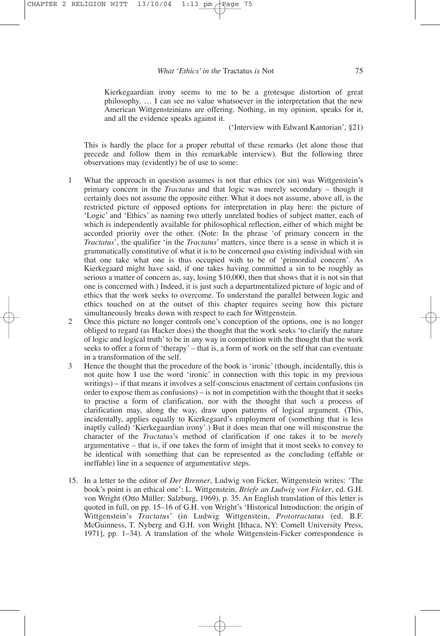Kierkegaardian irony seems to me to be a grotesque distortion of great philosophy. … I can see no value whatsoever in the interpretation that the new American Wittgensteinians are offering. Nothing, in my opinion, speaks for it, and all the evidence speaks against it.

('Interview with Edward Kantorian', §21)

This is hardly the place for a proper rebuttal of these remarks (let alone those that precede and follow them in this remarkable interview). But the following three observations may (evidently) be of use to some:

- 1 What the approach in question assumes is not that ethics (or sin) was Wittgenstein's primary concern in the *Tractatus* and that logic was merely secondary – though it certainly does not assume the opposite either. What it does not assume, above all, is the restricted picture of opposed options for interpretation in play here: the picture of 'Logic' and 'Ethics' as naming two utterly unrelated bodies of subject matter, each of which is independently available for philosophical reflection, either of which might be accorded priority over the other. (Note: In the phrase 'of primary concern in the *Tractatus*', the qualifier 'in the *Tractatus*' matters, since there is a sense in which it is grammatically constitutive of what it is to be concerned *qua* existing individual with sin that one take what one is thus occupied with to be of 'primordial concern'. As Kierkegaard might have said, if one takes having committed a sin to be roughly as serious a matter of concern as, say, losing \$10,000, then that shows that it is not sin that one is concerned with.) Indeed, it is just such a departmentalized picture of logic and of ethics that the work seeks to overcome. To understand the parallel between logic and ethics touched on at the outset of this chapter requires seeing how this picture simultaneously breaks down with respect to each for Wittgenstein.
- 2 Once this picture no longer controls one's conception of the options, one is no longer obliged to regard (as Hacker does) the thought that the work seeks 'to clarify the nature of logic and logical truth' to be in any way in competition with the thought that the work seeks to offer a form of 'therapy' – that is, a form of work on the self that can eventuate in a transformation of the self.
- 3 Hence the thought that the procedure of the book is 'ironic' (though, incidentally, this is not quite how I use the word 'ironic' in connection with this topic in my previous writings) – if that means it involves a self-conscious enactment of certain confusions (in order to expose them as confusions) – is not in competition with the thought that it seeks to practise a form of clarification, nor with the thought that such a process of clarification may, along the way, draw upon patterns of logical argument. (This, incidentally, applies equally to Kierkegaard's employment of (something that is less inaptly called) 'Kierkegaardian irony'.) But it does mean that one will misconstrue the character of the *Tractatus*'s method of clarification if one takes it to be *merely* argumentative – that is, if one takes the form of insight that it most seeks to convey to be identical with something that can be represented as the concluding (effable or ineffable) line in a sequence of argumentative steps.
- 15. In a letter to the editor of *Der Brenner*, Ludwig von Ficker, Wittgenstein writes: 'The book's point is an ethical one': L. Wittgenstein, *Briefe an Ludwig von Ficker*, ed. G.H. von Wright (Otto Müller: Salzburg, 1969), p. 35. An English translation of this letter is quoted in full, on pp. 15–16 of G.H. von Wright's 'Historical Introduction: the origin of Wittgenstein's *Tractatus*' (in Ludwig Wittgenstein, *Prototractatus* (ed. B.F. McGuinness, T. Nyberg and G.H. von Wright [Ithaca, NY: Cornell University Press, 1971], pp. 1–34). A translation of the whole Wittgenstein-Ficker correspondence is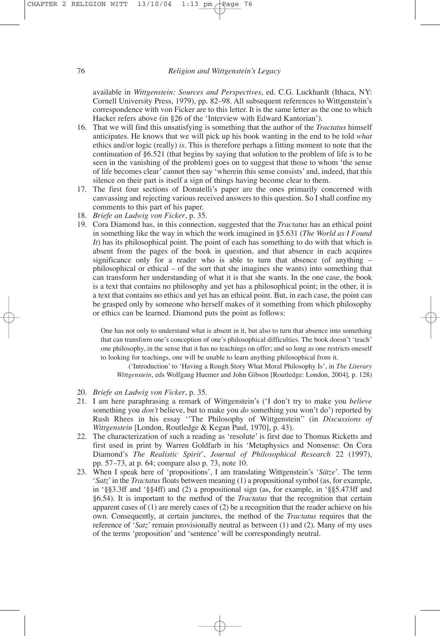available in *Wittgenstein: Sources and Perspectives*, ed. C.G. Luckhardt (Ithaca, NY: Cornell University Press, 1979), pp. 82–98. All subsequent references to Wittgenstein's correspondence with von Ficker are to this letter. It is the same letter as the one to which Hacker refers above (in §26 of the 'Interview with Edward Kantorian').

- 16. That we will find this unsatisfying is something that the author of the *Tractatus* himself anticipates. He knows that we will pick up his book wanting in the end to be told *what* ethics and/or logic (really) *is*. This is therefore perhaps a fitting moment to note that the continuation of §6.521 (that begins by saying that solution to the problem of life is to be seen in the vanishing of the problem) goes on to suggest that those to whom 'the sense of life becomes clear' cannot then say 'wherein this sense consists' and, indeed, that this silence on their part is itself a sign of things having become clear to them.
- 17. The first four sections of Donatelli's paper are the ones primarily concerned with canvassing and rejecting various received answers to this question. So I shall confine my comments to this part of his paper.
- 18. *Briefe an Ludwig von Ficker*, p. 35.
- 19. Cora Diamond has, in this connection, suggested that the *Tractatus* has an ethical point in something like the way in which the work imagined in §5.631 (*The World as I Found It*) has its philosophical point. The point of each has something to do with that which is absent from the pages of the book in question, and that absence in each acquires significance only for a reader who is able to turn that absence (of anything – philosophical or ethical – of the sort that she imagines she wants) into something that can transform her understanding of what it is that she wants. In the one case, the book is a text that contains no philosophy and yet has a philosophical point; in the other, it is a text that contains no ethics and yet has an ethical point. But, in each case, the point can be grasped only by someone who herself makes of it something from which philosophy or ethics can be learned. Diamond puts the point as follows:

One has not only to understand what is absent in it, but also to turn that absence into something that can transform one's conception of one's philosophical difficulties. The book doesn't 'teach' one philosophy, in the sense that it has no teachings on offer; and so long as one restricts oneself to looking for teachings, one will be unable to learn anything philosophical from it.

('Introduction' to 'Having a Rough Story What Moral Philosophy Is', in *The Literary Wittgenstein*, eds Wolfgang Huemer and John Gibson [Routledge: London, 2004], p. 128)

- 20. *Briefe an Ludwig von Ficker*, p. 35.
- 21. I am here paraphrasing a remark of Wittgenstein's ('I don't try to make you *believe* something you *don't* believe, but to make you *do* something you won't do') reported by Rush Rhees in his essay ''The Philosophy of Wittgenstein'' (in *Discussions of Wittgenstein* [London, Routledge & Kegan Paul, 1970], p. 43).
- 22. The characterization of such a reading as 'resolute' is first due to Thomas Ricketts and first used in print by Warren Goldfarb in his 'Metaphysics and Nonsense: On Cora Diamond's *The Realistic Spirit*', *Journal of Philosophical Research* 22 (1997), pp. 57–73, at p. 64; compare also p. 73, note 10.
- 23. When I speak here of 'propositions', I am translating Wittgenstein's '*Sätze*'. The term '*Satz*'in the *Tractatus* floats between meaning (1) a propositional symbol (as, for example, in '§§3.3ff and '§§4ff) and (2) a propositional sign (as, for example, in '§§5.473ff and §6.54). It is important to the method of the *Tractatus* that the recognition that certain apparent cases of (1) are merely cases of (2) be a recognition that the reader achieve on his own. Consequently, at certain junctures, the method of the *Tractatus* requires that the reference of '*Satz*' remain provisionally neutral as between (1) and (2). Many of my uses of the terms 'proposition' and 'sentence' will be correspondingly neutral.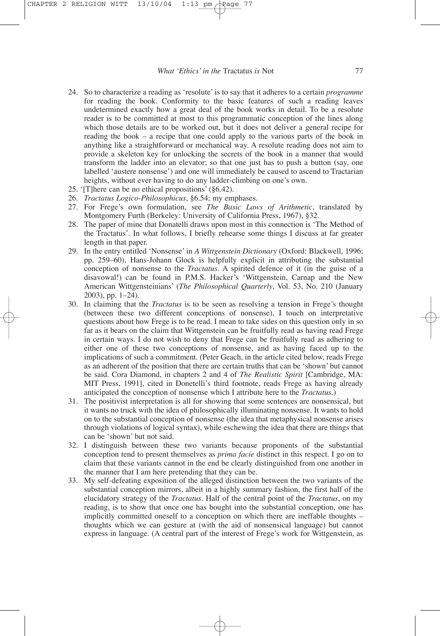- 24. So to characterize a reading as 'resolute' is to say that it adheres to a certain *programme* for reading the book. Conformity to the basic features of such a reading leaves undetermined exactly how a great deal of the book works in detail. To be a resolute reader is to be committed at most to this programmatic conception of the lines along which those details are to be worked out, but it does not deliver a general recipe for reading the book – a recipe that one could apply to the various parts of the book in anything like a straightforward or mechanical way. A resolute reading does not aim to provide a skeleton key for unlocking the secrets of the book in a manner that would transform the ladder into an elevator; so that one just has to push a button (say, one labelled 'austere nonsense') and one will immediately be caused to ascend to Tractarian heights, without ever having to do any ladder-climbing on one's own.
- 25. '[T]here can be no ethical propositions' (§6.42).
- 26. *Tractatus Logico-Philosophicus*, §6.54; my emphases.
- 27. For Frege's own formulation, see *The Basic Laws of Arithmetic*, translated by Montgomery Furth (Berkeley: University of California Press, 1967), §32.
- 28. The paper of mine that Donatelli draws upon most in this connection is 'The Method of the Tractatus'. In what follows, I briefly rehearse some things I discuss at far greater length in that paper.
- 29. In the entry entitled 'Nonsense' in *A Wittgenstein Dictionary* (Oxford: Blackwell, 1996; pp. 259–60), Hans-Johann Glock is helpfully explicit in attributing the substantial conception of nonsense to the *Tractatus*. A spirited defence of it (in the guise of a disavowal!) can be found in P.M.S. Hacker's 'Wittgenstein, Carnap and the New American Wittgensteinians' (*The Philosophical Quarterly*, Vol. 53, No. 210 (January 2003), pp. 1–24).
- 30. In claiming that the *Tractatus* is to be seen as resolving a tension in Frege's thought (between these two different conceptions of nonsense), I touch on interpretative questions about how Frege is to be read. I mean to take sides on this question only in so far as it bears on the claim that Wittgenstein can be fruitfully read as having read Frege in certain ways. I do not wish to deny that Frege can be fruitfully read as adhering to either one of these two conceptions of nonsense, and as having faced up to the implications of such a commitment. (Peter Geach, in the article cited below, reads Frege as an adherent of the position that there are certain truths that can be 'shown' but cannot be said. Cora Diamond, in chapters 2 and 4 of *The Realistic Spirit* [Cambridge, MA: MIT Press, 1991], cited in Donetelli's third footnote, reads Frege as having already anticipated the conception of nonsense which I attribute here to the *Tractatus*.)
- 31. The positivist interpretation is all for showing that some sentences are nonsensical, but it wants no truck with the idea of philosophically illuminating nonsense. It wants to hold on to the substantial conception of nonsense (the idea that metaphysical nonsense arises through violations of logical syntax), while eschewing the idea that there are things that can be 'shown' but not said.
- 32. I distinguish between these two variants because proponents of the substantial conception tend to present themselves as *prima facie* distinct in this respect. I go on to claim that these variants cannot in the end be clearly distinguished from one another in the manner that I am here pretending that they can be.
- 33. My self-defeating exposition of the alleged distinction between the two variants of the substantial conception mirrors, albeit in a highly summary fashion, the first half of the elucidatory strategy of the *Tractatus*. Half of the central point of the *Tractatus*, on my reading, is to show that once one has bought into the substantial conception, one has implicitly committed oneself to a conception on which there are ineffable thoughts – thoughts which we can gesture at (with the aid of nonsensical language) but cannot express in language. (A central part of the interest of Frege's work for Wittgenstein, as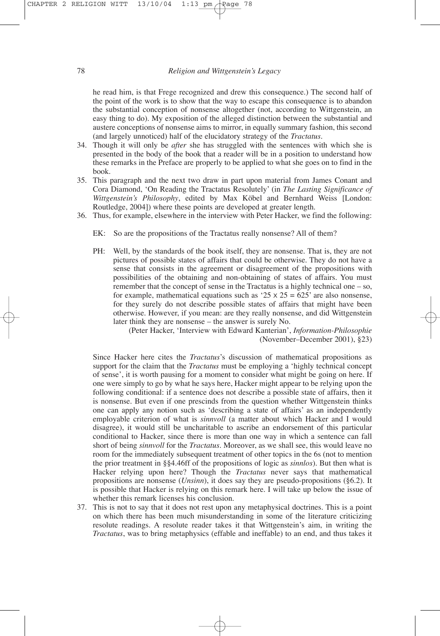he read him, is that Frege recognized and drew this consequence.) The second half of the point of the work is to show that the way to escape this consequence is to abandon the substantial conception of nonsense altogether (not, according to Wittgenstein, an easy thing to do). My exposition of the alleged distinction between the substantial and austere conceptions of nonsense aims to mirror, in equally summary fashion, this second (and largely unnoticed) half of the elucidatory strategy of the *Tractatus*.

- 34. Though it will only be *after* she has struggled with the sentences with which she is presented in the body of the book that a reader will be in a position to understand how these remarks in the Preface are properly to be applied to what she goes on to find in the book.
- 35. This paragraph and the next two draw in part upon material from James Conant and Cora Diamond, 'On Reading the Tractatus Resolutely' (in *The Lasting Significance of Wittgenstein's Philosophy*, edited by Max Köbel and Bernhard Weiss [London: Routledge, 2004]) where these points are developed at greater length.
- 36. Thus, for example, elsewhere in the interview with Peter Hacker, we find the following:
	- EK: So are the propositions of the Tractatus really nonsense? All of them?
	- PH: Well, by the standards of the book itself, they are nonsense. That is, they are not pictures of possible states of affairs that could be otherwise. They do not have a sense that consists in the agreement or disagreement of the propositions with possibilities of the obtaining and non-obtaining of states of affairs. You must remember that the concept of sense in the Tractatus is a highly technical one – so, for example, mathematical equations such as ' $25 \times 25 = 625$ ' are also nonsense, for they surely do not describe possible states of affairs that might have been otherwise. However, if you mean: are they really nonsense, and did Wittgenstein later think they are nonsense – the answer is surely No.

(Peter Hacker, 'Interview with Edward Kanterian', *Information-Philosophie* (November–December 2001), §23)

Since Hacker here cites the *Tractatus*'s discussion of mathematical propositions as support for the claim that the *Tractatus* must be employing a 'highly technical concept of sense', it is worth pausing for a moment to consider what might be going on here. If one were simply to go by what he says here, Hacker might appear to be relying upon the following conditional: if a sentence does not describe a possible state of affairs, then it is nonsense. But even if one prescinds from the question whether Wittgenstein thinks one can apply any notion such as 'describing a state of affairs' as an independently employable criterion of what is *sinnvoll* (a matter about which Hacker and I would disagree), it would still be uncharitable to ascribe an endorsement of this particular conditional to Hacker, since there is more than one way in which a sentence can fall short of being *sinnvoll* for the *Tractatus*. Moreover, as we shall see, this would leave no room for the immediately subsequent treatment of other topics in the 6s (not to mention the prior treatment in §§4.46ff of the propositions of logic as *sinnlos*). But then what is Hacker relying upon here? Though the *Tractatus* never says that mathematical propositions are nonsense (*Unsinn*), it does say they are pseudo-propositions (§6.2). It is possible that Hacker is relying on this remark here. I will take up below the issue of whether this remark licenses his conclusion.

37. This is not to say that it does not rest upon any metaphysical doctrines. This is a point on which there has been much misunderstanding in some of the literature criticizing resolute readings. A resolute reader takes it that Wittgenstein's aim, in writing the *Tractatus*, was to bring metaphysics (effable and ineffable) to an end, and thus takes it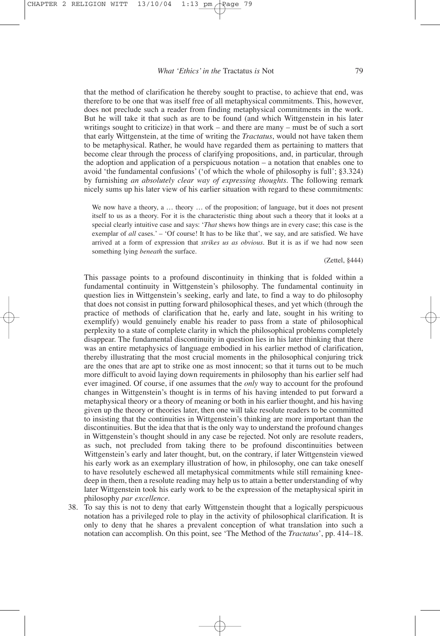that the method of clarification he thereby sought to practise, to achieve that end, was therefore to be one that was itself free of all metaphysical commitments. This, however, does not preclude such a reader from finding metaphysical commitments in the work. But he will take it that such as are to be found (and which Wittgenstein in his later writings sought to criticize) in that work – and there are many – must be of such a sort that early Wittgenstein, at the time of writing the *Tractatus*, would not have taken them to be metaphysical. Rather, he would have regarded them as pertaining to matters that become clear through the process of clarifying propositions, and, in particular, through the adoption and application of a perspicuous notation – a notation that enables one to avoid 'the fundamental confusions' ('of which the whole of philosophy is full'; §3.324) by furnishing *an absolutely clear way of expressing thoughts*. The following remark nicely sums up his later view of his earlier situation with regard to these commitments:

We now have a theory, a … theory … of the proposition; of language, but it does not present itself to us as a theory. For it is the characteristic thing about such a theory that it looks at a special clearly intuitive case and says: '*That* shews how things are in every case; this case is the exemplar of *all* cases.' – 'Of course! It has to be like that', we say, and are satisfied. We have arrived at a form of expression that *strikes us as obvious*. But it is as if we had now seen something lying *beneath* the surface.

(Zettel, §444)

This passage points to a profound discontinuity in thinking that is folded within a fundamental continuity in Wittgenstein's philosophy. The fundamental continuity in question lies in Wittgenstein's seeking, early and late, to find a way to do philosophy that does not consist in putting forward philosophical theses, and yet which (through the practice of methods of clarification that he, early and late, sought in his writing to exemplify) would genuinely enable his reader to pass from a state of philosophical perplexity to a state of complete clarity in which the philosophical problems completely disappear. The fundamental discontinuity in question lies in his later thinking that there was an entire metaphysics of language embodied in his earlier method of clarification, thereby illustrating that the most crucial moments in the philosophical conjuring trick are the ones that are apt to strike one as most innocent; so that it turns out to be much more difficult to avoid laying down requirements in philosophy than his earlier self had ever imagined. Of course, if one assumes that the *only* way to account for the profound changes in Wittgenstein's thought is in terms of his having intended to put forward a metaphysical theory or a theory of meaning or both in his earlier thought, and his having given up the theory or theories later, then one will take resolute readers to be committed to insisting that the continuities in Wittgenstein's thinking are more important than the discontinuities. But the idea that that is the only way to understand the profound changes in Wittgenstein's thought should in any case be rejected. Not only are resolute readers, as such, not precluded from taking there to be profound discontinuities between Wittgenstein's early and later thought, but, on the contrary, if later Wittgenstein viewed his early work as an exemplary illustration of how, in philosophy, one can take oneself to have resolutely eschewed all metaphysical commitments while still remaining kneedeep in them, then a resolute reading may help us to attain a better understanding of why later Wittgenstein took his early work to be the expression of the metaphysical spirit in philosophy *par excellence*.

38. To say this is not to deny that early Wittgenstein thought that a logically perspicuous notation has a privileged role to play in the activity of philosophical clarification. It is only to deny that he shares a prevalent conception of what translation into such a notation can accomplish. On this point, see 'The Method of the *Tractatus*', pp. 414–18.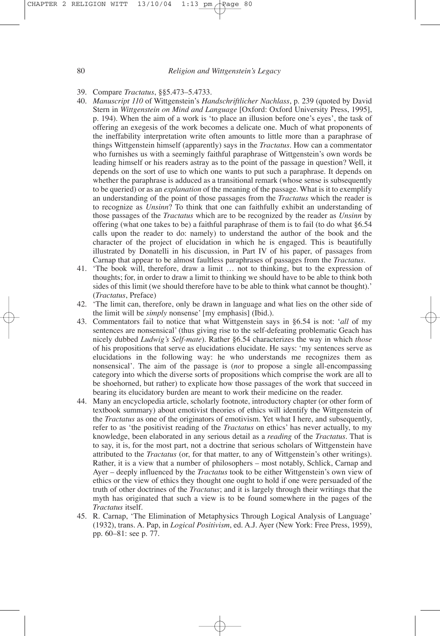- 39. Compare *Tractatus*, §§5.473–5.4733.
- 40. *Manuscript 110* of Wittgenstein's *Handschriftlicher Nachlass*, p. 239 (quoted by David Stern in *Wittgenstein on Mind and Language* [Oxford: Oxford University Press, 1995], p. 194). When the aim of a work is 'to place an illusion before one's eyes', the task of offering an exegesis of the work becomes a delicate one. Much of what proponents of the ineffability interpretation write often amounts to little more than a paraphrase of things Wittgenstein himself (apparently) says in the *Tractatus*. How can a commentator who furnishes us with a seemingly faithful paraphrase of Wittgenstein's own words be leading himself or his readers astray as to the point of the passage in question? Well, it depends on the sort of use to which one wants to put such a paraphrase. It depends on whether the paraphrase is adduced as a transitional remark (whose sense is subsequently to be queried) or as an *explanation* of the meaning of the passage. What is it to exemplify an understanding of the point of those passages from the *Tractatus* which the reader is to recognize as *Unsinn*? To think that one can faithfully exhibit an understanding of those passages of the *Tractatus* which are to be recognized by the reader as *Unsinn* by offering (what one takes to be) a faithful paraphrase of them is to fail (to do what §6.54 calls upon the reader to do: namely) to understand the author of the book and the character of the project of elucidation in which he is engaged. This is beautifully illustrated by Donatelli in his discussion, in Part IV of his paper, of passages from Carnap that appear to be almost faultless paraphrases of passages from the *Tractatus*.
- 41. 'The book will, therefore, draw a limit … not to thinking, but to the expression of thoughts; for, in order to draw a limit to thinking we should have to be able to think both sides of this limit (we should therefore have to be able to think what cannot be thought).' (*Tractatus*, Preface)
- 42. 'The limit can, therefore, only be drawn in language and what lies on the other side of the limit will be *simply* nonsense' [my emphasis] (Ibid.).
- 43. Commentators fail to notice that what Wittgenstein says in §6.54 is not: '*all* of my sentences are nonsensical' (thus giving rise to the self-defeating problematic Geach has nicely dubbed *Ludwig's Self-mate*). Rather §6.54 characterizes the way in which *those* of his propositions that serve as elucidations elucidate. He says: 'my sentences serve as elucidations in the following way: he who understands me recognizes them as nonsensical'. The aim of the passage is (*not* to propose a single all-encompassing category into which the diverse sorts of propositions which comprise the work are all to be shoehorned, but rather) to explicate how those passages of the work that succeed in bearing its elucidatory burden are meant to work their medicine on the reader.
- 44. Many an encyclopedia article, scholarly footnote, introductory chapter (or other form of textbook summary) about emotivist theories of ethics will identify the Wittgenstein of the *Tractatus* as one of the originators of emotivism. Yet what I here, and subsequently, refer to as 'the positivist reading of the *Tractatus* on ethics' has never actually, to my knowledge, been elaborated in any serious detail as a *reading* of the *Tractatus*. That is to say, it is, for the most part, not a doctrine that serious scholars of Wittgenstein have attributed to the *Tractatus* (or, for that matter, to any of Wittgenstein's other writings). Rather, it is a view that a number of philosophers – most notably, Schlick, Carnap and Ayer – deeply influenced by the *Tractatus* took to be either Wittgenstein's own view of ethics or the view of ethics they thought one ought to hold if one were persuaded of the truth of other doctrines of the *Tractatus*; and it is largely through their writings that the myth has originated that such a view is to be found somewhere in the pages of the *Tractatus* itself.
- 45. R. Carnap, 'The Elimination of Metaphysics Through Logical Analysis of Language' (1932), trans. A. Pap, in *Logical Positivism*, ed. A.J. Ayer (New York: Free Press, 1959), pp. 60–81: see p. 77.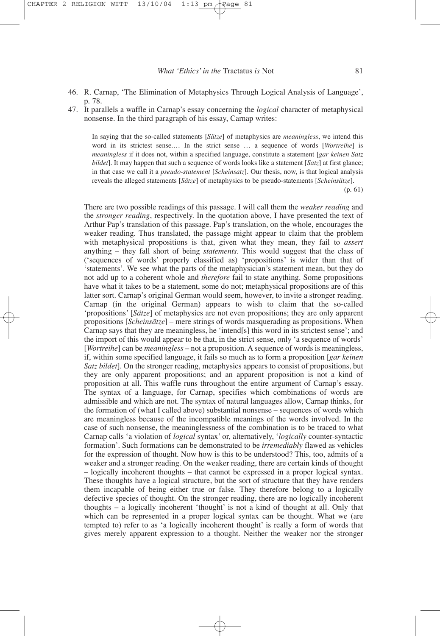- 46. R. Carnap, 'The Elimination of Metaphysics Through Logical Analysis of Language', p. 78.
- 47. It parallels a waffle in Carnap's essay concerning the *logical* character of metaphysical nonsense. In the third paragraph of his essay, Carnap writes:

In saying that the so-called statements [*Sätze*] of metaphysics are *meaningless*, we intend this word in its strictest sense.… In the strict sense … a sequence of words [*Wortreihe*] is *meaningless* if it does not, within a specified language, constitute a statement [*gar keinen Satz bildet*]. It may happen that such a sequence of words looks like a statement [*Satz*] at first glance; in that case we call it a *pseudo-statement* [*Scheinsatz*]. Our thesis, now, is that logical analysis reveals the alleged statements [*Sätze*] of metaphysics to be pseudo-statements [*Scheinsätze*].

(p. 61)

There are two possible readings of this passage. I will call them the *weaker reading* and the *stronger reading*, respectively. In the quotation above, I have presented the text of Arthur Pap's translation of this passage. Pap's translation, on the whole, encourages the weaker reading. Thus translated, the passage might appear to claim that the problem with metaphysical propositions is that, given what they mean, they fail to *assert* anything – they fall short of being *statements*. This would suggest that the class of ('sequences of words' properly classified as) 'propositions' is wider than that of 'statements'. We see what the parts of the metaphysician's statement mean, but they do not add up to a coherent whole and *therefore* fail to state anything. Some propositions have what it takes to be a statement, some do not; metaphysical propositions are of this latter sort. Carnap's original German would seem, however, to invite a stronger reading. Carnap (in the original German) appears to wish to claim that the so-called 'propositions' [*Sätze*] of metaphysics are not even propositions; they are only apparent propositions [*Scheinsätze*] – mere strings of words masquerading as propositions. When Carnap says that they are meaningless, he 'intend[s] this word in its strictest sense'; and the import of this would appear to be that, in the strict sense, only 'a sequence of words' [*Wortreihe*] can be *meaningless* – not a proposition. A sequence of words is meaningless, if, within some specified language, it fails so much as to form a proposition [*gar keinen Satz bildet*]. On the stronger reading, metaphysics appears to consist of propositions, but they are only apparent propositions; and an apparent proposition is not a kind of proposition at all. This waffle runs throughout the entire argument of Carnap's essay. The syntax of a language, for Carnap, specifies which combinations of words are admissible and which are not. The syntax of natural languages allow, Carnap thinks, for the formation of (what I called above) substantial nonsense – sequences of words which are meaningless because of the incompatible meanings of the words involved. In the case of such nonsense, the meaninglessness of the combination is to be traced to what Carnap calls 'a violation of *logical* syntax' or, alternatively, '*logically* counter-syntactic formation'. Such formations can be demonstrated to be *irremediably* flawed as vehicles for the expression of thought. Now how is this to be understood? This, too, admits of a weaker and a stronger reading. On the weaker reading, there are certain kinds of thought – logically incoherent thoughts – that cannot be expressed in a proper logical syntax. These thoughts have a logical structure, but the sort of structure that they have renders them incapable of being either true or false. They therefore belong to a logically defective species of thought. On the stronger reading, there are no logically incoherent thoughts – a logically incoherent 'thought' is not a kind of thought at all. Only that which can be represented in a proper logical syntax can be thought. What we (are tempted to) refer to as 'a logically incoherent thought' is really a form of words that gives merely apparent expression to a thought. Neither the weaker nor the stronger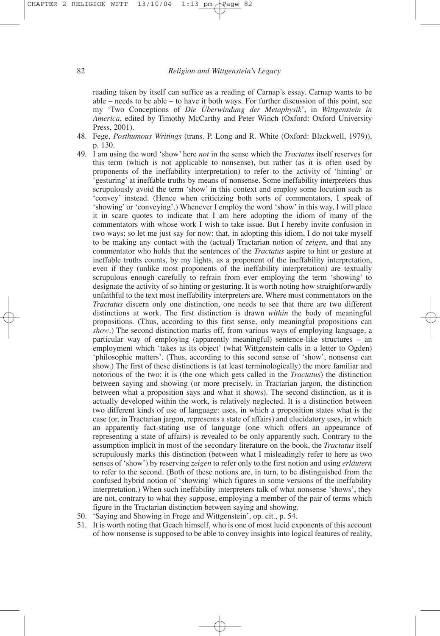reading taken by itself can suffice as a reading of Carnap's essay. Carnap wants to be able – needs to be able – to have it both ways. For further discussion of this point, see my 'Two Conceptions of *Die Überwindung der Metaphysik*', in *Wittgenstein in America*, edited by Timothy McCarthy and Peter Winch (Oxford: Oxford University Press, 2001).

- 48. Fege, *Posthumous Writings* (trans. P. Long and R. White (Oxford: Blackwell, 1979)), p. 130.
- 49. I am using the word 'show' here *not* in the sense which the *Tractatus* itself reserves for this term (which is not applicable to nonsense), but rather (as it is often used by proponents of the ineffability interpretation) to refer to the activity of 'hinting' or 'gesturing' at ineffable truths by means of nonsense. Some ineffability interpreters thus scrupulously avoid the term 'show' in this context and employ some locution such as 'convey' instead. (Hence when criticizing both sorts of commentators, I speak of 'showing' or 'conveying'.) Whenever I employ the word 'show' in this way, I will place it in scare quotes to indicate that I am here adopting the idiom of many of the commentators with whose work I wish to take issue. But I hereby invite confusion in two ways; so let me just say for now: that, in adopting this idiom, I do not take myself to be making any contact with the (actual) Tractarian notion of *zeigen*, and that any commentator who holds that the sentences of the *Tractatus* aspire to hint or gesture at ineffable truths counts, by my lights, as a proponent of the ineffability interpretation, even if they (unlike most proponents of the ineffability interpretation) are textually scrupulous enough carefully to refrain from ever employing the term 'showing' to designate the activity of so hinting or gesturing. It is worth noting how straightforwardly unfaithful to the text most ineffability interpreters are. Where most commentators on the *Tractatus* discern only one distinction, one needs to see that there are two different distinctions at work. The first distinction is drawn *within* the body of meaningful propositions. (Thus, according to this first sense, only meaningful propositions can *show*.) The second distinction marks off, from various ways of employing language, a particular way of employing (apparently meaningful) sentence-like structures – an employment which 'takes as its object' (what Wittgenstein calls in a letter to Ogden) 'philosophic matters'. (Thus, according to this second sense of 'show', nonsense can show.) The first of these distinctions is (at least terminologically) the more familiar and notorious of the two: it is (the one which gets called in the *Tractatus*) the distinction between saying and showing (or more precisely, in Tractarian jargon, the distinction between what a proposition says and what it shows). The second distinction, as it is actually developed within the work, is relatively neglected. It is a distinction between two different kinds of use of language: uses, in which a proposition states what is the case (or, in Tractarian jargon, represents a state of affairs) and elucidatory uses, in which an apparently fact-stating use of language (one which offers an appearance of representing a state of affairs) is revealed to be only apparently such. Contrary to the assumption implicit in most of the secondary literature on the book, the *Tractatus* itself scrupulously marks this distinction (between what I misleadingly refer to here as two senses of 'show') by reserving *zeigen* to refer only to the first notion and using *erläutern* to refer to the second. (Both of these notions are, in turn, to be distinguished from the confused hybrid notion of 'showing' which figures in some versions of the ineffability interpretation.) When such ineffability interpreters talk of what nonsense 'shows', they are not, contrary to what they suppose, employing a member of the pair of terms which figure in the Tractarian distinction between saying and showing.
- 50. 'Saying and Showing in Frege and Wittgenstein', op. cit., p. 54.
- 51. It is worth noting that Geach himself, who is one of most lucid exponents of this account of how nonsense is supposed to be able to convey insights into logical features of reality,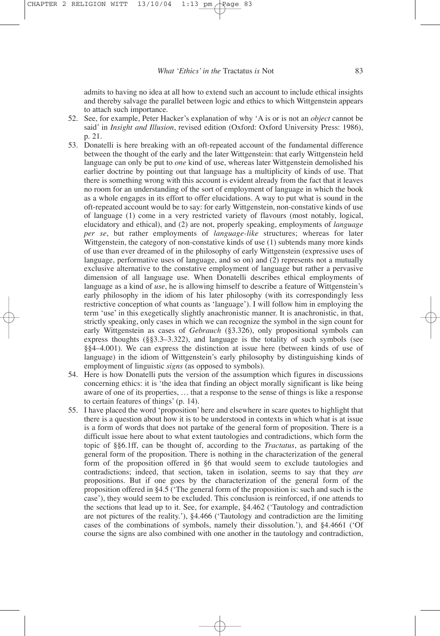admits to having no idea at all how to extend such an account to include ethical insights and thereby salvage the parallel between logic and ethics to which Wittgenstein appears to attach such importance.

- 52. See, for example, Peter Hacker's explanation of why 'A is or is not an *object* cannot be said' in *Insight and Illusion*, revised edition (Oxford: Oxford University Press: 1986), p. 21.
- 53. Donatelli is here breaking with an oft-repeated account of the fundamental difference between the thought of the early and the later Wittgenstein: that early Wittgenstein held language can only be put to *one* kind of use, whereas later Wittgenstein demolished his earlier doctrine by pointing out that language has a multiplicity of kinds of use. That there is something wrong with this account is evident already from the fact that it leaves no room for an understanding of the sort of employment of language in which the book as a whole engages in its effort to offer elucidations. A way to put what is sound in the oft-repeated account would be to say: for early Wittgenstein, non-constative kinds of use of language (1) come in a very restricted variety of flavours (most notably, logical, elucidatory and ethical), and (2) are not, properly speaking, employments of *language per se*, but rather employments of *language-like* structures; whereas for later Wittgenstein, the category of non-constative kinds of use (1) subtends many more kinds of use than ever dreamed of in the philosophy of early Wittgenstein (expressive uses of language, performative uses of language, and so on) and (2) represents not a mutually exclusive alternative to the constative employment of language but rather a pervasive dimension of all language use. When Donatelli describes ethical employments of language as a kind of *use*, he is allowing himself to describe a feature of Wittgenstein's early philosophy in the idiom of his later philosophy (with its correspondingly less restrictive conception of what counts as 'language'). I will follow him in employing the term 'use' in this exegetically slightly anachronistic manner. It is anachronistic, in that, strictly speaking, only cases in which we can recognize the symbol in the sign count for early Wittgenstein as cases of *Gebrauch* (§3.326), only propositional symbols can express thoughts (§§3.3–3.322), and language is the totality of such symbols (see §§4–4.001). We can express the distinction at issue here (between kinds of use of language) in the idiom of Wittgenstein's early philosophy by distinguishing kinds of employment of linguistic *signs* (as opposed to symbols).
- 54. Here is how Donatelli puts the version of the assumption which figures in discussions concerning ethics: it is 'the idea that finding an object morally significant is like being aware of one of its properties, … that a response to the sense of things is like a response to certain features of things' (p. 14).
- 55. I have placed the word 'proposition' here and elsewhere in scare quotes to highlight that there is a question about how it is to be understood in contexts in which what is at issue is a form of words that does not partake of the general form of proposition. There is a difficult issue here about to what extent tautologies and contradictions, which form the topic of §§6.1ff, can be thought of, according to the *Tractatus*, as partaking of the general form of the proposition. There is nothing in the characterization of the general form of the proposition offered in §6 that would seem to exclude tautologies and contradictions; indeed, that section, taken in isolation, seems to say that they *are* propositions. But if one goes by the characterization of the general form of the proposition offered in §4.5 ('The general form of the proposition is: such and such is the case'), they would seem to be excluded. This conclusion is reinforced, if one attends to the sections that lead up to it. See, for example, §4.462 ('Tautology and contradiction are not pictures of the reality.'), §4.466 ('Tautology and contradiction are the limiting cases of the combinations of symbols, namely their dissolution.'), and §4.4661 ('Of course the signs are also combined with one another in the tautology and contradiction,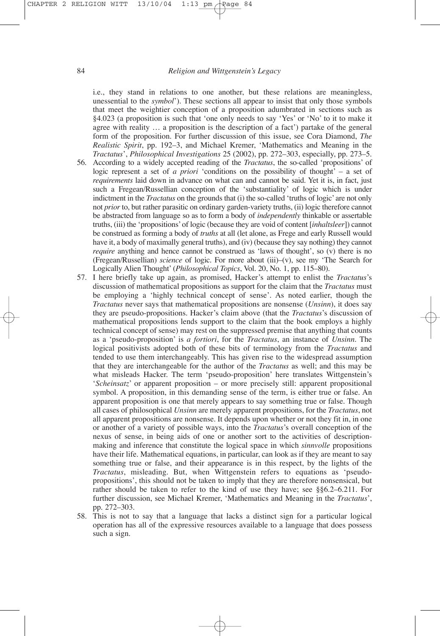i.e., they stand in relations to one another, but these relations are meaningless, unessential to the *symbol*'). These sections all appear to insist that only those symbols that meet the weightier conception of a proposition adumbrated in sections such as §4.023 (a proposition is such that 'one only needs to say 'Yes' or 'No' to it to make it agree with reality … a proposition is the description of a fact') partake of the general form of the proposition. For further discussion of this issue, see Cora Diamond, *The Realistic Spirit*, pp. 192–3, and Michael Kremer, 'Mathematics and Meaning in the *Tractatus*', *Philosophical Investigations* 25 (2002), pp. 272–303, especially, pp. 273–5.

- 56. According to a widely accepted reading of the *Tractatus*, the so-called 'propositions' of logic represent a set of *a priori* 'conditions on the possibility of thought' – a set of *requirements* laid down in advance on what can and cannot be said. Yet it is, in fact, just such a Fregean/Russellian conception of the 'substantiality' of logic which is under indictment in the *Tractatus* on the grounds that (i) the so-called 'truths of logic' are not only not *prior* to, but rather parasitic on ordinary garden-variety truths, (ii) logic therefore cannot be abstracted from language so as to form a body of *independently* thinkable or assertable truths, (iii) the 'propositions' of logic (because they are void of content [*inhaltsleer*]) cannot be construed as forming a body of *truths* at all (let alone, as Frege and early Russell would have it, a body of maximally general truths), and (iv) (because they say nothing) they cannot *require* anything and hence cannot be construed as 'laws of thought', so (v) there is no (Fregean/Russellian) *science* of logic. For more about (iii)–(v), see my 'The Search for Logically Alien Thought' (*Philosophical Topics*, Vol. 20, No. 1, pp. 115–80).
- 57. I here briefly take up again, as promised, Hacker's attempt to enlist the *Tractatus*'s discussion of mathematical propositions as support for the claim that the *Tractatus* must be employing a 'highly technical concept of sense'. As noted earlier, though the *Tractatus* never says that mathematical propositions are nonsense (*Unsinn*), it does say they are pseudo-propositions. Hacker's claim above (that the *Tractatus*'s discussion of mathematical propositions lends support to the claim that the book employs a highly technical concept of sense) may rest on the suppressed premise that anything that counts as a 'pseudo-proposition' is *a fortiori*, for the *Tractatus*, an instance of *Unsinn*. The logical positivists adopted both of these bits of terminology from the *Tractatus* and tended to use them interchangeably. This has given rise to the widespread assumption that they are interchangeable for the author of the *Tractatus* as well; and this may be what misleads Hacker. The term 'pseudo-proposition' here translates Wittgenstein's '*Scheinsatz*' or apparent proposition – or more precisely still: apparent propositional symbol. A proposition, in this demanding sense of the term, is either true or false. An apparent proposition is one that merely appears to say something true or false. Though all cases of philosophical *Unsinn* are merely apparent propositions, for the *Tractatus*, not all apparent propositions are nonsense. It depends upon whether or not they fit in, in one or another of a variety of possible ways, into the *Tractatus*'s overall conception of the nexus of sense, in being aids of one or another sort to the activities of descriptionmaking and inference that constitute the logical space in which *sinnvolle* propositions have their life. Mathematical equations, in particular, can look as if they are meant to say something true or false, and their appearance is in this respect, by the lights of the *Tractatus*, misleading. But, when Wittgenstein refers to equations as 'pseudopropositions', this should not be taken to imply that they are therefore nonsensical, but rather should be taken to refer to the kind of use they have; see §§6.2–6.211. For further discussion, see Michael Kremer, 'Mathematics and Meaning in the *Tractatus*', pp. 272–303.
- 58. This is not to say that a language that lacks a distinct sign for a particular logical operation has all of the expressive resources available to a language that does possess such a sign.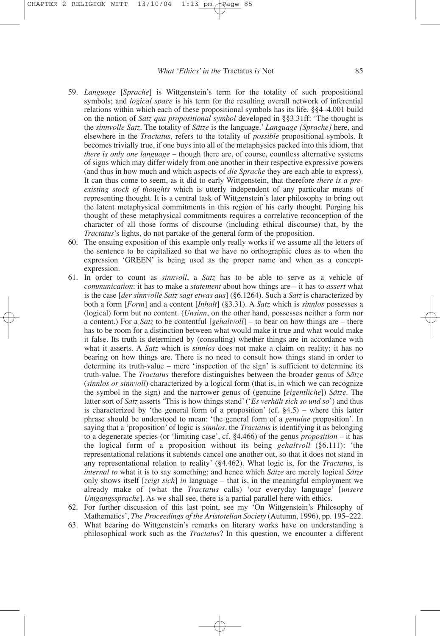- 59. *Language* [*Sprache*] is Wittgenstein's term for the totality of such propositional symbols; and *logical space* is his term for the resulting overall network of inferential relations within which each of these propositional symbols has its life. §§4–4.001 build on the notion of *Satz qua propositional symbol* developed in §§3.31ff: 'The thought is the *sinnvolle Satz*. The totality of *Sätze* is the language.' *Language [Sprache]* here, and elsewhere in the *Tractatus*, refers to the totality of *possible* propositional symbols. It becomes trivially true, if one buys into all of the metaphysics packed into this idiom, that *there is only one language* – though there are, of course, countless alternative systems of signs which may differ widely from one another in their respective expressive powers (and thus in how much and which aspects of *die Sprache* they are each able to express). It can thus come to seem, as it did to early Wittgenstein, that therefore *there is a preexisting stock of thoughts* which is utterly independent of any particular means of representing thought. It is a central task of Wittgenstein's later philosophy to bring out the latent metaphysical commitments in this region of his early thought. Purging his thought of these metaphysical commitments requires a correlative reconception of the character of all those forms of discourse (including ethical discourse) that, by the *Tractatus*'s lights, do not partake of the general form of the proposition.
- 60. The ensuing exposition of this example only really works if we assume all the letters of the sentence to be capitalized so that we have no orthographic clues as to when the expression 'GREEN' is being used as the proper name and when as a conceptexpression.
- 61. In order to count as *sinnvoll*, a *Satz* has to be able to serve as a vehicle of *communication*: it has to make a *statement* about how things are – it has to *assert* what is the case [*der sinnvolle Satz sagt etwas aus*] (§6.1264). Such a *Satz* is characterized by both a form [*Form*] and a content [*Inhalt*] (§3.31). A *Satz* which is *sinnlos* possesses a (logical) form but no content. (*Unsinn*, on the other hand, possesses neither a form nor a content.) For a *Satz* to be contentful [*gehaltvoll*] – to bear on how things are – there has to be room for a distinction between what would make it true and what would make it false. Its truth is determined by (consulting) whether things are in accordance with what it asserts. A *Satz* which is *sinnlos* does not make a claim on reality; it has no bearing on how things are. There is no need to consult how things stand in order to determine its truth-value – mere 'inspection of the sign' is sufficient to determine its truth-value. The *Tractatus* therefore distinguishes between the broader genus of *Sätze* (*sinnlos or sinnvoll*) characterized by a logical form (that is, in which we can recognize the symbol in the sign) and the narrower genus of (genuine [*eigentliche*]) *Sätze*. The latter sort of *Satz* asserts 'This is how things stand' ('*Es verhält sich so und so*') and thus is characterized by 'the general form of a proposition' (cf. §4.5) – where this latter phrase should be understood to mean: 'the general form of a *genuine* proposition'. In saying that a 'proposition' of logic is *sinnlos*, the *Tractatus* is identifying it as belonging to a degenerate species (or 'limiting case', cf. §4.466) of the genus *proposition* – it has the logical form of a proposition without its being *gehaltvoll* (§6.111): 'the representational relations it subtends cancel one another out, so that it does not stand in any representational relation to reality' (§4.462). What logic is, for the *Tractatus*, is *internal to* what it is to say something; and hence which *Sätze* are merely logical *Sätze* only shows itself [*zeigt sich*] *in* language – that is, in the meaningful employment we already make of (what the *Tractatus* calls) 'our everyday language' [*unsere Umgangssprache*]. As we shall see, there is a partial parallel here with ethics.
- 62. For further discussion of this last point, see my 'On Wittgenstein's Philosophy of Mathematics', *The Proceedings of the Aristotelian Society* (Autumn, 1996), pp. 195–222.
- 63. What bearing do Wittgenstein's remarks on literary works have on understanding a philosophical work such as the *Tractatus*? In this question, we encounter a different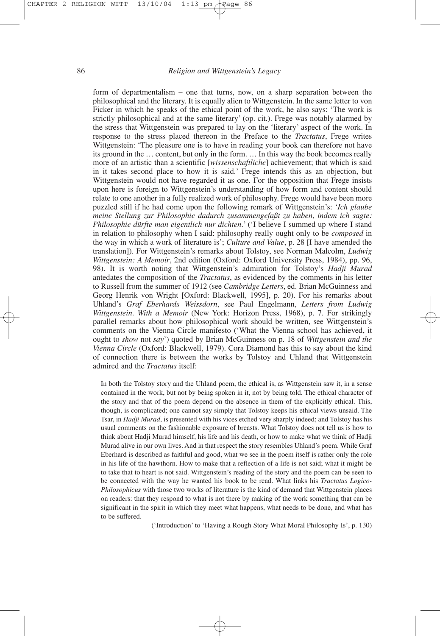form of departmentalism – one that turns, now, on a sharp separation between the philosophical and the literary. It is equally alien to Wittgenstein. In the same letter to von Ficker in which he speaks of the ethical point of the work, he also says: 'The work is strictly philosophical and at the same literary' (op. cit.). Frege was notably alarmed by the stress that Wittgenstein was prepared to lay on the 'literary' aspect of the work. In response to the stress placed thereon in the Preface to the *Tractatus*, Frege writes Wittgenstein: 'The pleasure one is to have in reading your book can therefore not have its ground in the … content, but only in the form. … In this way the book becomes really more of an artistic than a scientific [*wissenschaftliche*] achievement; that which is said in it takes second place to how it is said.' Frege intends this as an objection, but Wittgenstein would not have regarded it as one. For the opposition that Frege insists upon here is foreign to Wittgenstein's understanding of how form and content should relate to one another in a fully realized work of philosophy. Frege would have been more puzzled still if he had come upon the following remark of Wittgenstein's: '*Ich glaube meine Stellung zur Philosophie dadurch zusammengefaßt zu haben, indem ich sagte: Philosophie dürfte man eigentlich nur dichten*.' ('I believe I summed up where I stand in relation to philosophy when I said: philosophy really ought only to be *composed* in the way in which a work of literature is'; *Culture and Value*, p. 28 [I have amended the translation]). For Wittgenstein's remarks about Tolstoy, see Norman Malcolm, *Ludwig Wittgenstein: A Memoir*, 2nd edition (Oxford: Oxford University Press, 1984), pp. 96, 98). It is worth noting that Wittgenstein's admiration for Tolstoy's *Hadji Murad* antedates the composition of the *Tractatus*, as evidenced by the comments in his letter to Russell from the summer of 1912 (see *Cambridge Letters*, ed. Brian McGuinness and Georg Henrik von Wright [Oxford: Blackwell, 1995], p. 20). For his remarks about Uhland's *Graf Eberhards Weissdorn*, see Paul Engelmann, *Letters from Ludwig Wittgenstein. With a Memoir* (New York: Horizon Press, 1968), p. 7. For strikingly parallel remarks about how philosophical work should be written, see Wittgenstein's comments on the Vienna Circle manifesto ('What the Vienna school has achieved, it ought to *show* not *say*') quoted by Brian McGuinness on p. 18 of *Wittgenstein and the Vienna Circle* (Oxford: Blackwell, 1979). Cora Diamond has this to say about the kind of connection there is between the works by Tolstoy and Uhland that Wittgenstein admired and the *Tractatus* itself:

In both the Tolstoy story and the Uhland poem, the ethical is, as Wittgenstein saw it, in a sense contained in the work, but not by being spoken in it, not by being told. The ethical character of the story and that of the poem depend on the absence in them of the explicitly ethical. This, though, is complicated; one cannot say simply that Tolstoy keeps his ethical views unsaid. The Tsar, in *Hadji Murad*, is presented with his vices etched very sharply indeed; and Tolstoy has his usual comments on the fashionable exposure of breasts. What Tolstoy does not tell us is how to think about Hadji Murad himself, his life and his death, or how to make what we think of Hadji Murad alive in our own lives. And in that respect the story resembles Uhland's poem. While Graf Eberhard is described as faithful and good, what we see in the poem itself is rather only the role in his life of the hawthorn. How to make that a reflection of a life is not said; what it might be to take that to heart is not said. Wittgenstein's reading of the story and the poem can be seen to be connected with the way he wanted his book to be read. What links his *Tractatus Logico-Philosophicus* with those two works of literature is the kind of demand that Wittgenstein places on readers: that they respond to what is not there by making of the work something that can be significant in the spirit in which they meet what happens, what needs to be done, and what has to be suffered.

('Introduction' to 'Having a Rough Story What Moral Philosophy Is', p. 130)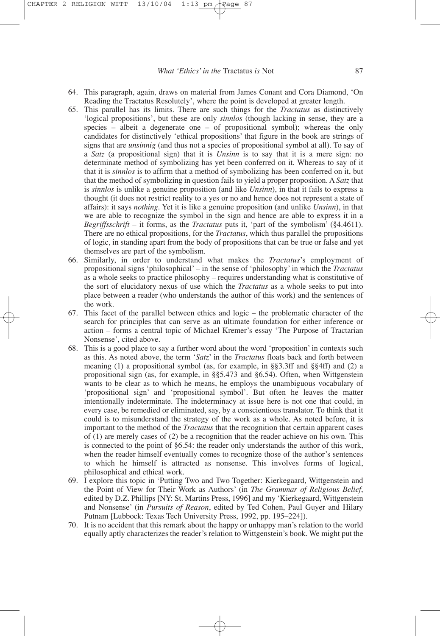- 64. This paragraph, again, draws on material from James Conant and Cora Diamond, 'On Reading the Tractatus Resolutely', where the point is developed at greater length.
- 65. This parallel has its limits. There are such things for the *Tractatus* as distinctively 'logical propositions', but these are only *sinnlos* (though lacking in sense, they are a species – albeit a degenerate one – of propositional symbol); whereas the only candidates for distinctively 'ethical propositions' that figure in the book are strings of signs that are *unsinnig* (and thus not a species of propositional symbol at all). To say of a *Satz* (a propositional sign) that it is *Unsinn* is to say that it is a mere sign: no determinate method of symbolizing has yet been conferred on it. Whereas to say of it that it is *sinnlos* is to affirm that a method of symbolizing has been conferred on it, but that the method of symbolizing in question fails to yield a proper proposition. A *Satz* that is *sinnlos* is unlike a genuine proposition (and like *Unsinn*), in that it fails to express a thought (it does not restrict reality to a yes or no and hence does not represent a state of affairs): it says *nothing*. Yet it is like a genuine proposition (and unlike *Unsinn*), in that we are able to recognize the symbol in the sign and hence are able to express it in a *Begriffsschrift* – it forms, as the *Tractatus* puts it, 'part of the symbolism' (§4.4611). There are no ethical propositions, for the *Tractatus*, which thus parallel the propositions of logic, in standing apart from the body of propositions that can be true or false and yet themselves are part of the symbolism.
- 66. Similarly, in order to understand what makes the *Tractatus*'s employment of propositional signs 'philosophical' – in the sense of 'philosophy' in which the *Tractatus* as a whole seeks to practice philosophy – requires understanding what is constitutive of the sort of elucidatory nexus of use which the *Tractatus* as a whole seeks to put into place between a reader (who understands the author of this work) and the sentences of the work.
- 67. This facet of the parallel between ethics and logic the problematic character of the search for principles that can serve as an ultimate foundation for either inference or action – forms a central topic of Michael Kremer's essay 'The Purpose of Tractarian Nonsense', cited above.
- 68. This is a good place to say a further word about the word 'proposition' in contexts such as this. As noted above, the term '*Satz*' in the *Tractatus* floats back and forth between meaning (1) a propositional symbol (as, for example, in §§3.3ff and §§4ff) and (2) a propositional sign (as, for example, in §§5.473 and §6.54). Often, when Wittgenstein wants to be clear as to which he means, he employs the unambiguous vocabulary of 'propositional sign' and 'propositional symbol'. But often he leaves the matter intentionally indeterminate. The indeterminacy at issue here is not one that could, in every case, be remedied or eliminated, say, by a conscientious translator. To think that it could is to misunderstand the strategy of the work as a whole. As noted before, it is important to the method of the *Tractatus* that the recognition that certain apparent cases of (1) are merely cases of (2) be a recognition that the reader achieve on his own. This is connected to the point of §6.54: the reader only understands the author of this work, when the reader himself eventually comes to recognize those of the author's sentences to which he himself is attracted as nonsense. This involves forms of logical, philosophical and ethical work.
- 69. I explore this topic in 'Putting Two and Two Together: Kierkegaard, Wittgenstein and the Point of View for Their Work as Authors' (in *The Grammar of Religious Belief*, edited by D.Z. Phillips [NY: St. Martins Press, 1996] and my 'Kierkegaard, Wittgenstein and Nonsense' (in *Pursuits of Reason*, edited by Ted Cohen, Paul Guyer and Hilary Putnam [Lubbock: Texas Tech University Press, 1992, pp. 195–224]).
- 70. It is no accident that this remark about the happy or unhappy man's relation to the world equally aptly characterizes the reader's relation to Wittgenstein's book. We might put the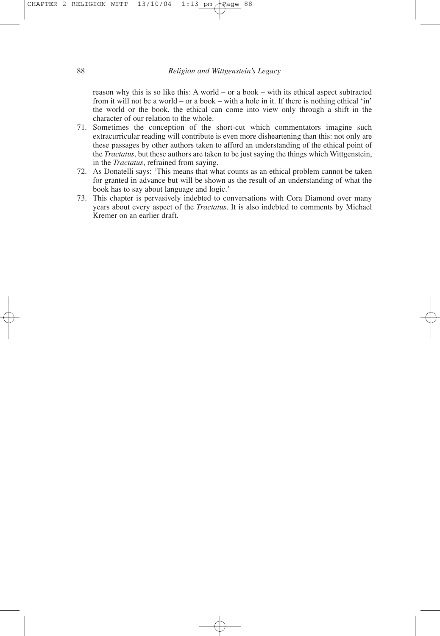reason why this is so like this: A world – or a book – with its ethical aspect subtracted from it will not be a world – or a book – with a hole in it. If there is nothing ethical 'in' the world or the book, the ethical can come into view only through a shift in the character of our relation to the whole.

- 71. Sometimes the conception of the short-cut which commentators imagine such extracurricular reading will contribute is even more disheartening than this: not only are these passages by other authors taken to afford an understanding of the ethical point of the *Tractatus*, but these authors are taken to be just saying the things which Wittgenstein, in the *Tractatus*, refrained from saying.
- 72. As Donatelli says: 'This means that what counts as an ethical problem cannot be taken for granted in advance but will be shown as the result of an understanding of what the book has to say about language and logic.'
- 73. This chapter is pervasively indebted to conversations with Cora Diamond over many years about every aspect of the *Tractatus*. It is also indebted to comments by Michael Kremer on an earlier draft.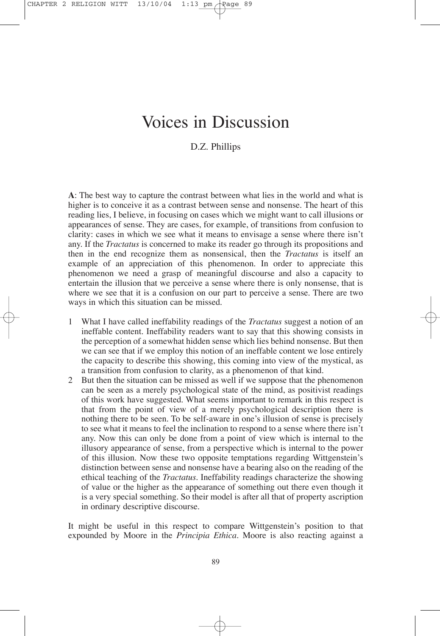## Voices in Discussion

## D.Z. Phillips

**A**: The best way to capture the contrast between what lies in the world and what is higher is to conceive it as a contrast between sense and nonsense. The heart of this reading lies, I believe, in focusing on cases which we might want to call illusions or appearances of sense. They are cases, for example, of transitions from confusion to clarity: cases in which we see what it means to envisage a sense where there isn't any. If the *Tractatus* is concerned to make its reader go through its propositions and then in the end recognize them as nonsensical, then the *Tractatus* is itself an example of an appreciation of this phenomenon. In order to appreciate this phenomenon we need a grasp of meaningful discourse and also a capacity to entertain the illusion that we perceive a sense where there is only nonsense, that is where we see that it is a confusion on our part to perceive a sense. There are two ways in which this situation can be missed.

- 1 What I have called ineffability readings of the *Tractatus* suggest a notion of an ineffable content. Ineffability readers want to say that this showing consists in the perception of a somewhat hidden sense which lies behind nonsense. But then we can see that if we employ this notion of an ineffable content we lose entirely the capacity to describe this showing, this coming into view of the mystical, as a transition from confusion to clarity, as a phenomenon of that kind.
- 2 But then the situation can be missed as well if we suppose that the phenomenon can be seen as a merely psychological state of the mind, as positivist readings of this work have suggested. What seems important to remark in this respect is that from the point of view of a merely psychological description there is nothing there to be seen. To be self-aware in one's illusion of sense is precisely to see what it means to feel the inclination to respond to a sense where there isn't any. Now this can only be done from a point of view which is internal to the illusory appearance of sense, from a perspective which is internal to the power of this illusion. Now these two opposite temptations regarding Wittgenstein's distinction between sense and nonsense have a bearing also on the reading of the ethical teaching of the *Tractatus*. Ineffability readings characterize the showing of value or the higher as the appearance of something out there even though it is a very special something. So their model is after all that of property ascription in ordinary descriptive discourse.

It might be useful in this respect to compare Wittgenstein's position to that expounded by Moore in the *Principia Ethica*. Moore is also reacting against a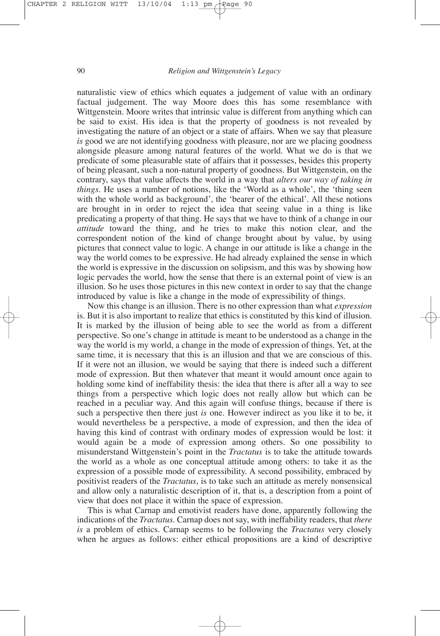naturalistic view of ethics which equates a judgement of value with an ordinary factual judgement. The way Moore does this has some resemblance with Wittgenstein. Moore writes that intrinsic value is different from anything which can be said to exist. His idea is that the property of goodness is not revealed by investigating the nature of an object or a state of affairs. When we say that pleasure *is* good we are not identifying goodness with pleasure, nor are we placing goodness alongside pleasure among natural features of the world. What we do is that we predicate of some pleasurable state of affairs that it possesses, besides this property of being pleasant, such a non-natural property of goodness. But Wittgenstein, on the contrary, says that value affects the world in a way that *alters our way of taking in things*. He uses a number of notions, like the 'World as a whole', the 'thing seen with the whole world as background', the 'bearer of the ethical'. All these notions are brought in in order to reject the idea that seeing value in a thing is like predicating a property of that thing. He says that we have to think of a change in our *attitude* toward the thing, and he tries to make this notion clear, and the correspondent notion of the kind of change brought about by value, by using pictures that connect value to logic. A change in our attitude is like a change in the way the world comes to be expressive. He had already explained the sense in which the world is expressive in the discussion on solipsism, and this was by showing how logic pervades the world, how the sense that there is an external point of view is an illusion. So he uses those pictures in this new context in order to say that the change introduced by value is like a change in the mode of expressibility of things.

Now this change is an illusion. There is no other expression than what *expression* is. But it is also important to realize that ethics is constituted by this kind of illusion. It is marked by the illusion of being able to see the world as from a different perspective. So one's change in attitude is meant to be understood as a change in the way the world is my world, a change in the mode of expression of things. Yet, at the same time, it is necessary that this is an illusion and that we are conscious of this. If it were not an illusion, we would be saying that there is indeed such a different mode of expression. But then whatever that meant it would amount once again to holding some kind of ineffability thesis: the idea that there is after all a way to see things from a perspective which logic does not really allow but which can be reached in a peculiar way. And this again will confuse things, because if there is such a perspective then there just *is* one. However indirect as you like it to be, it would nevertheless be a perspective, a mode of expression, and then the idea of having this kind of contrast with ordinary modes of expression would be lost: it would again be a mode of expression among others. So one possibility to misunderstand Wittgenstein's point in the *Tractatus* is to take the attitude towards the world as a whole as one conceptual attitude among others: to take it as the expression of a possible mode of expressibility. A second possibility, embraced by positivist readers of the *Tractatus*, is to take such an attitude as merely nonsensical and allow only a naturalistic description of it, that is, a description from a point of view that does not place it within the space of expression.

This is what Carnap and emotivist readers have done, apparently following the indications of the *Tractatus*. Carnap does not say, with ineffability readers, that *there is* a problem of ethics. Carnap seems to be following the *Tractatus* very closely when he argues as follows: either ethical propositions are a kind of descriptive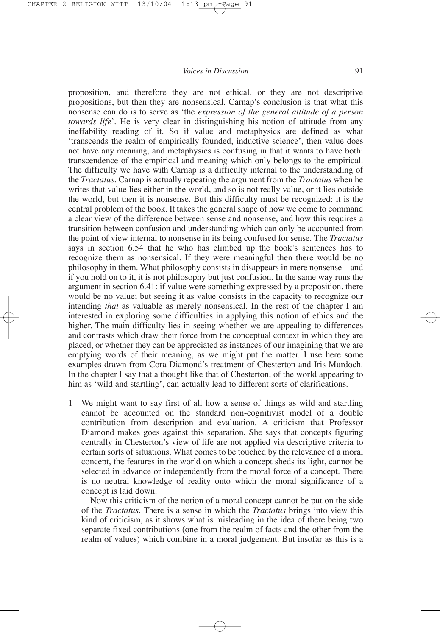#### *Voices in Discussion* 91

proposition, and therefore they are not ethical, or they are not descriptive propositions, but then they are nonsensical. Carnap's conclusion is that what this nonsense can do is to serve as 'the *expression of the general attitude of a person towards life*'. He is very clear in distinguishing his notion of attitude from any ineffability reading of it. So if value and metaphysics are defined as what 'transcends the realm of empirically founded, inductive science', then value does not have any meaning, and metaphysics is confusing in that it wants to have both: transcendence of the empirical and meaning which only belongs to the empirical. The difficulty we have with Carnap is a difficulty internal to the understanding of the *Tractatus*. Carnap is actually repeating the argument from the *Tractatus* when he writes that value lies either in the world, and so is not really value, or it lies outside the world, but then it is nonsense. But this difficulty must be recognized: it is the central problem of the book. It takes the general shape of how we come to command a clear view of the difference between sense and nonsense, and how this requires a transition between confusion and understanding which can only be accounted from the point of view internal to nonsense in its being confused for sense. The *Tractatus* says in section 6.54 that he who has climbed up the book's sentences has to recognize them as nonsensical. If they were meaningful then there would be no philosophy in them. What philosophy consists in disappears in mere nonsense – and if you hold on to it, it is not philosophy but just confusion. In the same way runs the argument in section 6.41: if value were something expressed by a proposition, there would be no value; but seeing it as value consists in the capacity to recognize our intending *that* as valuable as merely nonsensical. In the rest of the chapter I am interested in exploring some difficulties in applying this notion of ethics and the higher. The main difficulty lies in seeing whether we are appealing to differences and contrasts which draw their force from the conceptual context in which they are placed, or whether they can be appreciated as instances of our imagining that we are emptying words of their meaning, as we might put the matter. I use here some examples drawn from Cora Diamond's treatment of Chesterton and Iris Murdoch. In the chapter I say that a thought like that of Chesterton, of the world appearing to him as 'wild and startling', can actually lead to different sorts of clarifications.

1 We might want to say first of all how a sense of things as wild and startling cannot be accounted on the standard non-cognitivist model of a double contribution from description and evaluation. A criticism that Professor Diamond makes goes against this separation. She says that concepts figuring centrally in Chesterton's view of life are not applied via descriptive criteria to certain sorts of situations. What comes to be touched by the relevance of a moral concept, the features in the world on which a concept sheds its light, cannot be selected in advance or independently from the moral force of a concept. There is no neutral knowledge of reality onto which the moral significance of a concept is laid down.

Now this criticism of the notion of a moral concept cannot be put on the side of the *Tractatus*. There is a sense in which the *Tractatus* brings into view this kind of criticism, as it shows what is misleading in the idea of there being two separate fixed contributions (one from the realm of facts and the other from the realm of values) which combine in a moral judgement. But insofar as this is a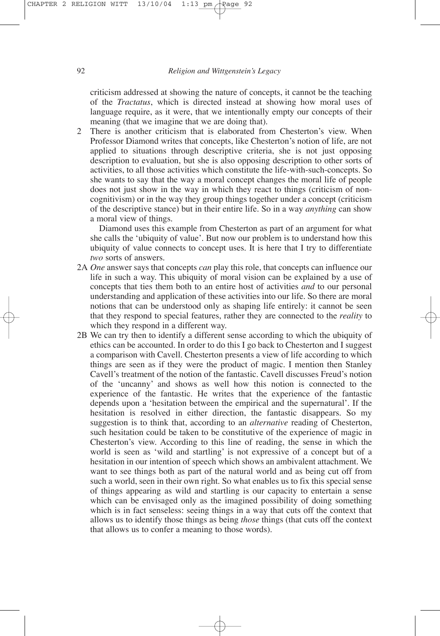criticism addressed at showing the nature of concepts, it cannot be the teaching of the *Tractatus*, which is directed instead at showing how moral uses of language require, as it were, that we intentionally empty our concepts of their meaning (that we imagine that we are doing that).

2 There is another criticism that is elaborated from Chesterton's view. When Professor Diamond writes that concepts, like Chesterton's notion of life, are not applied to situations through descriptive criteria, she is not just opposing description to evaluation, but she is also opposing description to other sorts of activities, to all those activities which constitute the life-with-such-concepts. So she wants to say that the way a moral concept changes the moral life of people does not just show in the way in which they react to things (criticism of noncognitivism) or in the way they group things together under a concept (criticism of the descriptive stance) but in their entire life. So in a way *anything* can show a moral view of things.

Diamond uses this example from Chesterton as part of an argument for what she calls the 'ubiquity of value'. But now our problem is to understand how this ubiquity of value connects to concept uses. It is here that I try to differentiate *two* sorts of answers.

- 2A *One* answer says that concepts *can* play this role, that concepts can influence our life in such a way. This ubiquity of moral vision can be explained by a use of concepts that ties them both to an entire host of activities *and* to our personal understanding and application of these activities into our life. So there are moral notions that can be understood only as shaping life entirely: it cannot be seen that they respond to special features, rather they are connected to the *reality* to which they respond in a different way.
- 2B We can try then to identify a different sense according to which the ubiquity of ethics can be accounted. In order to do this I go back to Chesterton and I suggest a comparison with Cavell. Chesterton presents a view of life according to which things are seen as if they were the product of magic. I mention then Stanley Cavell's treatment of the notion of the fantastic. Cavell discusses Freud's notion of the 'uncanny' and shows as well how this notion is connected to the experience of the fantastic. He writes that the experience of the fantastic depends upon a 'hesitation between the empirical and the supernatural'. If the hesitation is resolved in either direction, the fantastic disappears. So my suggestion is to think that, according to an *alternative* reading of Chesterton, such hesitation could be taken to be constitutive of the experience of magic in Chesterton's view. According to this line of reading, the sense in which the world is seen as 'wild and startling' is not expressive of a concept but of a hesitation in our intention of speech which shows an ambivalent attachment. We want to see things both as part of the natural world and as being cut off from such a world, seen in their own right. So what enables us to fix this special sense of things appearing as wild and startling is our capacity to entertain a sense which can be envisaged only as the imagined possibility of doing something which is in fact senseless: seeing things in a way that cuts off the context that allows us to identify those things as being *those* things (that cuts off the context that allows us to confer a meaning to those words).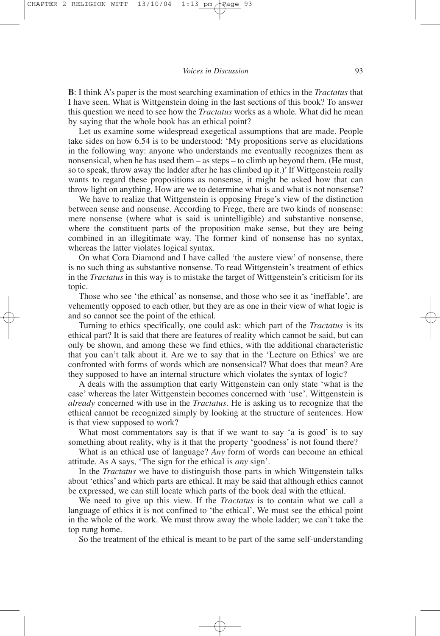#### *Voices in Discussion* 93

**B**: I think A's paper is the most searching examination of ethics in the *Tractatus* that I have seen. What is Wittgenstein doing in the last sections of this book? To answer this question we need to see how the *Tractatus* works as a whole. What did he mean by saying that the whole book has an ethical point?

Let us examine some widespread exegetical assumptions that are made. People take sides on how 6.54 is to be understood: 'My propositions serve as elucidations in the following way: anyone who understands me eventually recognizes them as nonsensical, when he has used them – as steps – to climb up beyond them. (He must, so to speak, throw away the ladder after he has climbed up it.)' If Wittgenstein really wants to regard these propositions as nonsense, it might be asked how that can throw light on anything. How are we to determine what is and what is not nonsense?

We have to realize that Wittgenstein is opposing Frege's view of the distinction between sense and nonsense. According to Frege, there are two kinds of nonsense: mere nonsense (where what is said is unintelligible) and substantive nonsense, where the constituent parts of the proposition make sense, but they are being combined in an illegitimate way. The former kind of nonsense has no syntax, whereas the latter violates logical syntax.

On what Cora Diamond and I have called 'the austere view' of nonsense, there is no such thing as substantive nonsense. To read Wittgenstein's treatment of ethics in the *Tractatus* in this way is to mistake the target of Wittgenstein's criticism for its topic.

Those who see 'the ethical' as nonsense, and those who see it as 'ineffable', are vehemently opposed to each other, but they are as one in their view of what logic is and so cannot see the point of the ethical.

Turning to ethics specifically, one could ask: which part of the *Tractatus* is its ethical part? It is said that there are features of reality which cannot be said, but can only be shown, and among these we find ethics, with the additional characteristic that you can't talk about it. Are we to say that in the 'Lecture on Ethics' we are confronted with forms of words which are nonsensical? What does that mean? Are they supposed to have an internal structure which violates the syntax of logic?

A deals with the assumption that early Wittgenstein can only state 'what is the case' whereas the later Wittgenstein becomes concerned with 'use'. Wittgenstein is *already* concerned with use in the *Tractatus*. He is asking us to recognize that the ethical cannot be recognized simply by looking at the structure of sentences. How is that view supposed to work?

What most commentators say is that if we want to say 'a is good' is to say something about reality, why is it that the property 'goodness' is not found there?

What is an ethical use of language? *Any* form of words can become an ethical attitude. As A says, 'The sign for the ethical is *any* sign'.

In the *Tractatus* we have to distinguish those parts in which Wittgenstein talks about 'ethics' and which parts are ethical. It may be said that although ethics cannot be expressed, we can still locate which parts of the book deal with the ethical.

We need to give up this view. If the *Tractatus* is to contain what we call a language of ethics it is not confined to 'the ethical'. We must see the ethical point in the whole of the work. We must throw away the whole ladder; we can't take the top rung home.

So the treatment of the ethical is meant to be part of the same self-understanding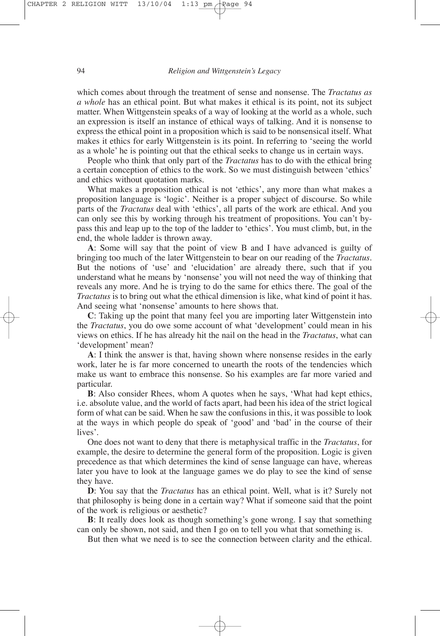which comes about through the treatment of sense and nonsense. The *Tractatus as a whole* has an ethical point. But what makes it ethical is its point, not its subject matter. When Wittgenstein speaks of a way of looking at the world as a whole, such an expression is itself an instance of ethical ways of talking. And it is nonsense to express the ethical point in a proposition which is said to be nonsensical itself. What makes it ethics for early Wittgenstein is its point. In referring to 'seeing the world as a whole' he is pointing out that the ethical seeks to change us in certain ways.

People who think that only part of the *Tractatus* has to do with the ethical bring a certain conception of ethics to the work. So we must distinguish between 'ethics' and ethics without quotation marks.

What makes a proposition ethical is not 'ethics', any more than what makes a proposition language is 'logic'. Neither is a proper subject of discourse. So while parts of the *Tractatus* deal with 'ethics', all parts of the work are ethical. And you can only see this by working through his treatment of propositions. You can't bypass this and leap up to the top of the ladder to 'ethics'. You must climb, but, in the end, the whole ladder is thrown away.

**A**: Some will say that the point of view B and I have advanced is guilty of bringing too much of the later Wittgenstein to bear on our reading of the *Tractatus*. But the notions of 'use' and 'elucidation' are already there, such that if you understand what he means by 'nonsense' you will not need the way of thinking that reveals any more. And he is trying to do the same for ethics there. The goal of the *Tractatus* is to bring out what the ethical dimension is like, what kind of point it has. And seeing what 'nonsense' amounts to here shows that.

**C**: Taking up the point that many feel you are importing later Wittgenstein into the *Tractatus*, you do owe some account of what 'development' could mean in his views on ethics. If he has already hit the nail on the head in the *Tractatus*, what can 'development' mean?

**A**: I think the answer is that, having shown where nonsense resides in the early work, later he is far more concerned to unearth the roots of the tendencies which make us want to embrace this nonsense. So his examples are far more varied and particular.

**B**: Also consider Rhees, whom A quotes when he says, 'What had kept ethics, i.e. absolute value, and the world of facts apart, had been his idea of the strict logical form of what can be said. When he saw the confusions in this, it was possible to look at the ways in which people do speak of 'good' and 'bad' in the course of their lives'.

One does not want to deny that there is metaphysical traffic in the *Tractatus*, for example, the desire to determine the general form of the proposition. Logic is given precedence as that which determines the kind of sense language can have, whereas later you have to look at the language games we do play to see the kind of sense they have.

**D**: You say that the *Tractatus* has an ethical point. Well, what is it? Surely not that philosophy is being done in a certain way? What if someone said that the point of the work is religious or aesthetic?

**B**: It really does look as though something's gone wrong. I say that something can only be shown, not said, and then I go on to tell you what that something is.

But then what we need is to see the connection between clarity and the ethical.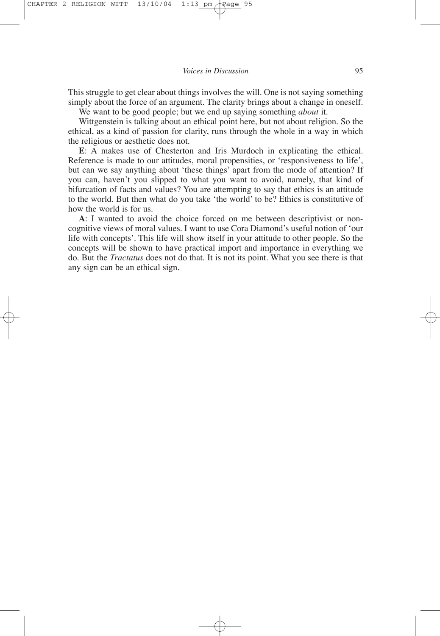#### *Voices in Discussion* 95

This struggle to get clear about things involves the will. One is not saying something simply about the force of an argument. The clarity brings about a change in oneself.

We want to be good people; but we end up saying something *about* it. Wittgenstein is talking about an ethical point here, but not about religion. So the

ethical, as a kind of passion for clarity, runs through the whole in a way in which the religious or aesthetic does not.

**E**: A makes use of Chesterton and Iris Murdoch in explicating the ethical. Reference is made to our attitudes, moral propensities, or 'responsiveness to life', but can we say anything about 'these things' apart from the mode of attention? If you can, haven't you slipped to what you want to avoid, namely, that kind of bifurcation of facts and values? You are attempting to say that ethics is an attitude to the world. But then what do you take 'the world' to be? Ethics is constitutive of how the world is for us.

**A**: I wanted to avoid the choice forced on me between descriptivist or noncognitive views of moral values. I want to use Cora Diamond's useful notion of 'our life with concepts'. This life will show itself in your attitude to other people. So the concepts will be shown to have practical import and importance in everything we do. But the *Tractatus* does not do that. It is not its point. What you see there is that any sign can be an ethical sign.